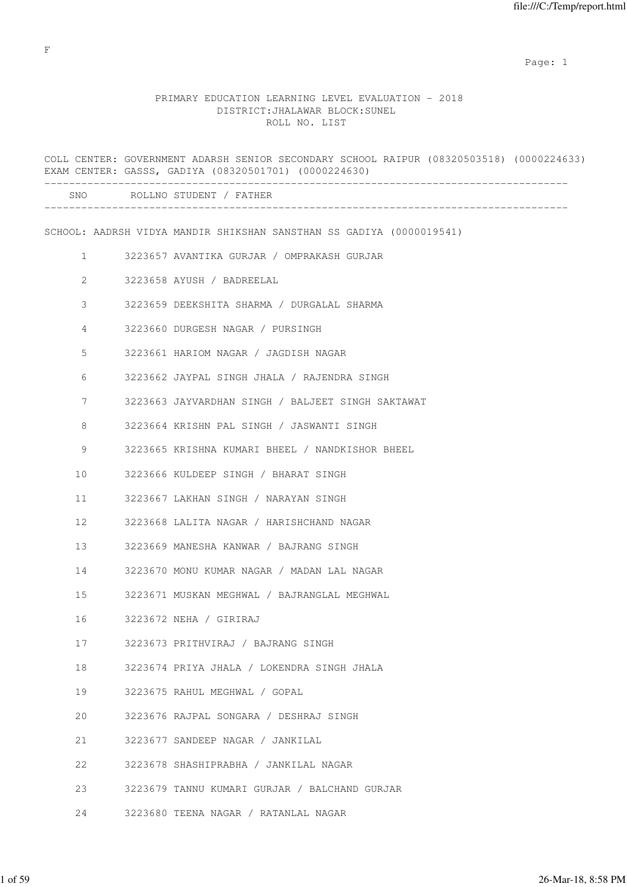example of the state of the state of the state of the state of the state of the state of the state of the state of the state of the state of the state of the state of the state of the state of the state of the state of the

# PRIMARY EDUCATION LEARNING LEVEL EVALUATION - 2018 DISTRICT:JHALAWAR BLOCK:SUNEL ROLL NO. LIST

|                | COLL CENTER: GOVERNMENT ADARSH SENIOR SECONDARY SCHOOL RAIPUR (08320503518) (0000224633)<br>EXAM CENTER: GASSS, GADIYA (08320501701) (0000224630) |
|----------------|---------------------------------------------------------------------------------------------------------------------------------------------------|
|                | SNO ROLLNO STUDENT / FATHER                                                                                                                       |
|                | SCHOOL: AADRSH VIDYA MANDIR SHIKSHAN SANSTHAN SS GADIYA (0000019541)                                                                              |
| $\mathbf{1}$   | 3223657 AVANTIKA GURJAR / OMPRAKASH GURJAR                                                                                                        |
| $\overline{2}$ | 3223658 AYUSH / BADREELAL                                                                                                                         |
| $\mathcal{S}$  | 3223659 DEEKSHITA SHARMA / DURGALAL SHARMA                                                                                                        |
| 4              | 3223660 DURGESH NAGAR / PURSINGH                                                                                                                  |
| 5              | 3223661 HARIOM NAGAR / JAGDISH NAGAR                                                                                                              |
| 6              | 3223662 JAYPAL SINGH JHALA / RAJENDRA SINGH                                                                                                       |
| 7              | 3223663 JAYVARDHAN SINGH / BALJEET SINGH SAKTAWAT                                                                                                 |
| 8              | 3223664 KRISHN PAL SINGH / JASWANTI SINGH                                                                                                         |
| 9              | 3223665 KRISHNA KUMARI BHEEL / NANDKISHOR BHEEL                                                                                                   |
| 10             | 3223666 KULDEEP SINGH / BHARAT SINGH                                                                                                              |
| 11             | 3223667 LAKHAN SINGH / NARAYAN SINGH                                                                                                              |
| 12             | 3223668 LALITA NAGAR / HARISHCHAND NAGAR                                                                                                          |
| 13             | 3223669 MANESHA KANWAR / BAJRANG SINGH                                                                                                            |
| 14             | 3223670 MONU KUMAR NAGAR / MADAN LAL NAGAR                                                                                                        |
| 15             | 3223671 MUSKAN MEGHWAL / BAJRANGLAL MEGHWAL                                                                                                       |
| 16             | 3223672 NEHA / GIRIRAJ                                                                                                                            |
| 17             | 3223673 PRITHVIRAJ / BAJRANG SINGH                                                                                                                |
| 18             | 3223674 PRIYA JHALA / LOKENDRA SINGH JHALA                                                                                                        |
| 19             | 3223675 RAHUL MEGHWAL / GOPAL                                                                                                                     |
| 20             | 3223676 RAJPAL SONGARA / DESHRAJ SINGH                                                                                                            |
| 21             | 3223677 SANDEEP NAGAR / JANKILAL                                                                                                                  |
| 22             | 3223678 SHASHIPRABHA / JANKILAL NAGAR                                                                                                             |
| 23             | 3223679 TANNU KUMARI GURJAR / BALCHAND GURJAR                                                                                                     |
| 24             | 3223680 TEENA NAGAR / RATANLAL NAGAR                                                                                                              |

F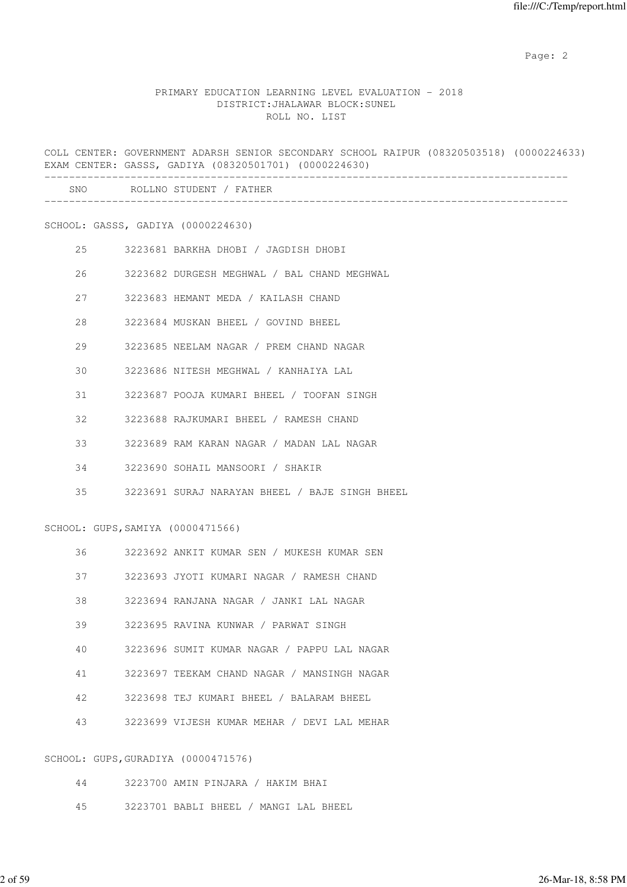### PRIMARY EDUCATION LEARNING LEVEL EVALUATION - 2018 DISTRICT:JHALAWAR BLOCK:SUNEL ROLL NO. LIST

COLL CENTER: GOVERNMENT ADARSH SENIOR SECONDARY SCHOOL RAIPUR (08320503518) (0000224633) EXAM CENTER: GASSS, GADIYA (08320501701) (0000224630) ------------------------------------------------------------------------------------- SNO ROLLNO STUDENT / FATHER

SCHOOL: GASSS, GADIYA (0000224630)

| 2.5 | 3223681 BARKHA DHOBI / JAGDISH DHOBI        |
|-----|---------------------------------------------|
| 26  | 3223682 DURGESH MEGHWAL / BAL CHAND MEGHWAL |
| 2.7 | 3223683 HEMANT MEDA / KAILASH CHAND         |
| 28  | 3223684 MUSKAN BHEEL / GOVIND BHEEL         |
| 29  | 3223685 NEELAM NAGAR / PREM CHAND NAGAR     |
| 30  | 3223686 NITESH MEGHWAL / KANHAIYA LAL       |
| 31  | 3223687 POOJA KUMARI BHEEL / TOOFAN SINGH   |
| 32  | 3223688 RAJKUMARI BHEEL / RAMESH CHAND      |
| 33  | 3223689 RAM KARAN NAGAR / MADAN LAL NAGAR   |
| 34  | 3223690 SOHAIL MANSOORI / SHAKIR            |
|     |                                             |

SCHOOL: GUPS,SAMIYA (0000471566)

| 3223692 ANKIT KUMAR SEN / MUKESH KUMAR SEN |  |  |  |  |  |  |  |
|--------------------------------------------|--|--|--|--|--|--|--|
|--------------------------------------------|--|--|--|--|--|--|--|

35 3223691 SURAJ NARAYAN BHEEL / BAJE SINGH BHEEL

- 37 3223693 JYOTI KUMARI NAGAR / RAMESH CHAND
- 38 3223694 RANJANA NAGAR / JANKI LAL NAGAR
- 39 3223695 RAVINA KUNWAR / PARWAT SINGH
- 40 3223696 SUMIT KUMAR NAGAR / PAPPU LAL NAGAR
- 41 3223697 TEEKAM CHAND NAGAR / MANSINGH NAGAR
- 42 3223698 TEJ KUMARI BHEEL / BALARAM BHEEL
- 43 3223699 VIJESH KUMAR MEHAR / DEVI LAL MEHAR

#### SCHOOL: GUPS,GURADIYA (0000471576)

| 44 | 3223700 AMIN PINJARA / HAKIM BHAI |  |  |                                       |
|----|-----------------------------------|--|--|---------------------------------------|
|    |                                   |  |  |                                       |
| 45 |                                   |  |  | 3223701 BABLI BHEEL / MANGI LAL BHEEL |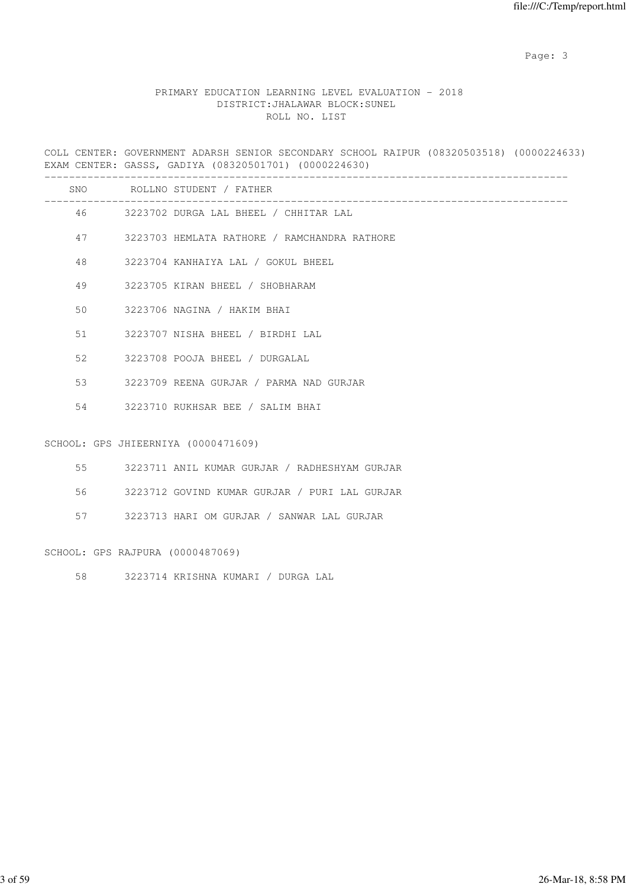# PRIMARY EDUCATION LEARNING LEVEL EVALUATION - 2018 DISTRICT:JHALAWAR BLOCK:SUNEL ROLL NO. LIST

COLL CENTER: GOVERNMENT ADARSH SENIOR SECONDARY SCHOOL RAIPUR (08320503518) (0000224633) EXAM CENTER: GASSS, GADIYA (08320501701) (0000224630)

|                 |                                  | SNO ROLLNO STUDENT / FATHER<br><u> 1989 - Andrea Santa Andrea Andrea Andrea Andrea Andrea Andrea Andrea Andrea Andrea Andrea Andrea Andrea Andr</u> |
|-----------------|----------------------------------|-----------------------------------------------------------------------------------------------------------------------------------------------------|
|                 |                                  | 46 3223702 DURGA LAL BHEEL / CHHITAR LAL                                                                                                            |
| 47              |                                  | 3223703 HEMLATA RATHORE / RAMCHANDRA RATHORE                                                                                                        |
| 48              |                                  | 3223704 KANHAIYA LAL / GOKUL BHEEL                                                                                                                  |
| 49              |                                  | 3223705 KIRAN BHEEL / SHOBHARAM                                                                                                                     |
| 50 <sup>°</sup> |                                  | 3223706 NAGINA / HAKIM BHAI                                                                                                                         |
| 51              |                                  | 3223707 NISHA BHEEL / BIRDHI LAL                                                                                                                    |
| 52              |                                  | 3223708 POOJA BHEEL / DURGALAL                                                                                                                      |
| 53              |                                  | 3223709 REENA GURJAR / PARMA NAD GURJAR                                                                                                             |
| 54              |                                  | 3223710 RUKHSAR BEE / SALIM BHAI                                                                                                                    |
|                 |                                  | SCHOOL: GPS JHIEERNIYA (0000471609)                                                                                                                 |
| 55              |                                  | 3223711 ANIL KUMAR GURJAR / RADHESHYAM GURJAR                                                                                                       |
| 56              |                                  | 3223712 GOVIND KUMAR GURJAR / PURI LAL GURJAR                                                                                                       |
| 57              |                                  | 3223713 HARI OM GURJAR / SANWAR LAL GURJAR                                                                                                          |
|                 | SCHOOL: GPS RAJPURA (0000487069) |                                                                                                                                                     |

58 3223714 KRISHNA KUMARI / DURGA LAL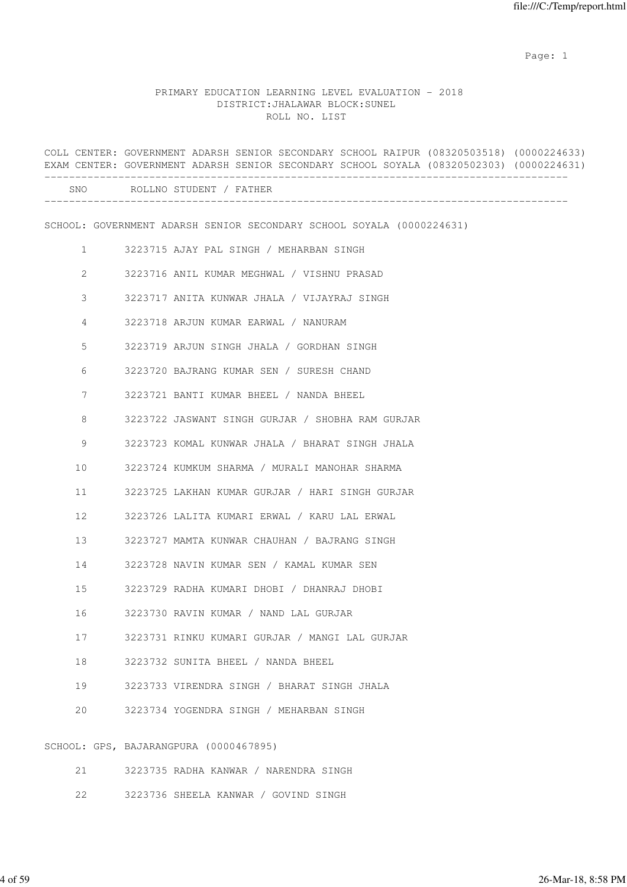example of the state of the state of the state of the state of the state of the state of the state of the state of the state of the state of the state of the state of the state of the state of the state of the state of the

# PRIMARY EDUCATION LEARNING LEVEL EVALUATION - 2018 DISTRICT:JHALAWAR BLOCK:SUNEL ROLL NO. LIST

|              | COLL CENTER: GOVERNMENT ADARSH SENIOR SECONDARY SCHOOL RAIPUR (08320503518) (0000224633)<br>EXAM CENTER: GOVERNMENT ADARSH SENIOR SECONDARY SCHOOL SOYALA (08320502303) (0000224631) |
|--------------|--------------------------------------------------------------------------------------------------------------------------------------------------------------------------------------|
|              | SNO ROLLNO STUDENT / FATHER                                                                                                                                                          |
|              | SCHOOL: GOVERNMENT ADARSH SENIOR SECONDARY SCHOOL SOYALA (0000224631)                                                                                                                |
| $\mathbf{1}$ | 3223715 AJAY PAL SINGH / MEHARBAN SINGH                                                                                                                                              |
| 2            | 3223716 ANIL KUMAR MEGHWAL / VISHNU PRASAD                                                                                                                                           |
| 3            | 3223717 ANITA KUNWAR JHALA / VIJAYRAJ SINGH                                                                                                                                          |
| 4            | 3223718 ARJUN KUMAR EARWAL / NANURAM                                                                                                                                                 |
| 5            | 3223719 ARJUN SINGH JHALA / GORDHAN SINGH                                                                                                                                            |
| 6            | 3223720 BAJRANG KUMAR SEN / SURESH CHAND                                                                                                                                             |
| 7            | 3223721 BANTI KUMAR BHEEL / NANDA BHEEL                                                                                                                                              |
| 8            | 3223722 JASWANT SINGH GURJAR / SHOBHA RAM GURJAR                                                                                                                                     |
| 9            | 3223723 KOMAL KUNWAR JHALA / BHARAT SINGH JHALA                                                                                                                                      |
| 10           | 3223724 KUMKUM SHARMA / MURALI MANOHAR SHARMA                                                                                                                                        |
| 11           | 3223725 LAKHAN KUMAR GURJAR / HARI SINGH GURJAR                                                                                                                                      |
| 12           | 3223726 LALITA KUMARI ERWAL / KARU LAL ERWAL                                                                                                                                         |
| 13           | 3223727 MAMTA KUNWAR CHAUHAN / BAJRANG SINGH                                                                                                                                         |
| 14           | 3223728 NAVIN KUMAR SEN / KAMAL KUMAR SEN                                                                                                                                            |
| 15           | 3223729 RADHA KUMARI DHOBI / DHANRAJ DHOBI                                                                                                                                           |
| 16           | 3223730 RAVIN KUMAR / NAND LAL GURJAR                                                                                                                                                |
| 17           | 3223731 RINKU KUMARI GURJAR / MANGI LAL GURJAR                                                                                                                                       |
| 18           | 3223732 SUNITA BHEEL / NANDA BHEEL                                                                                                                                                   |
| 19           | 3223733 VIRENDRA SINGH / BHARAT SINGH JHALA                                                                                                                                          |
| 20           | 3223734 YOGENDRA SINGH / MEHARBAN SINGH                                                                                                                                              |
|              | SCHOOL: GPS, BAJARANGPURA (0000467895)                                                                                                                                               |
| 21           | 3223735 RADHA KANWAR / NARENDRA SINGH                                                                                                                                                |

22 3223736 SHEELA KANWAR / GOVIND SINGH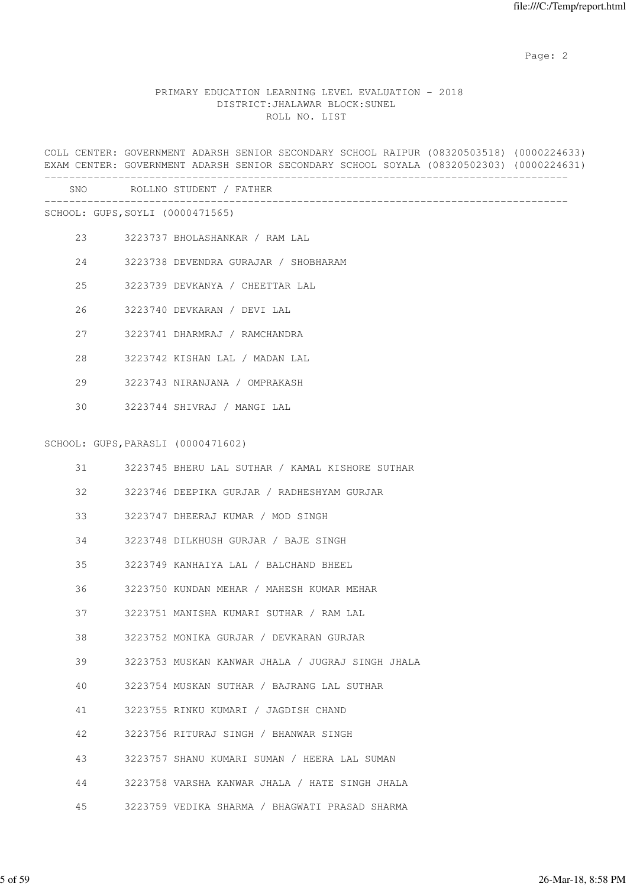## PRIMARY EDUCATION LEARNING LEVEL EVALUATION - 2018 DISTRICT:JHALAWAR BLOCK:SUNEL ROLL NO. LIST

COLL CENTER: GOVERNMENT ADARSH SENIOR SECONDARY SCHOOL RAIPUR (08320503518) (0000224633) EXAM CENTER: GOVERNMENT ADARSH SENIOR SECONDARY SCHOOL SOYALA (08320502303) (0000224631) ------------------------------------------------------------------------------------- SNO ROLLNO STUDENT / FATHER ------------------------------------------------------------------------------------- SCHOOL: GUPS,SOYLI (0000471565) 23 3223737 BHOLASHANKAR / RAM LAL 24 3223738 DEVENDRA GURAJAR / SHOBHARAM 25 3223739 DEVKANYA / CHEETTAR LAL 26 3223740 DEVKARAN / DEVI LAL 27 3223741 DHARMRAJ / RAMCHANDRA 28 3223742 KISHAN LAL / MADAN LAL 29 3223743 NIRANJANA / OMPRAKASH 30 3223744 SHIVRAJ / MANGI LAL SCHOOL: GUPS,PARASLI (0000471602) 31 3223745 BHERU LAL SUTHAR / KAMAL KISHORE SUTHAR 32 3223746 DEEPIKA GURJAR / RADHESHYAM GURJAR 33 3223747 DHEERAJ KUMAR / MOD SINGH 34 3223748 DILKHUSH GURJAR / BAJE SINGH 35 3223749 KANHAIYA LAL / BALCHAND BHEEL 36 3223750 KUNDAN MEHAR / MAHESH KUMAR MEHAR 37 3223751 MANISHA KUMARI SUTHAR / RAM LAL 38 3223752 MONIKA GURJAR / DEVKARAN GURJAR 39 3223753 MUSKAN KANWAR JHALA / JUGRAJ SINGH JHALA 40 3223754 MUSKAN SUTHAR / BAJRANG LAL SUTHAR 41 3223755 RINKU KUMARI / JAGDISH CHAND 42 3223756 RITURAJ SINGH / BHANWAR SINGH 43 3223757 SHANU KUMARI SUMAN / HEERA LAL SUMAN 44 3223758 VARSHA KANWAR JHALA / HATE SINGH JHALA 45 3223759 VEDIKA SHARMA / BHAGWATI PRASAD SHARMA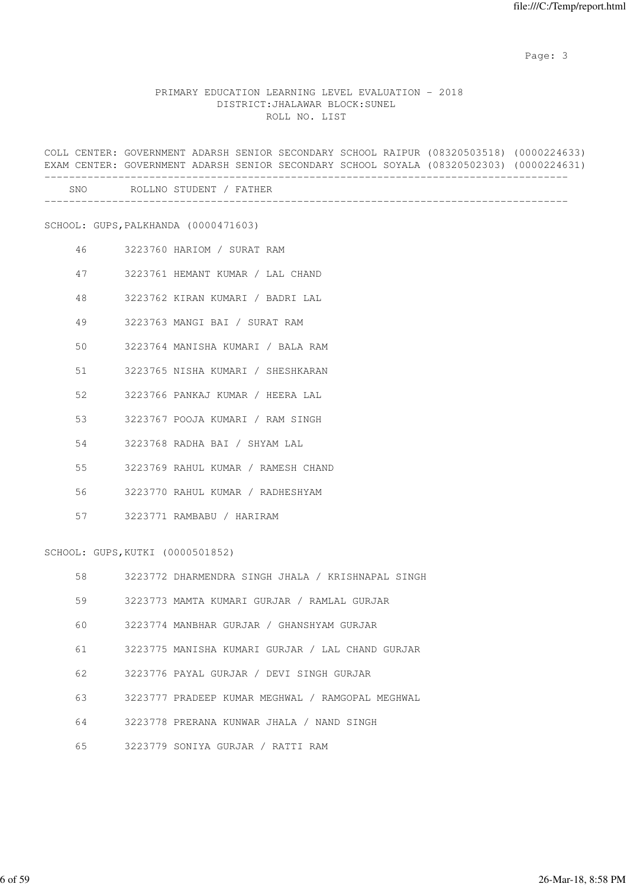# PRIMARY EDUCATION LEARNING LEVEL EVALUATION - 2018 DISTRICT:JHALAWAR BLOCK:SUNEL ROLL NO. LIST

COLL CENTER: GOVERNMENT ADARSH SENIOR SECONDARY SCHOOL RAIPUR (08320503518) (0000224633) EXAM CENTER: GOVERNMENT ADARSH SENIOR SECONDARY SCHOOL SOYALA (08320502303) (0000224631) ------------------------------------------------------------------------------------- SNO ROLLNO STUDENT / FATHER ------------------------------------------------------------------------------------- SCHOOL: GUPS,PALKHANDA (0000471603) 46 3223760 HARIOM / SURAT RAM 47 3223761 HEMANT KUMAR / LAL CHAND 48 3223762 KIRAN KUMARI / BADRI LAL 49 3223763 MANGI BAI / SURAT RAM 50 3223764 MANISHA KUMARI / BALA RAM 51 3223765 NISHA KUMARI / SHESHKARAN 52 3223766 PANKAJ KUMAR / HEERA LAL 53 3223767 POOJA KUMARI / RAM SINGH 54 3223768 RADHA BAI / SHYAM LAL 55 3223769 RAHUL KUMAR / RAMESH CHAND 56 3223770 RAHUL KUMAR / RADHESHYAM 57 3223771 RAMBABU / HARIRAM SCHOOL: GUPS,KUTKI (0000501852) 58 3223772 DHARMENDRA SINGH JHALA / KRISHNAPAL SINGH 59 3223773 MAMTA KUMARI GURJAR / RAMLAL GURJAR 60 3223774 MANBHAR GURJAR / GHANSHYAM GURJAR 61 3223775 MANISHA KUMARI GURJAR / LAL CHAND GURJAR 62 3223776 PAYAL GURJAR / DEVI SINGH GURJAR 63 3223777 PRADEEP KUMAR MEGHWAL / RAMGOPAL MEGHWAL 64 3223778 PRERANA KUNWAR JHALA / NAND SINGH

65 3223779 SONIYA GURJAR / RATTI RAM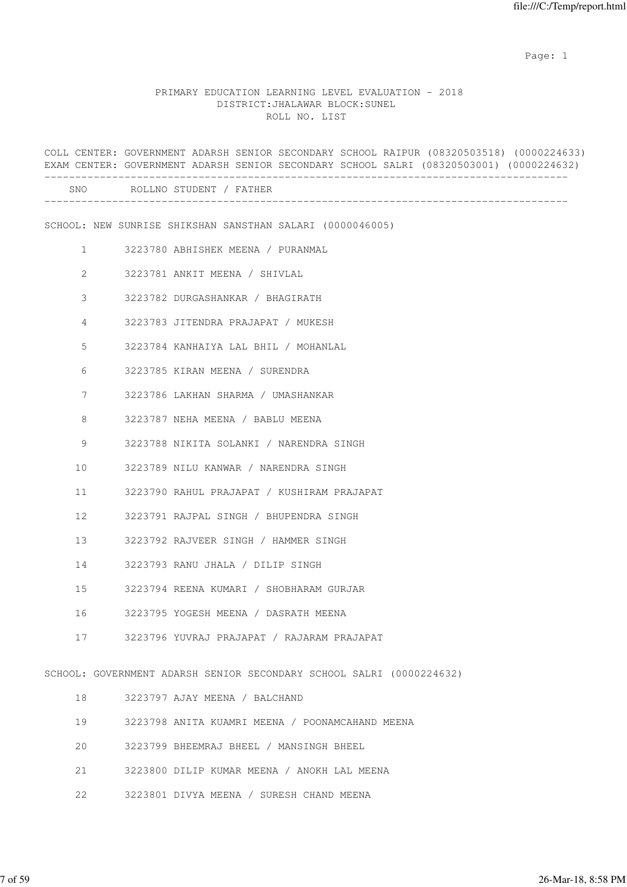example of the state of the state of the state of the state of the state of the state of the state of the state of the state of the state of the state of the state of the state of the state of the state of the state of the

#### PRIMARY EDUCATION LEARNING LEVEL EVALUATION - 2018 DISTRICT:JHALAWAR BLOCK:SUNEL ROLL NO. LIST

COLL CENTER: GOVERNMENT ADARSH SENIOR SECONDARY SCHOOL RAIPUR (08320503518) (0000224633) EXAM CENTER: GOVERNMENT ADARSH SENIOR SECONDARY SCHOOL SALRI (08320503001) (0000224632) ------------------------------------------------------------------------------------- SNO ROLLNO STUDENT / FATHER ------------------------------------------------------------------------------------- SCHOOL: NEW SUNRISE SHIKSHAN SANSTHAN SALARI (0000046005) 1 3223780 ABHISHEK MEENA / PURANMAL 2 3223781 ANKIT MEENA / SHIVLAL 3 3223782 DURGASHANKAR / BHAGIRATH 4 3223783 JITENDRA PRAJAPAT / MUKESH 5 3223784 KANHAIYA LAL BHIL / MOHANLAL 6 3223785 KIRAN MEENA / SURENDRA 7 3223786 LAKHAN SHARMA / UMASHANKAR 8 3223787 NEHA MEENA / BABLU MEENA 9 3223788 NIKITA SOLANKI / NARENDRA SINGH 10 3223789 NILU KANWAR / NARENDRA SINGH 11 3223790 RAHUL PRAJAPAT / KUSHIRAM PRAJAPAT 12 3223791 RAJPAL SINGH / BHUPENDRA SINGH 13 3223792 RAJVEER SINGH / HAMMER SINGH 14 3223793 RANU JHALA / DILIP SINGH 15 3223794 REENA KUMARI / SHOBHARAM GURJAR 16 3223795 YOGESH MEENA / DASRATH MEENA 17 3223796 YUVRAJ PRAJAPAT / RAJARAM PRAJAPAT SCHOOL: GOVERNMENT ADARSH SENIOR SECONDARY SCHOOL SALRI (0000224632) 18 3223797 AJAY MEENA / BALCHAND 19 3223798 ANITA KUAMRI MEENA / POONAMCAHAND MEENA 20 3223799 BHEEMRAJ BHEEL / MANSINGH BHEEL 21 3223800 DILIP KUMAR MEENA / ANOKH LAL MEENA

22 3223801 DIVYA MEENA / SURESH CHAND MEENA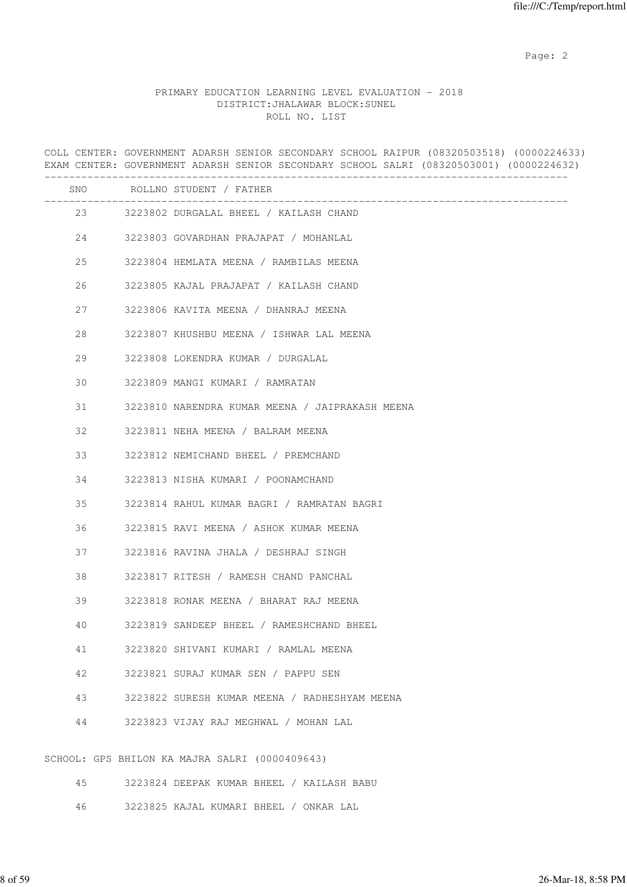# PRIMARY EDUCATION LEARNING LEVEL EVALUATION - 2018 DISTRICT:JHALAWAR BLOCK:SUNEL ROLL NO. LIST

COLL CENTER: GOVERNMENT ADARSH SENIOR SECONDARY SCHOOL RAIPUR (08320503518) (0000224633) EXAM CENTER: GOVERNMENT ADARSH SENIOR SECONDARY SCHOOL SALRI (08320503001) (0000224632) ------------------------------------------------------------------------------------- SNO ROLLNO STUDENT / FATHER ------------------------------------------------------------------------------------- 23 3223802 DURGALAL BHEEL / KAILASH CHAND 24 3223803 GOVARDHAN PRAJAPAT / MOHANLAL 25 3223804 HEMLATA MEENA / RAMBILAS MEENA 26 3223805 KAJAL PRAJAPAT / KAILASH CHAND 27 3223806 KAVITA MEENA / DHANRAJ MEENA 28 3223807 KHUSHBU MEENA / ISHWAR LAL MEENA 29 3223808 LOKENDRA KUMAR / DURGALAL 30 3223809 MANGI KUMARI / RAMRATAN 31 3223810 NARENDRA KUMAR MEENA / JAIPRAKASH MEENA 32 3223811 NEHA MEENA / BALRAM MEENA 33 3223812 NEMICHAND BHEEL / PREMCHAND 34 3223813 NISHA KUMARI / POONAMCHAND 35 3223814 RAHUL KUMAR BAGRI / RAMRATAN BAGRI 36 3223815 RAVI MEENA / ASHOK KUMAR MEENA 37 3223816 RAVINA JHALA / DESHRAJ SINGH 38 3223817 RITESH / RAMESH CHAND PANCHAL 39 3223818 RONAK MEENA / BHARAT RAJ MEENA 40 3223819 SANDEEP BHEEL / RAMESHCHAND BHEEL 41 3223820 SHIVANI KUMARI / RAMLAL MEENA 42 3223821 SURAJ KUMAR SEN / PAPPU SEN 43 3223822 SURESH KUMAR MEENA / RADHESHYAM MEENA 44 3223823 VIJAY RAJ MEGHWAL / MOHAN LAL SCHOOL: GPS BHILON KA MAJRA SALRI (0000409643) 45 3223824 DEEPAK KUMAR BHEEL / KAILASH BABU

46 3223825 KAJAL KUMARI BHEEL / ONKAR LAL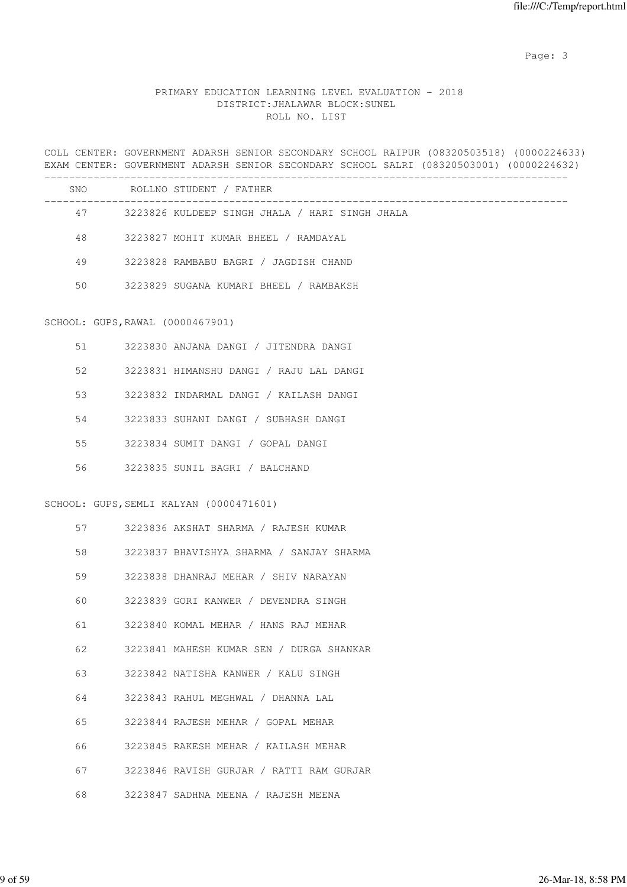# PRIMARY EDUCATION LEARNING LEVEL EVALUATION - 2018 DISTRICT:JHALAWAR BLOCK:SUNEL ROLL NO. LIST

COLL CENTER: GOVERNMENT ADARSH SENIOR SECONDARY SCHOOL RAIPUR (08320503518) (0000224633) EXAM CENTER: GOVERNMENT ADARSH SENIOR SECONDARY SCHOOL SALRI (08320503001) (0000224632)

| SNO | ROLLNO STUDENT / FATHER                        |
|-----|------------------------------------------------|
| 47  | 3223826 KULDEEP SINGH JHALA / HARI SINGH JHALA |
| 48  | 3223827 MOHIT KUMAR BHEEL / RAMDAYAL           |
| 49  | 3223828 RAMBABU BAGRI / JAGDISH CHAND          |
| 50  | 3223829 SUGANA KUMARI BHEEL / RAMBAKSH         |
|     |                                                |

#### SCHOOL: GUPS,RAWAL (0000467901)

| 51 | 3223830 ANJANA DANGI / JITENDRA DANGI   |
|----|-----------------------------------------|
| 52 | 3223831 HIMANSHU DANGI / RAJU LAL DANGI |
| 53 | 3223832 INDARMAL DANGI / KAILASH DANGI  |
| 54 | 3223833 SUHANI DANGI / SUBHASH DANGI    |
| 55 | 3223834 SUMIT DANGI / GOPAL DANGI       |
| 56 | 3223835 SUNIL BAGRI / BALCHAND          |

#### SCHOOL: GUPS,SEMLI KALYAN (0000471601)

| 57 | 3223836 AKSHAT SHARMA / RAJESH KUMAR     |
|----|------------------------------------------|
| 58 | 3223837 BHAVISHYA SHARMA / SANJAY SHARMA |
| 59 | 3223838 DHANRAJ MEHAR / SHIV NARAYAN     |
| 60 | 3223839 GORI KANWER / DEVENDRA SINGH     |
| 61 | 3223840 KOMAL MEHAR / HANS RAJ MEHAR     |
| 62 | 3223841 MAHESH KUMAR SEN / DURGA SHANKAR |
| 63 | 3223842 NATISHA KANWER / KALU SINGH      |
| 64 | 3223843 RAHUL MEGHWAL / DHANNA LAL       |
| 65 | 3223844 RAJESH MEHAR / GOPAL MEHAR       |
| 66 | 3223845 RAKESH MEHAR / KAILASH MEHAR     |
| 67 | 3223846 RAVISH GURJAR / RATTI RAM GURJAR |
| 68 | 3223847 SADHNA MEENA / RAJESH MEENA      |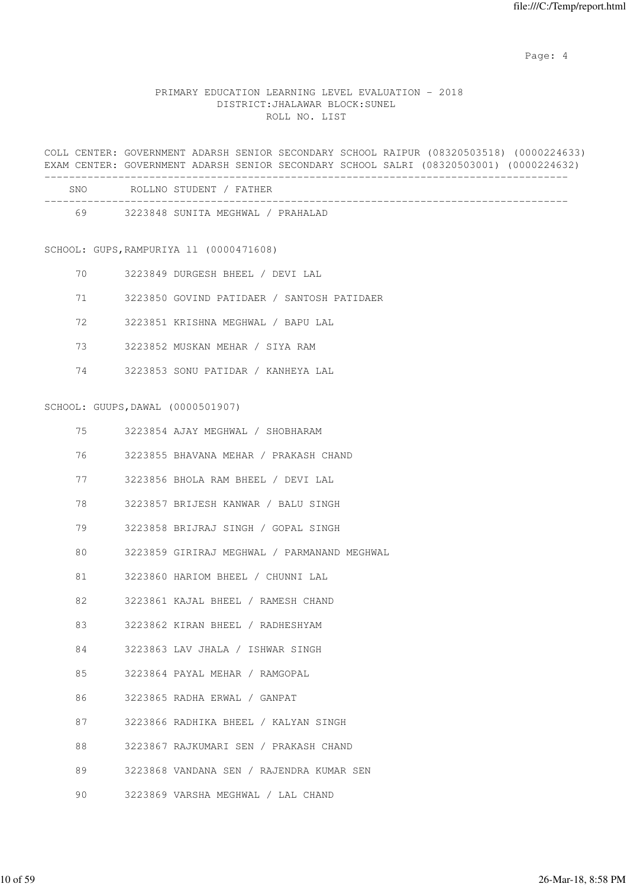Page: 4  $P$ 

# PRIMARY EDUCATION LEARNING LEVEL EVALUATION - 2018 DISTRICT:JHALAWAR BLOCK:SUNEL ROLL NO. LIST

COLL CENTER: GOVERNMENT ADARSH SENIOR SECONDARY SCHOOL RAIPUR (08320503518) (0000224633) EXAM CENTER: GOVERNMENT ADARSH SENIOR SECONDARY SCHOOL SALRI (08320503001) (0000224632)

| SNO | ROLLNO STUDENT / FATHER           |
|-----|-----------------------------------|
| 69  | 3223848 SUNITA MEGHWAL / PRAHALAD |

#### SCHOOL: GUPS,RAMPURIYA ll (0000471608)

- 70 3223849 DURGESH BHEEL / DEVI LAL
- 71 3223850 GOVIND PATIDAER / SANTOSH PATIDAER
- 72 3223851 KRISHNA MEGHWAL / BAPU LAL
- 73 3223852 MUSKAN MEHAR / SIYA RAM
- 74 3223853 SONU PATIDAR / KANHEYA LAL

#### SCHOOL: GUUPS,DAWAL (0000501907)

| 75 | 3223854 AJAY MEGHWAL / SHOBHARAM            |
|----|---------------------------------------------|
| 76 | 3223855 BHAVANA MEHAR / PRAKASH CHAND       |
|    | 77 3223856 BHOLA RAM BHEEL / DEVI LAL       |
| 78 | 3223857 BRIJESH KANWAR / BALU SINGH         |
| 79 | 3223858 BRIJRAJ SINGH / GOPAL SINGH         |
| 80 | 3223859 GIRIRAJ MEGHWAL / PARMANAND MEGHWAL |
| 81 | 3223860 HARIOM BHEEL / CHUNNI LAL           |
|    | 82 3223861 KAJAL BHEEL / RAMESH CHAND       |
| 83 | 3223862 KIRAN BHEEL / RADHESHYAM            |
| 84 | 3223863 LAV JHALA / ISHWAR SINGH            |
|    | 85 3223864 PAYAL MEHAR / RAMGOPAL           |
| 86 | 3223865 RADHA ERWAL / GANPAT                |
| 87 | 3223866 RADHIKA BHEEL / KALYAN SINGH        |
| 88 | 3223867 RAJKUMARI SEN / PRAKASH CHAND       |
| 89 | 3223868 VANDANA SEN / RAJENDRA KUMAR SEN    |
| 90 | 3223869 VARSHA MEGHWAL / LAL CHAND          |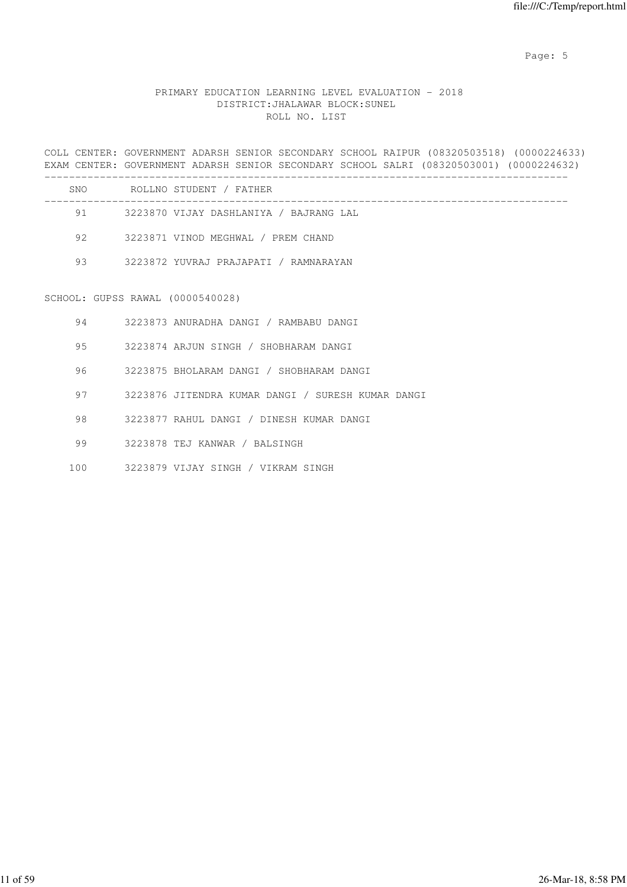Page: 5  $P$  and  $P$  and  $P$  and  $P$  and  $P$  and  $P$  and  $P$  and  $P$  and  $P$  and  $P$  and  $P$  and  $P$  and  $P$  and  $P$  and  $P$  and  $P$  and  $P$  and  $P$  and  $P$  and  $P$  and  $P$  and  $P$  and  $P$  and  $P$  and  $P$  and  $P$  and  $P$  an

# PRIMARY EDUCATION LEARNING LEVEL EVALUATION - 2018 DISTRICT:JHALAWAR BLOCK:SUNEL ROLL NO. LIST

COLL CENTER: GOVERNMENT ADARSH SENIOR SECONDARY SCHOOL RAIPUR (08320503518) (0000224633) EXAM CENTER: GOVERNMENT ADARSH SENIOR SECONDARY SCHOOL SALRI (08320503001) (0000224632)

| SNO | ROLLNO STUDENT / FATHER                |
|-----|----------------------------------------|
| 91  | 3223870 VIJAY DASHLANIYA / BAJRANG LAL |
| 92  | 3223871 VINOD MEGHWAL / PREM CHAND     |
| 93  | 3223872 YUVRAJ PRAJAPATI / RAMNARAYAN  |

# SCHOOL: GUPSS RAWAL (0000540028)

| 94 | 3223873 ANURADHA DANGI / RAMBABU DANGI            |
|----|---------------------------------------------------|
| 95 | 3223874 ARJUN SINGH / SHOBHARAM DANGI             |
| 96 | 3223875 BHOLARAM DANGI / SHOBHARAM DANGI          |
| 97 | 3223876 JITENDRA KUMAR DANGI / SURESH KUMAR DANGI |
| 98 | 3223877 RAHUL DANGI / DINESH KUMAR DANGI          |
| 99 | 3223878 TEJ KANWAR / BALSINGH                     |
|    |                                                   |

100 3223879 VIJAY SINGH / VIKRAM SINGH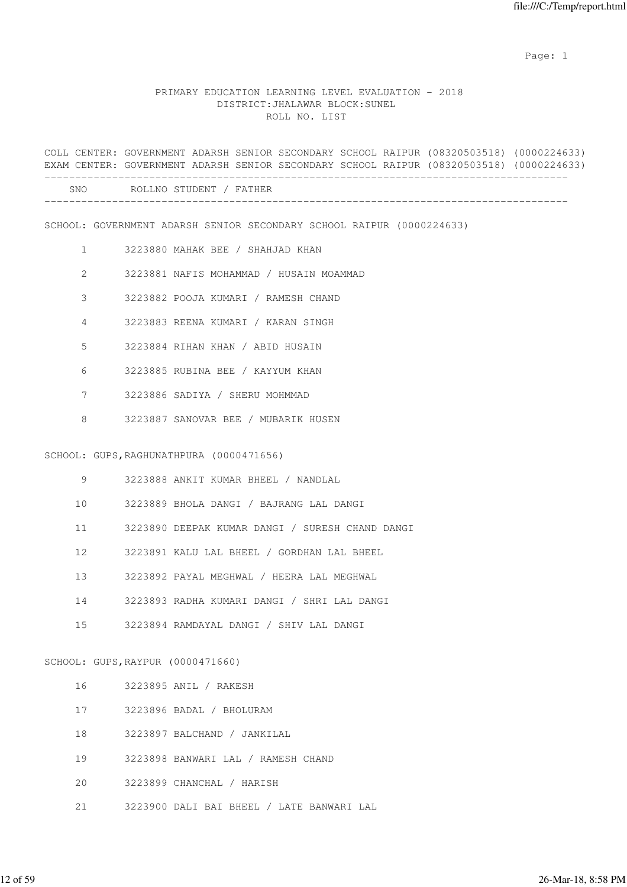example of the state of the state of the state of the state of the state of the state of the state of the state of the state of the state of the state of the state of the state of the state of the state of the state of the

#### PRIMARY EDUCATION LEARNING LEVEL EVALUATION - 2018 DISTRICT:JHALAWAR BLOCK:SUNEL ROLL NO. LIST

COLL CENTER: GOVERNMENT ADARSH SENIOR SECONDARY SCHOOL RAIPUR (08320503518) (0000224633) EXAM CENTER: GOVERNMENT ADARSH SENIOR SECONDARY SCHOOL RAIPUR (08320503518) (0000224633) -------------------------------------------------------------------------------------

-------------------------------------------------------------------------------------

| STUDENT<br>?N∩<br>ROLLNO<br>Д<br>. н<br>__<br>$\sim$ |  |
|------------------------------------------------------|--|
|------------------------------------------------------|--|

SCHOOL: GOVERNMENT ADARSH SENIOR SECONDARY SCHOOL RAIPUR (0000224633)

- 1 3223880 MAHAK BEE / SHAHJAD KHAN
- 2 3223881 NAFIS MOHAMMAD / HUSAIN MOAMMAD
- 3 3223882 POOJA KUMARI / RAMESH CHAND
- 4 3223883 REENA KUMARI / KARAN SINGH
- 5 3223884 RIHAN KHAN / ABID HUSAIN
- 6 3223885 RUBINA BEE / KAYYUM KHAN
- 7 3223886 SADIYA / SHERU MOHMMAD
- 8 3223887 SANOVAR BEE / MUBARIK HUSEN

#### SCHOOL: GUPS,RAGHUNATHPURA (0000471656)

- 9 3223888 ANKIT KUMAR BHEEL / NANDLAL
- 10 3223889 BHOLA DANGI / BAJRANG LAL DANGI
- 11 3223890 DEEPAK KUMAR DANGI / SURESH CHAND DANGI
- 12 3223891 KALU LAL BHEEL / GORDHAN LAL BHEEL
- 13 3223892 PAYAL MEGHWAL / HEERA LAL MEGHWAL
- 14 3223893 RADHA KUMARI DANGI / SHRI LAL DANGI
- 15 3223894 RAMDAYAL DANGI / SHIV LAL DANGI

#### SCHOOL: GUPS,RAYPUR (0000471660)

- 16 3223895 ANIL / RAKESH
- 17 3223896 BADAL / BHOLURAM
- 18 3223897 BALCHAND / JANKILAL
- 19 3223898 BANWARI LAL / RAMESH CHAND
- 20 3223899 CHANCHAL / HARISH
- 21 3223900 DALI BAI BHEEL / LATE BANWARI LAL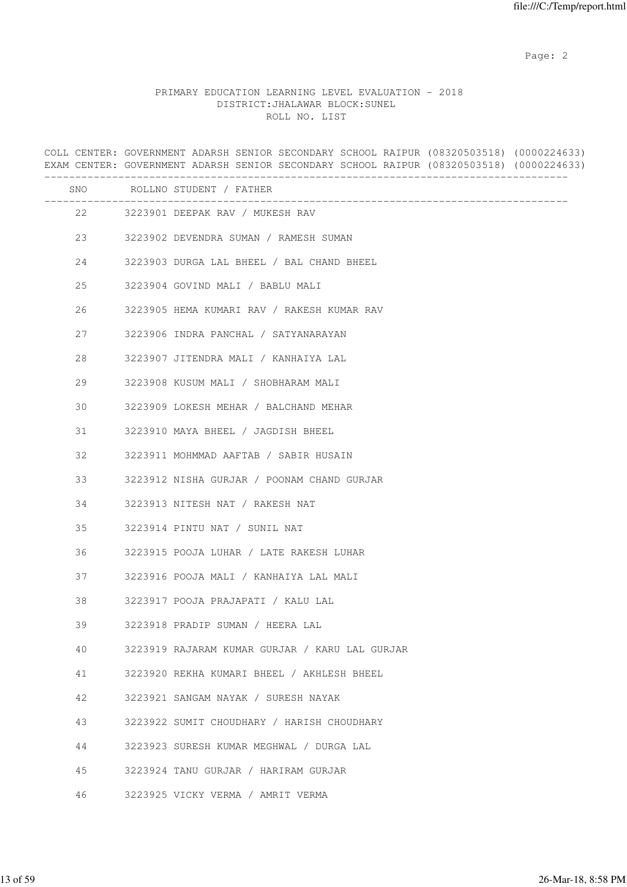# PRIMARY EDUCATION LEARNING LEVEL EVALUATION - 2018 DISTRICT:JHALAWAR BLOCK:SUNEL ROLL NO. LIST

COLL CENTER: GOVERNMENT ADARSH SENIOR SECONDARY SCHOOL RAIPUR (08320503518) (0000224633) EXAM CENTER: GOVERNMENT ADARSH SENIOR SECONDARY SCHOOL RAIPUR (08320503518) (0000224633) ------------------------------------------------------------------------------------- SNO ROLLNO STUDENT / FATHER ------------------------------------------------------------------------------------- 22 3223901 DEEPAK RAV / MUKESH RAV 23 3223902 DEVENDRA SUMAN / RAMESH SUMAN 24 3223903 DURGA LAL BHEEL / BAL CHAND BHEEL 25 3223904 GOVIND MALI / BABLU MALI 26 3223905 HEMA KUMARI RAV / RAKESH KUMAR RAV 27 3223906 INDRA PANCHAL / SATYANARAYAN 28 3223907 JITENDRA MALI / KANHAIYA LAL 29 3223908 KUSUM MALI / SHOBHARAM MALI 30 3223909 LOKESH MEHAR / BALCHAND MEHAR 31 3223910 MAYA BHEEL / JAGDISH BHEEL 32 3223911 MOHMMAD AAFTAB / SABIR HUSAIN 33 3223912 NISHA GURJAR / POONAM CHAND GURJAR 34 3223913 NITESH NAT / RAKESH NAT 35 3223914 PINTU NAT / SUNIL NAT 36 3223915 POOJA LUHAR / LATE RAKESH LUHAR 37 3223916 POOJA MALI / KANHAIYA LAL MALI 38 3223917 POOJA PRAJAPATI / KALU LAL 39 3223918 PRADIP SUMAN / HEERA LAL 40 3223919 RAJARAM KUMAR GURJAR / KARU LAL GURJAR 41 3223920 REKHA KUMARI BHEEL / AKHLESH BHEEL 42 3223921 SANGAM NAYAK / SURESH NAYAK 43 3223922 SUMIT CHOUDHARY / HARISH CHOUDHARY 44 3223923 SURESH KUMAR MEGHWAL / DURGA LAL 45 3223924 TANU GURJAR / HARIRAM GURJAR 46 3223925 VICKY VERMA / AMRIT VERMA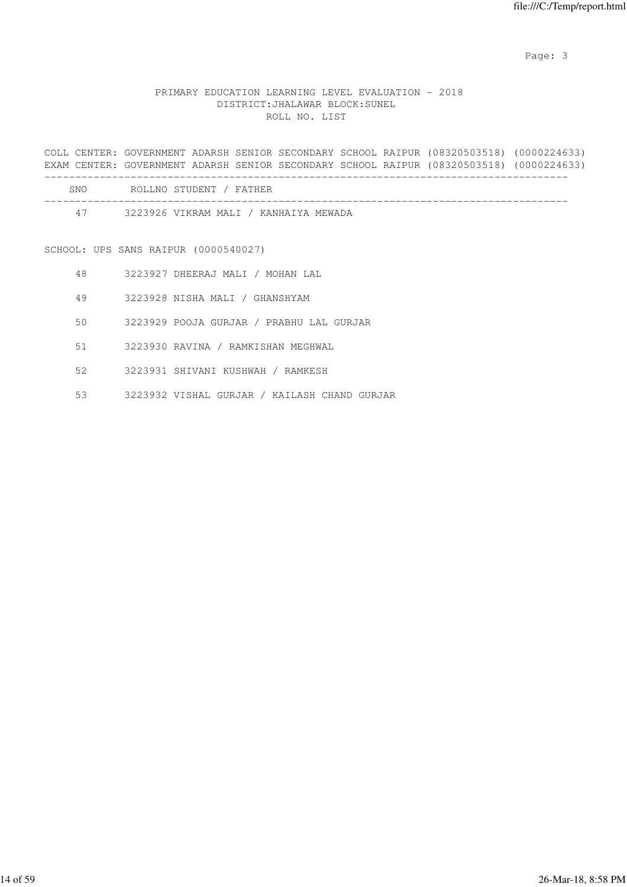# PRIMARY EDUCATION LEARNING LEVEL EVALUATION - 2018 DISTRICT:JHALAWAR BLOCK:SUNEL ROLL NO. LIST

COLL CENTER: GOVERNMENT ADARSH SENIOR SECONDARY SCHOOL RAIPUR (08320503518) (0000224633) EXAM CENTER: GOVERNMENT ADARSH SENIOR SECONDARY SCHOOL RAIPUR (08320503518) (0000224633)

| SNO | ROLLNO STUDENT / FATHER               |
|-----|---------------------------------------|
| 47  | 3223926 VIKRAM MALI / KANHAIYA MEWADA |

SCHOOL: UPS SANS RAIPUR (0000540027)

- 48 3223927 DHEERAJ MALI / MOHAN LAL
- 49 3223928 NISHA MALI / GHANSHYAM
- 50 3223929 POOJA GURJAR / PRABHU LAL GURJAR
- 51 3223930 RAVINA / RAMKISHAN MEGHWAL
- 52 3223931 SHIVANI KUSHWAH / RAMKESH
- 53 3223932 VISHAL GURJAR / KAILASH CHAND GURJAR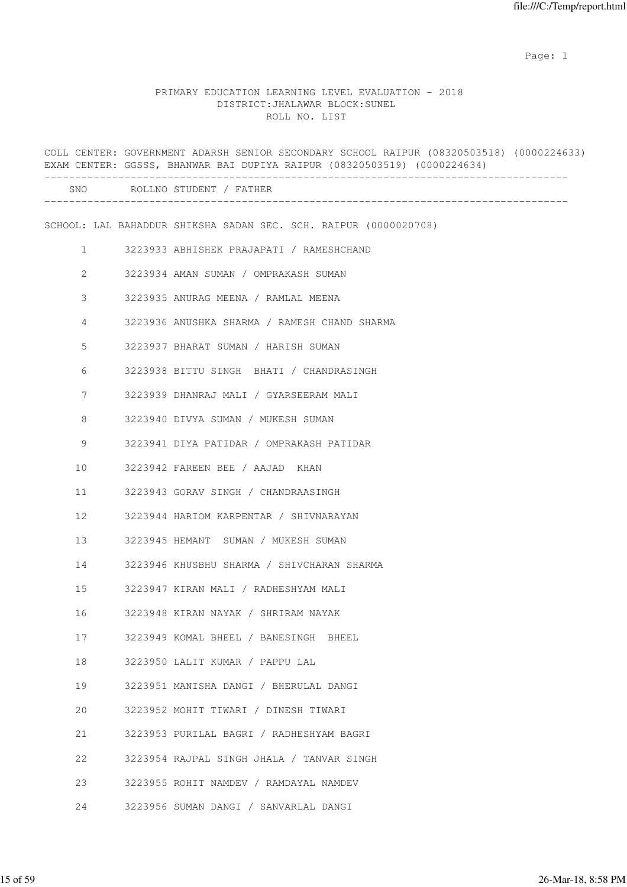example of the state of the state of the state of the state of the state of the state of the state of the state of the state of the state of the state of the state of the state of the state of the state of the state of the

#### PRIMARY EDUCATION LEARNING LEVEL EVALUATION - 2018 DISTRICT:JHALAWAR BLOCK:SUNEL ROLL NO. LIST

|              | COLL CENTER: GOVERNMENT ADARSH SENIOR SECONDARY SCHOOL RAIPUR (08320503518) (0000224633)<br>EXAM CENTER: GGSSS, BHANWAR BAI DUPIYA RAIPUR (08320503519) (0000224634) |
|--------------|----------------------------------------------------------------------------------------------------------------------------------------------------------------------|
|              | SNO ROLLNO STUDENT / FATHER                                                                                                                                          |
|              | SCHOOL: LAL BAHADDUR SHIKSHA SADAN SEC. SCH. RAIPUR (0000020708)                                                                                                     |
| $\mathbf{1}$ | 3223933 ABHISHEK PRAJAPATI / RAMESHCHAND                                                                                                                             |
| 2            | 3223934 AMAN SUMAN / OMPRAKASH SUMAN                                                                                                                                 |
| 3            | 3223935 ANURAG MEENA / RAMLAL MEENA                                                                                                                                  |
| 4            | 3223936 ANUSHKA SHARMA / RAMESH CHAND SHARMA                                                                                                                         |
| 5            | 3223937 BHARAT SUMAN / HARISH SUMAN                                                                                                                                  |
| 6            | 3223938 BITTU SINGH BHATI / CHANDRASINGH                                                                                                                             |
| 7            | 3223939 DHANRAJ MALI / GYARSEERAM MALI                                                                                                                               |
| 8            | 3223940 DIVYA SUMAN / MUKESH SUMAN                                                                                                                                   |
| 9            | 3223941 DIYA PATIDAR / OMPRAKASH PATIDAR                                                                                                                             |
| 10           | 3223942 FAREEN BEE / AAJAD KHAN                                                                                                                                      |
| 11           | 3223943 GORAV SINGH / CHANDRAASINGH                                                                                                                                  |
| 12           | 3223944 HARIOM KARPENTAR / SHIVNARAYAN                                                                                                                               |
| 13           | 3223945 HEMANT SUMAN / MUKESH SUMAN                                                                                                                                  |
| 14           | 3223946 KHUSBHU SHARMA / SHIVCHARAN SHARMA                                                                                                                           |
| 15           | 3223947 KIRAN MALI / RADHESHYAM MALI                                                                                                                                 |
| 16           | 3223948 KIRAN NAYAK / SHRIRAM NAYAK                                                                                                                                  |
| 17           | 3223949 KOMAL BHEEL / BANESINGH BHEEL                                                                                                                                |
| 18           | 3223950 LALIT KUMAR / PAPPU LAL                                                                                                                                      |
| 19           | 3223951 MANISHA DANGI / BHERULAL DANGI                                                                                                                               |
| 20           | 3223952 MOHIT TIWARI / DINESH TIWARI                                                                                                                                 |
| 21           | 3223953 PURILAL BAGRI / RADHESHYAM BAGRI                                                                                                                             |
| 22           | 3223954 RAJPAL SINGH JHALA / TANVAR SINGH                                                                                                                            |
| 23           | 3223955 ROHIT NAMDEV / RAMDAYAL NAMDEV                                                                                                                               |
| 24           | 3223956 SUMAN DANGI / SANVARLAL DANGI                                                                                                                                |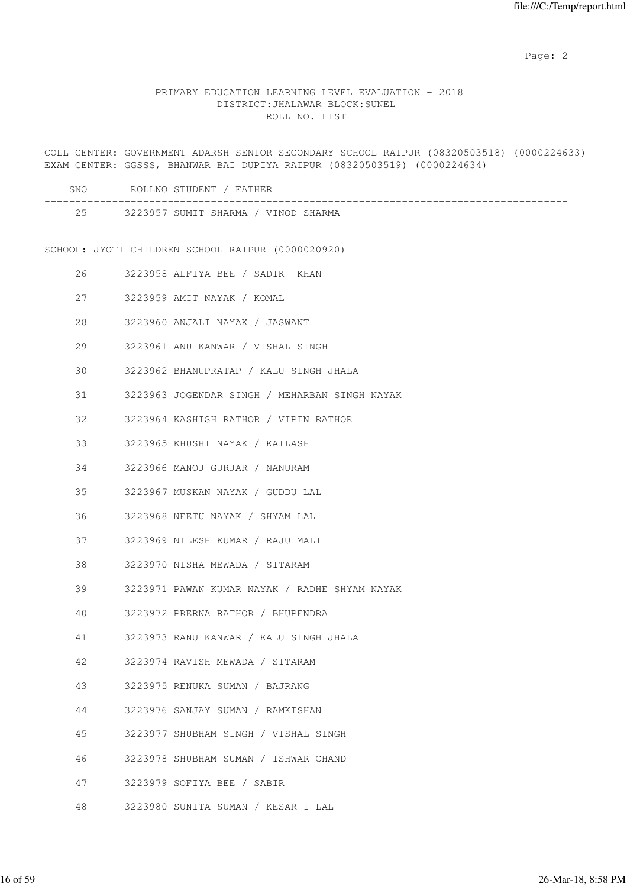### PRIMARY EDUCATION LEARNING LEVEL EVALUATION - 2018 DISTRICT:JHALAWAR BLOCK:SUNEL ROLL NO. LIST

COLL CENTER: GOVERNMENT ADARSH SENIOR SECONDARY SCHOOL RAIPUR (08320503518) (0000224633) EXAM CENTER: GGSSS, BHANWAR BAI DUPIYA RAIPUR (08320503519) (0000224634) ------------------------------------------------------------------------------------- SNO ROLLNO STUDENT / FATHER ------------------------------------------------------------------------------------- 25 3223957 SUMIT SHARMA / VINOD SHARMA SCHOOL: JYOTI CHILDREN SCHOOL RAIPUR (0000020920) 26 3223958 ALFIYA BEE / SADIK KHAN 27 3223959 AMIT NAYAK / KOMAL 28 3223960 ANJALI NAYAK / JASWANT 29 3223961 ANU KANWAR / VISHAL SINGH 30 3223962 BHANUPRATAP / KALU SINGH JHALA 31 3223963 JOGENDAR SINGH / MEHARBAN SINGH NAYAK 32 3223964 KASHISH RATHOR / VIPIN RATHOR 33 3223965 KHUSHI NAYAK / KAILASH 34 3223966 MANOJ GURJAR / NANURAM 35 3223967 MUSKAN NAYAK / GUDDU LAL 36 3223968 NEETU NAYAK / SHYAM LAL 37 3223969 NILESH KUMAR / RAJU MALI 38 3223970 NISHA MEWADA / SITARAM 39 3223971 PAWAN KUMAR NAYAK / RADHE SHYAM NAYAK 40 3223972 PRERNA RATHOR / BHUPENDRA 41 3223973 RANU KANWAR / KALU SINGH JHALA 42 3223974 RAVISH MEWADA / SITARAM 43 3223975 RENUKA SUMAN / BAJRANG 44 3223976 SANJAY SUMAN / RAMKISHAN 45 3223977 SHUBHAM SINGH / VISHAL SINGH 46 3223978 SHUBHAM SUMAN / ISHWAR CHAND 47 3223979 SOFIYA BEE / SABIR 48 3223980 SUNITA SUMAN / KESAR I LAL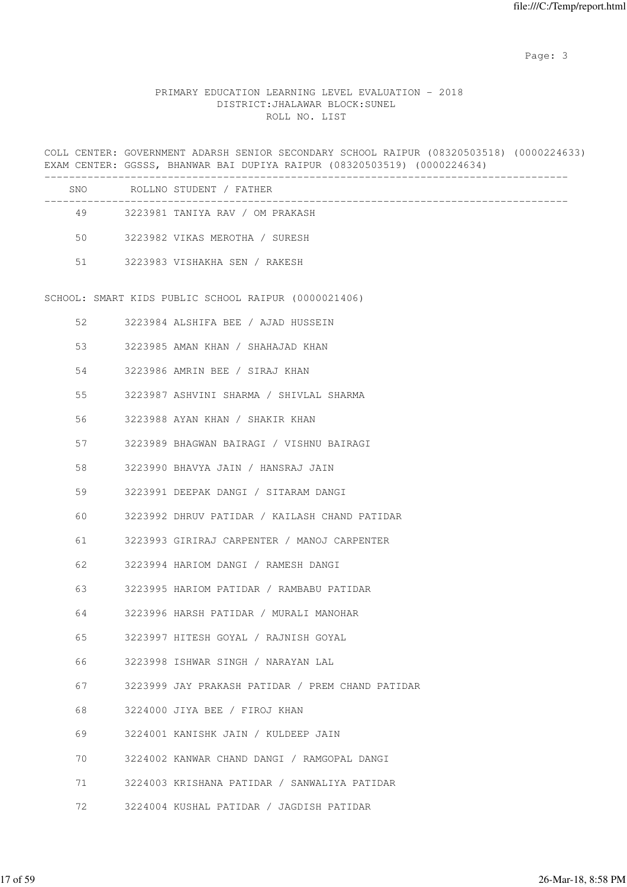# PRIMARY EDUCATION LEARNING LEVEL EVALUATION - 2018 DISTRICT:JHALAWAR BLOCK:SUNEL ROLL NO. LIST

COLL CENTER: GOVERNMENT ADARSH SENIOR SECONDARY SCHOOL RAIPUR (08320503518) (0000224633) EXAM CENTER: GGSSS, BHANWAR BAI DUPIYA RAIPUR (08320503519) (0000224634)

| ROLLNO STUDENT / FATHER         |
|---------------------------------|
| 3223981 TANIYA RAV / OM PRAKASH |
| 3223982 VIKAS MEROTHA / SURESH  |
| 3223983 VISHAKHA SEN / RAKESH   |
|                                 |

SCHOOL: SMART KIDS PUBLIC SCHOOL RAIPUR (0000021406)

| 52      | 3223984 ALSHIFA BEE / AJAD HUSSEIN               |
|---------|--------------------------------------------------|
| 53      | 3223985 AMAN KHAN / SHAHAJAD KHAN                |
| 54      | 3223986 AMRIN BEE / SIRAJ KHAN                   |
| 55      | 3223987 ASHVINI SHARMA / SHIVLAL SHARMA          |
| 56      | 3223988 AYAN KHAN / SHAKIR KHAN                  |
| 57      | 3223989 BHAGWAN BAIRAGI / VISHNU BAIRAGI         |
| 58      | 3223990 BHAVYA JAIN / HANSRAJ JAIN               |
| 59      | 3223991 DEEPAK DANGI / SITARAM DANGI             |
| 60      | 3223992 DHRUV PATIDAR / KAILASH CHAND PATIDAR    |
| 61      | 3223993 GIRIRAJ CARPENTER / MANOJ CARPENTER      |
| 62 — 10 | 3223994 HARIOM DANGI / RAMESH DANGI              |
| 63      | 3223995 HARIOM PATIDAR / RAMBABU PATIDAR         |
| 64      | 3223996 HARSH PATIDAR / MURALI MANOHAR           |
| 65      | 3223997 HITESH GOYAL / RAJNISH GOYAL             |
| 66      | 3223998 ISHWAR SINGH / NARAYAN LAL               |
| 67 — 10 | 3223999 JAY PRAKASH PATIDAR / PREM CHAND PATIDAR |
| 68      | 3224000 JIYA BEE / FIROJ KHAN                    |
| 69      | 3224001 KANISHK JAIN / KULDEEP JAIN              |
| 70      | 3224002 KANWAR CHAND DANGI / RAMGOPAL DANGI      |
| 71      | 3224003 KRISHANA PATIDAR / SANWALIYA PATIDAR     |
|         | 72 3224004 KUSHAL PATIDAR / JAGDISH PATIDAR      |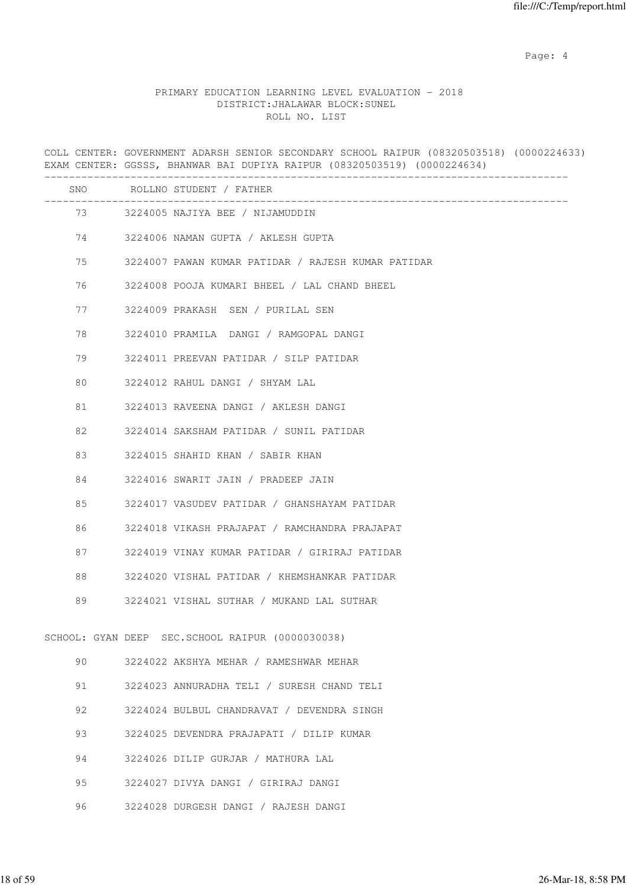Page: 4  $P$ 

# PRIMARY EDUCATION LEARNING LEVEL EVALUATION - 2018 DISTRICT:JHALAWAR BLOCK:SUNEL ROLL NO. LIST

COLL CENTER: GOVERNMENT ADARSH SENIOR SECONDARY SCHOOL RAIPUR (08320503518) (0000224633) EXAM CENTER: GGSSS, BHANWAR BAI DUPIYA RAIPUR (08320503519) (0000224634) ------------------------------------------------------------------------------------- SNO ROLLNO STUDENT / FATHER ------------------------------------------------------------------------------------- 73 3224005 NAJIYA BEE / NIJAMUDDIN 74 3224006 NAMAN GUPTA / AKLESH GUPTA 75 3224007 PAWAN KUMAR PATIDAR / RAJESH KUMAR PATIDAR 76 3224008 POOJA KUMARI BHEEL / LAL CHAND BHEEL 77 3224009 PRAKASH SEN / PURILAL SEN 78 3224010 PRAMILA DANGI / RAMGOPAL DANGI 79 3224011 PREEVAN PATIDAR / SILP PATIDAR 80 3224012 RAHUL DANGI / SHYAM LAL 81 3224013 RAVEENA DANGI / AKLESH DANGI 82 3224014 SAKSHAM PATIDAR / SUNIL PATIDAR 83 3224015 SHAHID KHAN / SABIR KHAN 84 3224016 SWARIT JAIN / PRADEEP JAIN 85 3224017 VASUDEV PATIDAR / GHANSHAYAM PATIDAR 86 3224018 VIKASH PRAJAPAT / RAMCHANDRA PRAJAPAT 87 3224019 VINAY KUMAR PATIDAR / GIRIRAJ PATIDAR 88 3224020 VISHAL PATIDAR / KHEMSHANKAR PATIDAR 89 3224021 VISHAL SUTHAR / MUKAND LAL SUTHAR SCHOOL: GYAN DEEP SEC.SCHOOL RAIPUR (0000030038) 90 3224022 AKSHYA MEHAR / RAMESHWAR MEHAR 91 3224023 ANNURADHA TELI / SURESH CHAND TELI 92 3224024 BULBUL CHANDRAVAT / DEVENDRA SINGH 93 3224025 DEVENDRA PRAJAPATI / DILIP KUMAR 94 3224026 DILIP GURJAR / MATHURA LAL

- 95 3224027 DIVYA DANGI / GIRIRAJ DANGI
- 96 3224028 DURGESH DANGI / RAJESH DANGI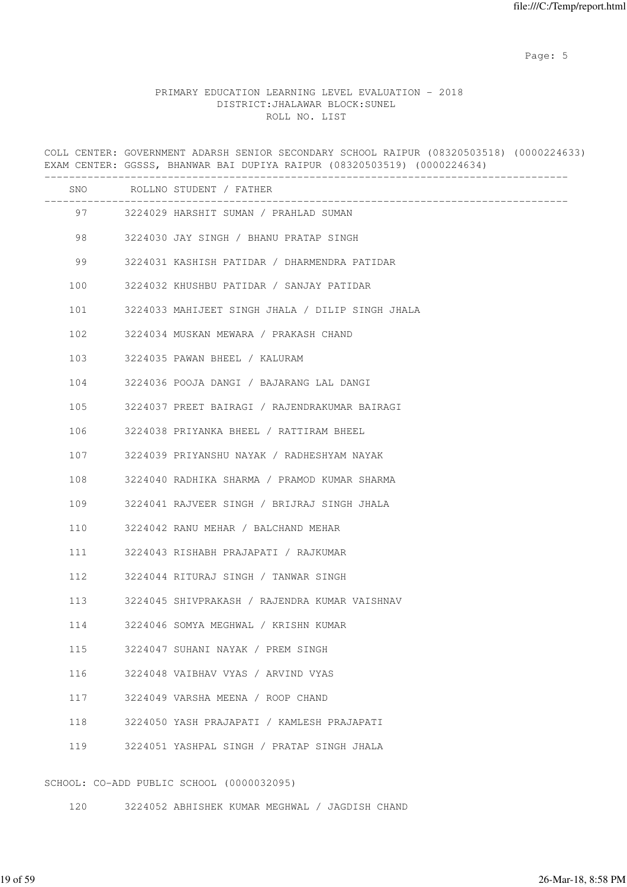Page: 5  $P$  and  $P$  and  $P$  and  $P$  and  $P$  and  $P$  and  $P$  and  $P$  and  $P$  and  $P$  and  $P$  and  $P$  and  $P$  and  $P$  and  $P$  and  $P$  and  $P$  and  $P$  and  $P$  and  $P$  and  $P$  and  $P$  and  $P$  and  $P$  and  $P$  and  $P$  and  $P$  an

#### PRIMARY EDUCATION LEARNING LEVEL EVALUATION - 2018 DISTRICT:JHALAWAR BLOCK:SUNEL ROLL NO. LIST

COLL CENTER: GOVERNMENT ADARSH SENIOR SECONDARY SCHOOL RAIPUR (08320503518) (0000224633) EXAM CENTER: GGSSS, BHANWAR BAI DUPIYA RAIPUR (08320503519) (0000224634) ------------------------------------------------------------------------------------- SNO ROLLNO STUDENT / FATHER ------------------------------------------------------------------------------------- 97 3224029 HARSHIT SUMAN / PRAHLAD SUMAN 98 3224030 JAY SINGH / BHANU PRATAP SINGH 99 3224031 KASHISH PATIDAR / DHARMENDRA PATIDAR 100 3224032 KHUSHBU PATIDAR / SANJAY PATIDAR 101 3224033 MAHIJEET SINGH JHALA / DILIP SINGH JHALA 102 3224034 MUSKAN MEWARA / PRAKASH CHAND 103 3224035 PAWAN BHEEL / KALURAM 104 3224036 POOJA DANGI / BAJARANG LAL DANGI 105 3224037 PREET BAIRAGI / RAJENDRAKUMAR BAIRAGI 106 3224038 PRIYANKA BHEEL / RATTIRAM BHEEL 107 3224039 PRIYANSHU NAYAK / RADHESHYAM NAYAK 108 3224040 RADHIKA SHARMA / PRAMOD KUMAR SHARMA 109 3224041 RAJVEER SINGH / BRIJRAJ SINGH JHALA 110 3224042 RANU MEHAR / BALCHAND MEHAR 111 3224043 RISHABH PRAJAPATI / RAJKUMAR 112 3224044 RITURAJ SINGH / TANWAR SINGH 113 3224045 SHIVPRAKASH / RAJENDRA KUMAR VAISHNAV 114 3224046 SOMYA MEGHWAL / KRISHN KUMAR 115 3224047 SUHANI NAYAK / PREM SINGH 116 3224048 VAIBHAV VYAS / ARVIND VYAS 117 3224049 VARSHA MEENA / ROOP CHAND 118 3224050 YASH PRAJAPATI / KAMLESH PRAJAPATI 119 3224051 YASHPAL SINGH / PRATAP SINGH JHALA

SCHOOL: CO-ADD PUBLIC SCHOOL (0000032095)

120 3224052 ABHISHEK KUMAR MEGHWAL / JAGDISH CHAND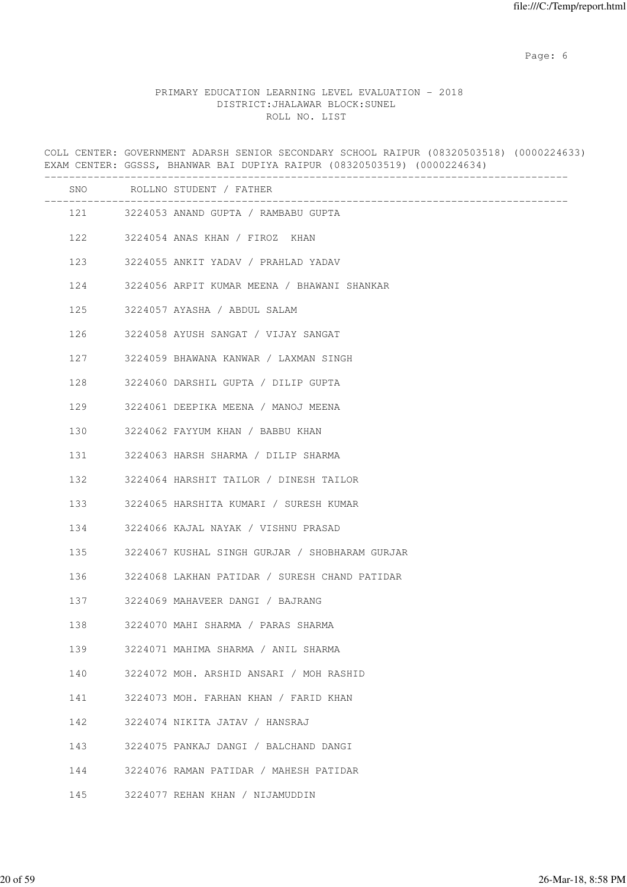Page: 6  $P$  and  $P$  and  $P$  and  $P$  and  $P$  and  $P$  and  $P$  and  $P$  and  $P$  and  $P$  and  $P$  and  $P$  and  $P$  and  $P$  and  $P$  and  $P$  and  $P$  and  $P$  and  $P$  and  $P$  and  $P$  and  $P$  and  $P$  and  $P$  and  $P$  and  $P$  and  $P$  an

# PRIMARY EDUCATION LEARNING LEVEL EVALUATION - 2018 DISTRICT:JHALAWAR BLOCK:SUNEL ROLL NO. LIST

COLL CENTER: GOVERNMENT ADARSH SENIOR SECONDARY SCHOOL RAIPUR (08320503518) (0000224633) EXAM CENTER: GGSSS, BHANWAR BAI DUPIYA RAIPUR (08320503519) (0000224634) ------------------------------------------------------------------------------------- SNO ROLLNO STUDENT / FATHER ------------------------------------------------------------------------------------- 121 3224053 ANAND GUPTA / RAMBABU GUPTA 122 3224054 ANAS KHAN / FIROZ KHAN 123 3224055 ANKIT YADAV / PRAHLAD YADAV 124 3224056 ARPIT KUMAR MEENA / BHAWANI SHANKAR 125 3224057 AYASHA / ABDUL SALAM 126 3224058 AYUSH SANGAT / VIJAY SANGAT 127 3224059 BHAWANA KANWAR / LAXMAN SINGH 128 3224060 DARSHIL GUPTA / DILIP GUPTA 129 3224061 DEEPIKA MEENA / MANOJ MEENA 130 3224062 FAYYUM KHAN / BABBU KHAN 131 3224063 HARSH SHARMA / DILIP SHARMA 132 3224064 HARSHIT TAILOR / DINESH TAILOR 133 3224065 HARSHITA KUMARI / SURESH KUMAR 134 3224066 KAJAL NAYAK / VISHNU PRASAD 135 3224067 KUSHAL SINGH GURJAR / SHOBHARAM GURJAR 136 3224068 LAKHAN PATIDAR / SURESH CHAND PATIDAR 137 3224069 MAHAVEER DANGI / BAJRANG 138 3224070 MAHI SHARMA / PARAS SHARMA 139 3224071 MAHIMA SHARMA / ANIL SHARMA 140 3224072 MOH. ARSHID ANSARI / MOH RASHID 141 3224073 MOH. FARHAN KHAN / FARID KHAN 142 3224074 NIKITA JATAV / HANSRAJ 143 3224075 PANKAJ DANGI / BALCHAND DANGI 144 3224076 RAMAN PATIDAR / MAHESH PATIDAR 145 3224077 REHAN KHAN / NIJAMUDDIN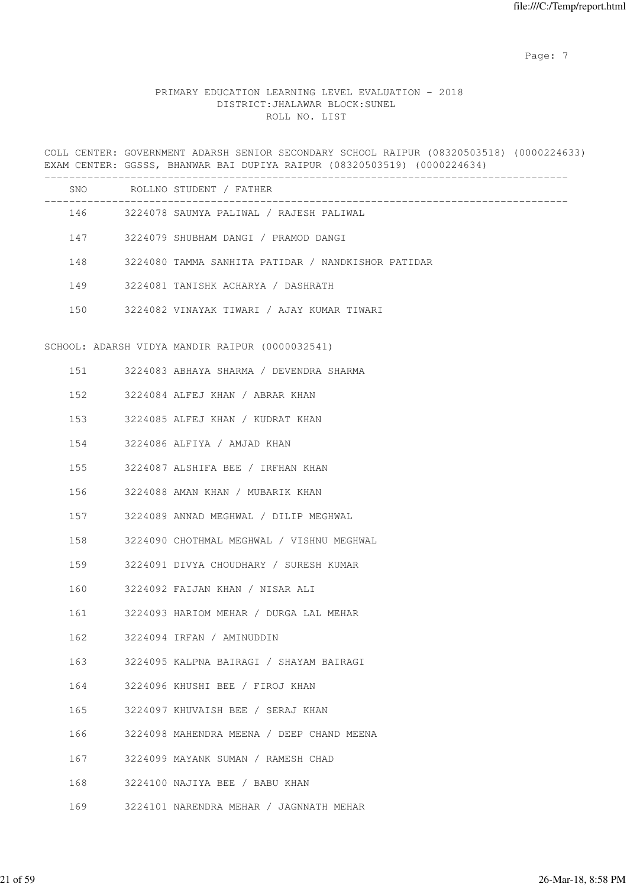Page: 7  $P$  and  $P$  and  $P$  and  $P$  and  $P$  and  $P$  and  $P$  and  $P$  and  $P$  and  $P$  and  $P$  and  $P$  and  $P$  and  $P$  and  $P$  and  $P$  and  $P$  and  $P$  and  $P$  and  $P$  and  $P$  and  $P$  and  $P$  and  $P$  and  $P$  and  $P$  and  $P$  an

# PRIMARY EDUCATION LEARNING LEVEL EVALUATION - 2018 DISTRICT:JHALAWAR BLOCK:SUNEL ROLL NO. LIST

COLL CENTER: GOVERNMENT ADARSH SENIOR SECONDARY SCHOOL RAIPUR (08320503518) (0000224633) EXAM CENTER: GGSSS, BHANWAR BAI DUPIYA RAIPUR (08320503519) (0000224634)

|     | SNO ROLLNO STUDENT / FATHER                            |
|-----|--------------------------------------------------------|
|     | 146 3224078 SAUMYA PALIWAL / RAJESH PALIWAL            |
|     | 147 3224079 SHUBHAM DANGI / PRAMOD DANGI               |
|     | 148 3224080 TAMMA SANHITA PATIDAR / NANDKISHOR PATIDAR |
|     | 149 3224081 TANISHK ACHARYA / DASHRATH                 |
|     | 150 3224082 VINAYAK TIWARI / AJAY KUMAR TIWARI         |
|     |                                                        |
|     | SCHOOL: ADARSH VIDYA MANDIR RAIPUR (0000032541)        |
|     | 151 3224083 ABHAYA SHARMA / DEVENDRA SHARMA            |
|     | 152 3224084 ALFEJ KHAN / ABRAR KHAN                    |
|     | 153 3224085 ALFEJ KHAN / KUDRAT KHAN                   |
|     | 154 3224086 ALFIYA / AMJAD KHAN                        |
|     | 155 3224087 ALSHIFA BEE / IRFHAN KHAN                  |
|     | 156 3224088 AMAN KHAN / MUBARIK KHAN                   |
|     | 157 3224089 ANNAD MEGHWAL / DILIP MEGHWAL              |
|     | 158 3224090 CHOTHMAL MEGHWAL / VISHNU MEGHWAL          |
|     | 159 3224091 DIVYA CHOUDHARY / SURESH KUMAR             |
|     | 160 3224092 FAIJAN KHAN / NISAR ALI                    |
|     | 161 3224093 HARIOM MEHAR / DURGA LAL MEHAR             |
| 162 | 3224094 IRFAN / AMINUDDIN                              |
| 163 | 3224095 KALPNA BAIRAGI / SHAYAM BAIRAGI                |
| 164 | 3224096 KHUSHI BEE / FIROJ KHAN                        |
| 165 | 3224097 KHUVAISH BEE / SERAJ KHAN                      |
| 166 | 3224098 MAHENDRA MEENA / DEEP CHAND MEENA              |
| 167 | 3224099 MAYANK SUMAN / RAMESH CHAD                     |
| 168 | 3224100 NAJIYA BEE / BABU KHAN                         |
| 169 | 3224101 NARENDRA MEHAR / JAGNNATH MEHAR                |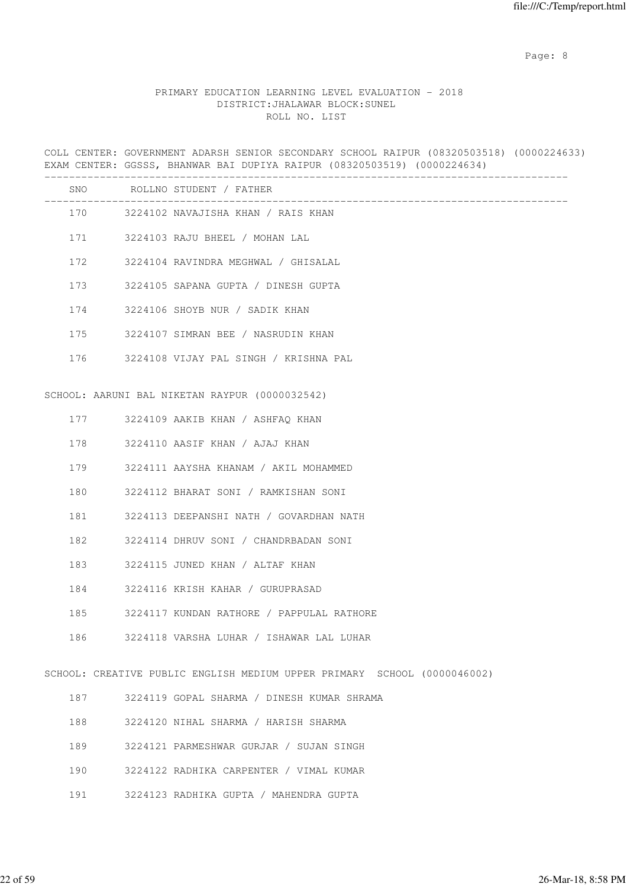Page: 8 and 20 and 20 and 20 and 20 and 20 and 20 and 20 and 20 and 20 and 20 and 20 and 20 and 20 and 20 and

# PRIMARY EDUCATION LEARNING LEVEL EVALUATION - 2018 DISTRICT:JHALAWAR BLOCK:SUNEL ROLL NO. LIST

COLL CENTER: GOVERNMENT ADARSH SENIOR SECONDARY SCHOOL RAIPUR (08320503518) (0000224633) EXAM CENTER: GGSSS, BHANWAR BAI DUPIYA RAIPUR (08320503519) (0000224634)

|     | SNO ROLLNO STUDENT / FATHER<br>-----------------------                   |
|-----|--------------------------------------------------------------------------|
|     | 170 3224102 NAVAJISHA KHAN / RAIS KHAN                                   |
|     | 171 3224103 RAJU BHEEL / MOHAN LAL                                       |
|     | 172 3224104 RAVINDRA MEGHWAL / GHISALAL                                  |
|     | 173 3224105 SAPANA GUPTA / DINESH GUPTA                                  |
|     | 174 3224106 SHOYB NUR / SADIK KHAN                                       |
|     | 175 3224107 SIMRAN BEE / NASRUDIN KHAN                                   |
|     | 176 3224108 VIJAY PAL SINGH / KRISHNA PAL                                |
|     | SCHOOL: AARUNI BAL NIKETAN RAYPUR (0000032542)                           |
|     |                                                                          |
|     | 177 3224109 AAKIB KHAN / ASHFAQ KHAN                                     |
| 178 | 3224110 AASIF KHAN / AJAJ KHAN                                           |
| 179 | 3224111 AAYSHA KHANAM / AKIL MOHAMMED                                    |
| 180 | 3224112 BHARAT SONI / RAMKISHAN SONI                                     |
| 181 | 3224113 DEEPANSHI NATH / GOVARDHAN NATH                                  |
| 182 | 3224114 DHRUV SONI / CHANDRBADAN SONI                                    |
| 183 | 3224115 JUNED KHAN / ALTAF KHAN                                          |
| 184 | 3224116 KRISH KAHAR / GURUPRASAD                                         |
| 185 | 3224117 KUNDAN RATHORE / PAPPULAL RATHORE                                |
| 186 | 3224118 VARSHA LUHAR / ISHAWAR LAL LUHAR                                 |
|     |                                                                          |
|     | SCHOOL: CREATIVE PUBLIC ENGLISH MEDIUM UPPER PRIMARY SCHOOL (0000046002) |
| 187 | 3224119 GOPAL SHARMA / DINESH KUMAR SHRAMA                               |
| 188 | 3224120 NIHAL SHARMA / HARISH SHARMA                                     |
| 189 | 3224121 PARMESHWAR GURJAR / SUJAN SINGH                                  |
| 190 | 3224122 RADHIKA CARPENTER / VIMAL KUMAR                                  |

191 3224123 RADHIKA GUPTA / MAHENDRA GUPTA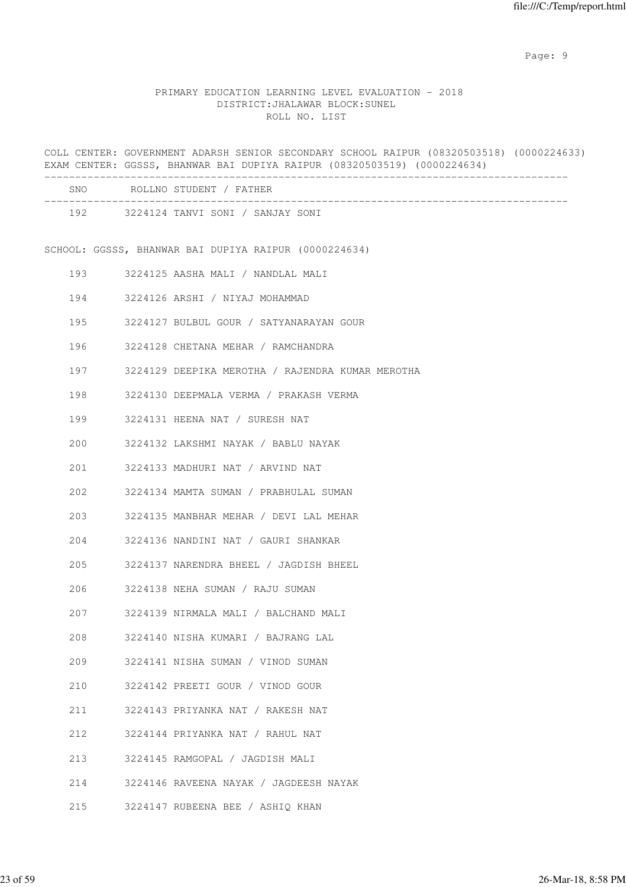en de la provincia de la provincia de la provincia de la provincia de la provincia de la provincia de la provi

### PRIMARY EDUCATION LEARNING LEVEL EVALUATION - 2018 DISTRICT:JHALAWAR BLOCK:SUNEL ROLL NO. LIST

COLL CENTER: GOVERNMENT ADARSH SENIOR SECONDARY SCHOOL RAIPUR (08320503518) (0000224633) EXAM CENTER: GGSSS, BHANWAR BAI DUPIYA RAIPUR (08320503519) (0000224634) ------------------------------------------------------------------------------------- SNO ROLLNO STUDENT / FATHER ------------------------------------------------------------------------------------- 192 3224124 TANVI SONI / SANJAY SONI SCHOOL: GGSSS, BHANWAR BAI DUPIYA RAIPUR (0000224634) 193 3224125 AASHA MALI / NANDLAL MALI 194 3224126 ARSHI / NIYAJ MOHAMMAD 195 3224127 BULBUL GOUR / SATYANARAYAN GOUR 196 3224128 CHETANA MEHAR / RAMCHANDRA 197 3224129 DEEPIKA MEROTHA / RAJENDRA KUMAR MEROTHA 198 3224130 DEEPMALA VERMA / PRAKASH VERMA 199 3224131 HEENA NAT / SURESH NAT 200 3224132 LAKSHMI NAYAK / BABLU NAYAK 201 3224133 MADHURI NAT / ARVIND NAT 202 3224134 MAMTA SUMAN / PRABHULAL SUMAN 203 3224135 MANBHAR MEHAR / DEVI LAL MEHAR 204 3224136 NANDINI NAT / GAURI SHANKAR 205 3224137 NARENDRA BHEEL / JAGDISH BHEEL 206 3224138 NEHA SUMAN / RAJU SUMAN 207 3224139 NIRMALA MALI / BALCHAND MALI 208 3224140 NISHA KUMARI / BAJRANG LAL 209 3224141 NISHA SUMAN / VINOD SUMAN 210 3224142 PREETI GOUR / VINOD GOUR 211 3224143 PRIYANKA NAT / RAKESH NAT 212 3224144 PRIYANKA NAT / RAHUL NAT 213 3224145 RAMGOPAL / JAGDISH MALI 214 3224146 RAVEENA NAYAK / JAGDEESH NAYAK 215 3224147 RUBEENA BEE / ASHIQ KHAN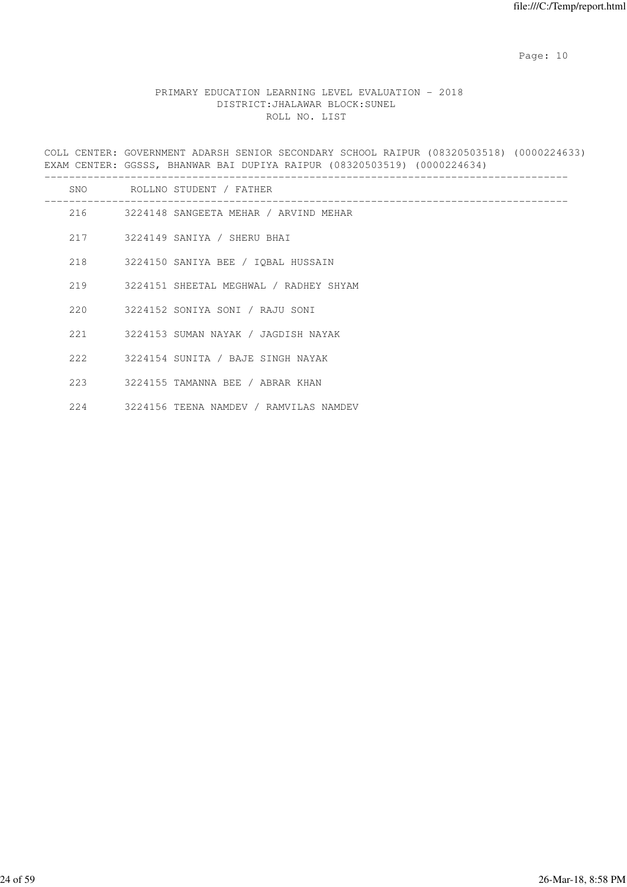# PRIMARY EDUCATION LEARNING LEVEL EVALUATION - 2018 DISTRICT:JHALAWAR BLOCK:SUNEL ROLL NO. LIST

COLL CENTER: GOVERNMENT ADARSH SENIOR SECONDARY SCHOOL RAIPUR (08320503518) (0000224633) EXAM CENTER: GGSSS, BHANWAR BAI DUPIYA RAIPUR (08320503519) (0000224634)

|       | SNO ROLLNO STUDENT / FATHER                |  |
|-------|--------------------------------------------|--|
|       | 216 3224148 SANGEETA MEHAR / ARVIND MEHAR  |  |
|       | 217 3224149 SANIYA / SHERU BHAI            |  |
|       | 218 3224150 SANIYA BEE / IOBAL HUSSAIN     |  |
|       | 219 3224151 SHEETAL MEGHWAL / RADHEY SHYAM |  |
|       | 220 3224152 SONIYA SONI / RAJU SONI        |  |
|       | 221 3224153 SUMAN NAYAK / JAGDISH NAYAK    |  |
|       | 222 3224154 SUNITA / BAJE SINGH NAYAK      |  |
|       | 223 3224155 TAMANNA BEE / ABRAR KHAN       |  |
| 2.2.4 | 3224156 TEENA NAMDEV / RAMVILAS NAMDEV     |  |
|       |                                            |  |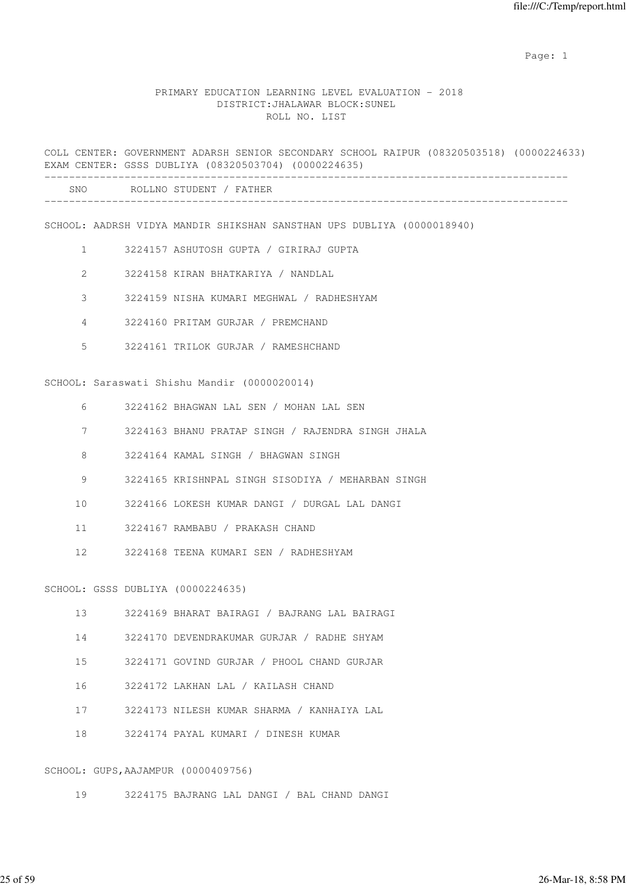example of the state of the state of the state of the state of the state of the state of the state of the state of the state of the state of the state of the state of the state of the state of the state of the state of the

#### PRIMARY EDUCATION LEARNING LEVEL EVALUATION - 2018 DISTRICT:JHALAWAR BLOCK:SUNEL ROLL NO. LIST

COLL CENTER: GOVERNMENT ADARSH SENIOR SECONDARY SCHOOL RAIPUR (08320503518) (0000224633) EXAM CENTER: GSSS DUBLIYA (08320503704) (0000224635) -------------------------------------------------------------------------------------

| SNC<br>_____ |  |
|--------------|--|
|              |  |

SCHOOL: AADRSH VIDYA MANDIR SHIKSHAN SANSTHAN UPS DUBLIYA (0000018940)

- 1 3224157 ASHUTOSH GUPTA / GIRIRAJ GUPTA
- 2 3224158 KIRAN BHATKARIYA / NANDLAL
- 3 3224159 NISHA KUMARI MEGHWAL / RADHESHYAM
- 4 3224160 PRITAM GURJAR / PREMCHAND
- 5 3224161 TRILOK GURJAR / RAMESHCHAND

SCHOOL: Saraswati Shishu Mandir (0000020014)

- 6 3224162 BHAGWAN LAL SEN / MOHAN LAL SEN
- 7 3224163 BHANU PRATAP SINGH / RAJENDRA SINGH JHALA
- 8 3224164 KAMAL SINGH / BHAGWAN SINGH
- 9 3224165 KRISHNPAL SINGH SISODIYA / MEHARBAN SINGH
- 10 3224166 LOKESH KUMAR DANGI / DURGAL LAL DANGI
- 11 3224167 RAMBABU / PRAKASH CHAND
- 12 3224168 TEENA KUMARI SEN / RADHESHYAM

SCHOOL: GSSS DUBLIYA (0000224635)

- 13 3224169 BHARAT BAIRAGI / BAJRANG LAL BAIRAGI
- 14 3224170 DEVENDRAKUMAR GURJAR / RADHE SHYAM
- 15 3224171 GOVIND GURJAR / PHOOL CHAND GURJAR
- 16 3224172 LAKHAN LAL / KAILASH CHAND
- 17 3224173 NILESH KUMAR SHARMA / KANHAIYA LAL
- 18 3224174 PAYAL KUMARI / DINESH KUMAR

#### SCHOOL: GUPS,AAJAMPUR (0000409756)

19 3224175 BAJRANG LAL DANGI / BAL CHAND DANGI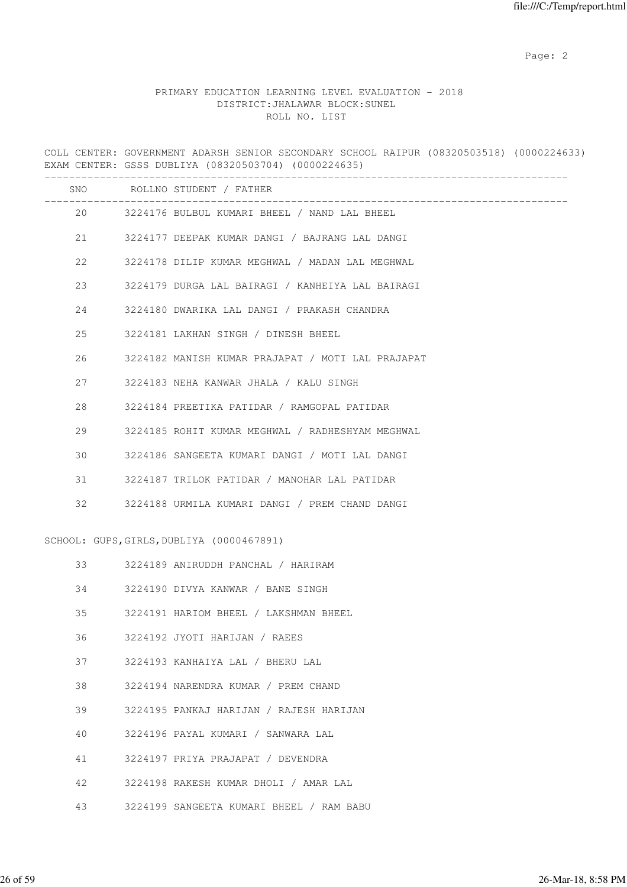# PRIMARY EDUCATION LEARNING LEVEL EVALUATION - 2018 DISTRICT:JHALAWAR BLOCK:SUNEL ROLL NO. LIST

COLL CENTER: GOVERNMENT ADARSH SENIOR SECONDARY SCHOOL RAIPUR (08320503518) (0000224633) EXAM CENTER: GSSS DUBLIYA (08320503704) (0000224635)

|    | SNO ROLLNO STUDENT / FATHER |                                                   |
|----|-----------------------------|---------------------------------------------------|
|    |                             | 20 3224176 BULBUL KUMARI BHEEL / NAND LAL BHEEL   |
| 21 |                             | 3224177 DEEPAK KUMAR DANGI / BAJRANG LAL DANGI    |
| 22 |                             | 3224178 DILIP KUMAR MEGHWAL / MADAN LAL MEGHWAL   |
| 23 |                             | 3224179 DURGA LAL BAIRAGI / KANHEIYA LAL BAIRAGI  |
| 24 |                             | 3224180 DWARIKA LAL DANGI / PRAKASH CHANDRA       |
| 25 |                             | 3224181 LAKHAN SINGH / DINESH BHEEL               |
| 26 |                             | 3224182 MANISH KUMAR PRAJAPAT / MOTI LAL PRAJAPAT |
| 27 |                             | 3224183 NEHA KANWAR JHALA / KALU SINGH            |
| 28 |                             | 3224184 PREETIKA PATIDAR / RAMGOPAL PATIDAR       |
| 29 |                             | 3224185 ROHIT KUMAR MEGHWAL / RADHESHYAM MEGHWAL  |
| 30 |                             | 3224186 SANGEETA KUMARI DANGI / MOTI LAL DANGI    |
| 31 |                             | 3224187 TRILOK PATIDAR / MANOHAR LAL PATIDAR      |
| 32 |                             | 3224188 URMILA KUMARI DANGI / PREM CHAND DANGI    |
|    |                             | SCHOOL: GUPS, GIRLS, DUBLIYA (0000467891)         |
| 33 |                             | 3224189 ANIRUDDH PANCHAL / HARIRAM                |
| 34 |                             | 3224190 DIVYA KANWAR / BANE SINGH                 |
| 35 |                             | 3224191 HARIOM BHEEL / LAKSHMAN BHEEL             |
| 36 |                             | 3224192 JYOTI HARIJAN / RAEES                     |
| 37 |                             | 3224193 KANHAIYA LAL / BHERU LAL                  |
| 38 |                             | 3224194 NARENDRA KUMAR / PREM CHAND               |
| 39 |                             | 3224195 PANKAJ HARIJAN / RAJESH HARIJAN           |
| 40 |                             | 3224196 PAYAL KUMARI / SANWARA LAL                |
| 41 |                             | 3224197 PRIYA PRAJAPAT / DEVENDRA                 |
| 42 |                             | 3224198 RAKESH KUMAR DHOLI / AMAR LAL             |

43 3224199 SANGEETA KUMARI BHEEL / RAM BABU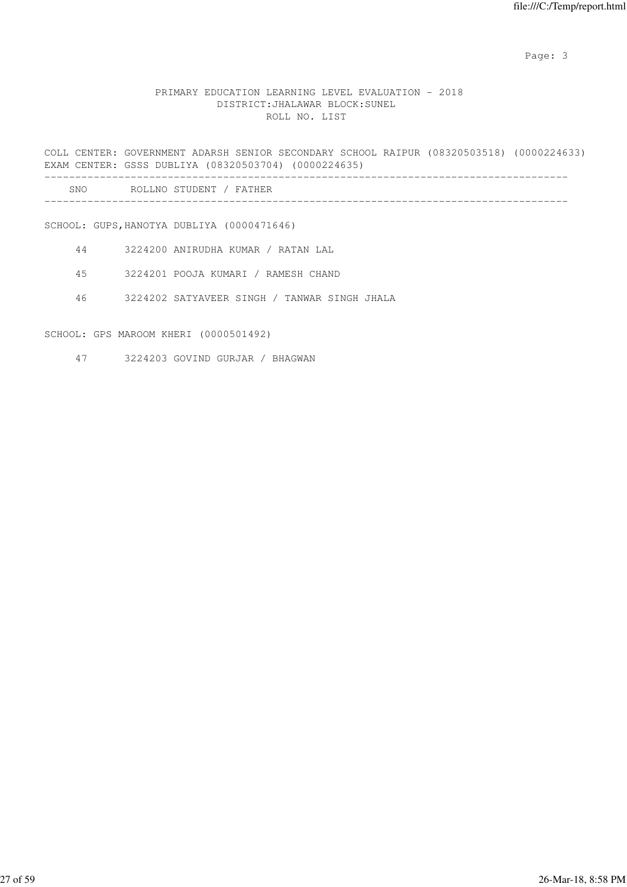## PRIMARY EDUCATION LEARNING LEVEL EVALUATION - 2018 DISTRICT:JHALAWAR BLOCK:SUNEL ROLL NO. LIST

COLL CENTER: GOVERNMENT ADARSH SENIOR SECONDARY SCHOOL RAIPUR (08320503518) (0000224633) EXAM CENTER: GSSS DUBLIYA (08320503704) (0000224635)

| SNC | וחס<br>.NC<br>דדם<br>'NE<br>ロハ |  |
|-----|--------------------------------|--|
|     |                                |  |

SCHOOL: GUPS,HANOTYA DUBLIYA (0000471646)

- 44 3224200 ANIRUDHA KUMAR / RATAN LAL
- 45 3224201 POOJA KUMARI / RAMESH CHAND
- 46 3224202 SATYAVEER SINGH / TANWAR SINGH JHALA

SCHOOL: GPS MAROOM KHERI (0000501492)

47 3224203 GOVIND GURJAR / BHAGWAN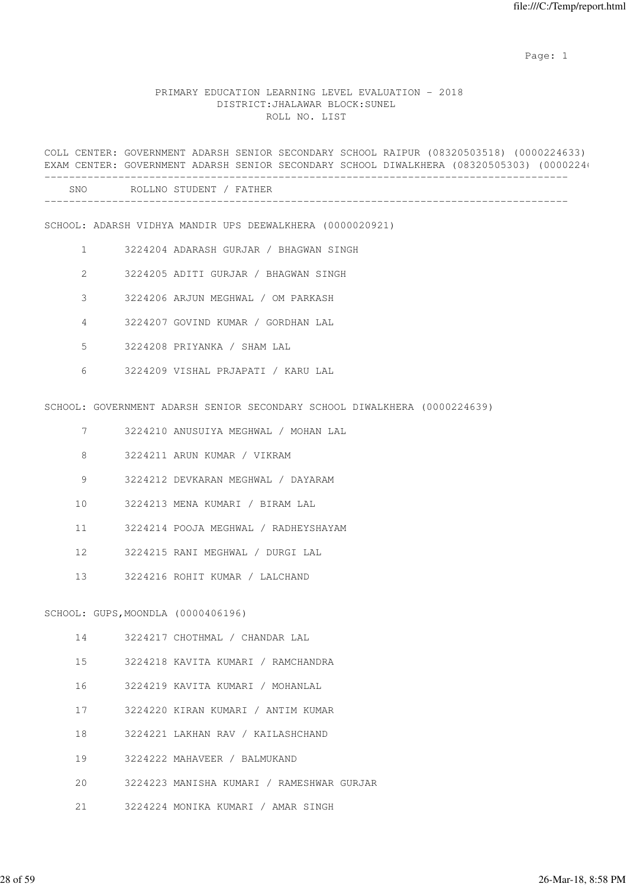example of the state of the state of the state of the state of the state of the state of the state of the state of the state of the state of the state of the state of the state of the state of the state of the state of the

#### PRIMARY EDUCATION LEARNING LEVEL EVALUATION - 2018 DISTRICT:JHALAWAR BLOCK:SUNEL ROLL NO. LIST

COLL CENTER: GOVERNMENT ADARSH SENIOR SECONDARY SCHOOL RAIPUR (08320503518) (0000224633) EXAM CENTER: GOVERNMENT ADARSH SENIOR SECONDARY SCHOOL DIWALKHERA (08320505303) (0000224) -------------------------------------------------------------------------------------

-------------------------------------------------------------------------------------

| SNC<br>ROLLNO | STUDENT<br>. TUUD<br>묘잡 |
|---------------|-------------------------|
|               |                         |

SCHOOL: ADARSH VIDHYA MANDIR UPS DEEWALKHERA (0000020921)

- 1 3224204 ADARASH GURJAR / BHAGWAN SINGH
- 2 3224205 ADITI GURJAR / BHAGWAN SINGH
- 3 3224206 ARJUN MEGHWAL / OM PARKASH
- 4 3224207 GOVIND KUMAR / GORDHAN LAL
- 5 3224208 PRIYANKA / SHAM LAL
- 6 3224209 VISHAL PRJAPATI / KARU LAL

SCHOOL: GOVERNMENT ADARSH SENIOR SECONDARY SCHOOL DIWALKHERA (0000224639)

- 7 3224210 ANUSUIYA MEGHWAL / MOHAN LAL
- 8 3224211 ARUN KUMAR / VIKRAM
- 9 3224212 DEVKARAN MEGHWAL / DAYARAM
- 10 3224213 MENA KUMARI / BIRAM LAL
- 11 3224214 POOJA MEGHWAL / RADHEYSHAYAM
- 12 3224215 RANI MEGHWAL / DURGI LAL
- 13 3224216 ROHIT KUMAR / LALCHAND

SCHOOL: GUPS,MOONDLA (0000406196)

- 14 3224217 CHOTHMAL / CHANDAR LAL
- 15 3224218 KAVITA KUMARI / RAMCHANDRA
- 16 3224219 KAVITA KUMARI / MOHANLAL
- 17 3224220 KIRAN KUMARI / ANTIM KUMAR
- 18 3224221 LAKHAN RAV / KAILASHCHAND
- 19 3224222 MAHAVEER / BALMUKAND
- 20 3224223 MANISHA KUMARI / RAMESHWAR GURJAR
- 21 3224224 MONIKA KUMARI / AMAR SINGH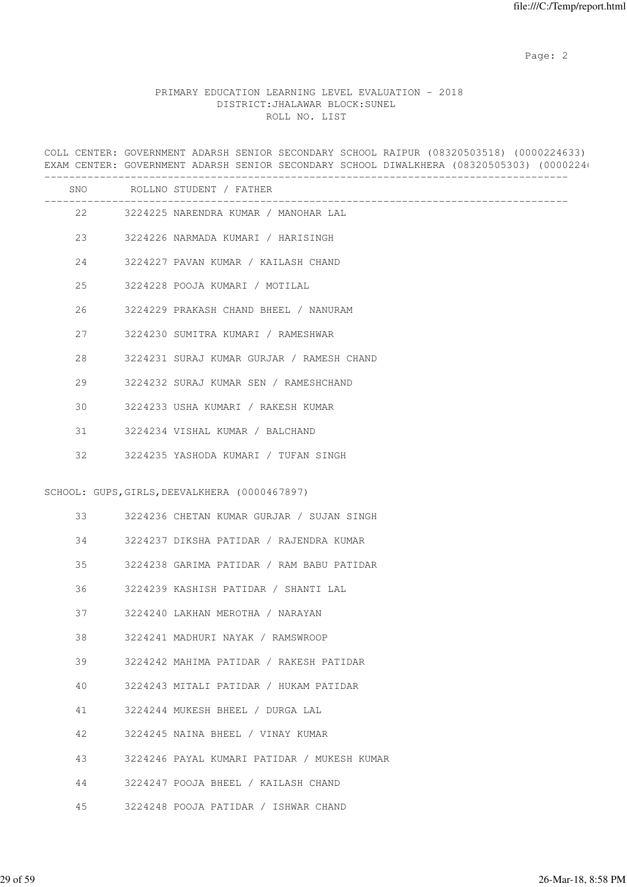# PRIMARY EDUCATION LEARNING LEVEL EVALUATION - 2018 DISTRICT:JHALAWAR BLOCK:SUNEL ROLL NO. LIST

COLL CENTER: GOVERNMENT ADARSH SENIOR SECONDARY SCHOOL RAIPUR (08320503518) (0000224633) EXAM CENTER: GOVERNMENT ADARSH SENIOR SECONDARY SCHOOL DIWALKHERA (08320505303) (0000224) ------------------------------------------------------------------------------------- SNO ROLLNO STUDENT / FATHER ------------------------------------------------------------------------------------- 22 3224225 NARENDRA KUMAR / MANOHAR LAL 23 3224226 NARMADA KUMARI / HARISINGH 24 3224227 PAVAN KUMAR / KAILASH CHAND 25 3224228 POOJA KUMARI / MOTILAL

26 3224229 PRAKASH CHAND BHEEL / NANURAM

27 3224230 SUMITRA KUMARI / RAMESHWAR

28 3224231 SURAJ KUMAR GURJAR / RAMESH CHAND

29 3224232 SURAJ KUMAR SEN / RAMESHCHAND

30 3224233 USHA KUMARI / RAKESH KUMAR

31 3224234 VISHAL KUMAR / BALCHAND

32 3224235 YASHODA KUMARI / TUFAN SINGH

SCHOOL: GUPS, GIRLS, DEEVALKHERA (0000467897)

| 3224236 CHETAN KUMAR GURJAR / SUJAN SINGH |  |  |  |  |  |  |
|-------------------------------------------|--|--|--|--|--|--|
|-------------------------------------------|--|--|--|--|--|--|

34 3224237 DIKSHA PATIDAR / RAJENDRA KUMAR

35 3224238 GARIMA PATIDAR / RAM BABU PATIDAR

36 3224239 KASHISH PATIDAR / SHANTI LAL

37 3224240 LAKHAN MEROTHA / NARAYAN

38 3224241 MADHURI NAYAK / RAMSWROOP

39 3224242 MAHIMA PATIDAR / RAKESH PATIDAR

40 3224243 MITALI PATIDAR / HUKAM PATIDAR

41 3224244 MUKESH BHEEL / DURGA LAL

42 3224245 NAINA BHEEL / VINAY KUMAR

43 3224246 PAYAL KUMARI PATIDAR / MUKESH KUMAR

44 3224247 POOJA BHEEL / KAILASH CHAND

45 3224248 POOJA PATIDAR / ISHWAR CHAND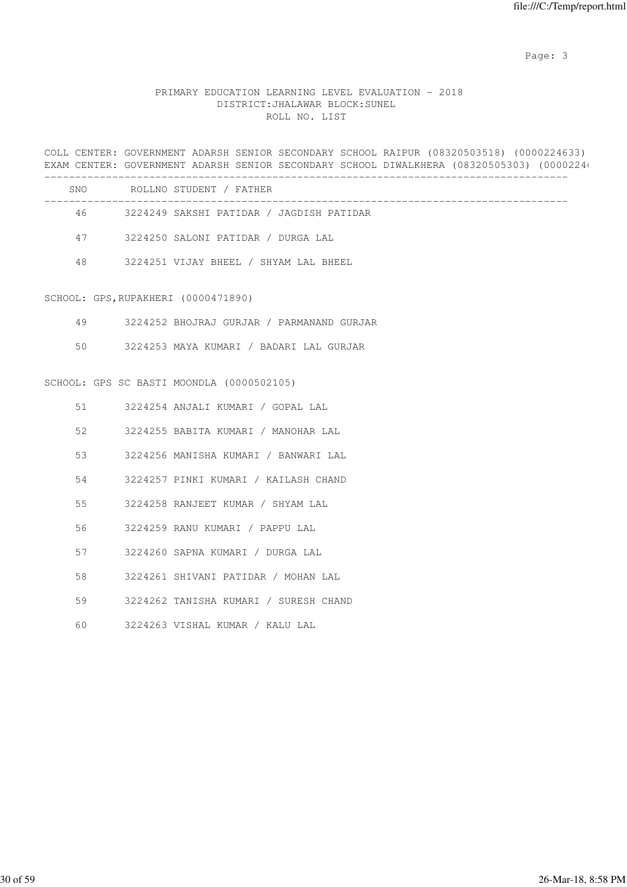# PRIMARY EDUCATION LEARNING LEVEL EVALUATION - 2018 DISTRICT:JHALAWAR BLOCK:SUNEL ROLL NO. LIST

COLL CENTER: GOVERNMENT ADARSH SENIOR SECONDARY SCHOOL RAIPUR (08320503518) (0000224633) EXAM CENTER: GOVERNMENT ADARSH SENIOR SECONDARY SCHOOL DIWALKHERA (08320505303) (0000224)

| <b>SNO</b> | ROLLNO STUDENT / FATHER                  |
|------------|------------------------------------------|
| 46         | 3224249 SAKSHI PATIDAR / JAGDISH PATIDAR |
| 47         | 3224250 SALONI PATIDAR / DURGA LAL       |
| 48         | 3224251 VIJAY BHEEL / SHYAM LAL BHEEL    |

SCHOOL: GPS,RUPAKHERI (0000471890)

|  | 3224252 BHOJRAJ GURJAR / PARMANAND GURJAR |  |  |  |
|--|-------------------------------------------|--|--|--|
|--|-------------------------------------------|--|--|--|

50 3224253 MAYA KUMARI / BADARI LAL GURJAR

#### SCHOOL: GPS SC BASTI MOONDLA (0000502105)

| 51 | 3224254 ANJALI KUMARI / GOPAL LAL     |
|----|---------------------------------------|
| 52 | 3224255 BABITA KUMARI / MANOHAR LAL   |
| 53 | 3224256 MANISHA KUMARI / BANWARI LAL  |
| 54 | 3224257 PINKI KUMARI / KAILASH CHAND  |
| 55 | 3224258 RANJEET KUMAR / SHYAM LAL     |
| 56 | 3224259 RANU KUMARI / PAPPU LAL       |
| 57 | 3224260 SAPNA KUMARI / DURGA LAL      |
| 58 | 3224261 SHIVANI PATIDAR / MOHAN LAL   |
| 59 | 3224262 TANISHA KUMARI / SURESH CHAND |
| 60 | 3224263 VISHAL KUMAR / KALU LAL       |
|    |                                       |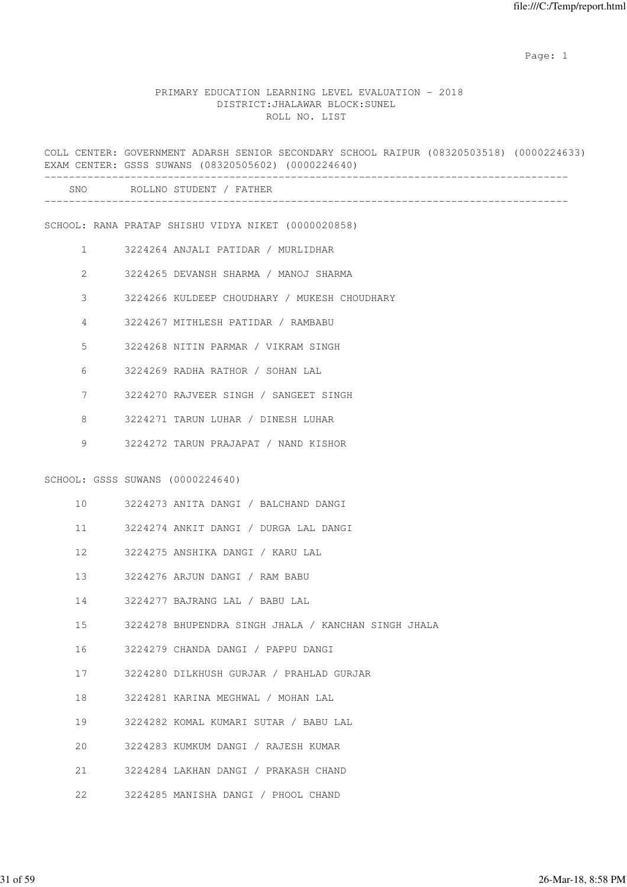example of the state of the state of the state of the state of the state of the state of the state of the state of the state of the state of the state of the state of the state of the state of the state of the state of the

### PRIMARY EDUCATION LEARNING LEVEL EVALUATION - 2018 DISTRICT:JHALAWAR BLOCK:SUNEL ROLL NO. LIST

COLL CENTER: GOVERNMENT ADARSH SENIOR SECONDARY SCHOOL RAIPUR (08320503518) (0000224633) EXAM CENTER: GSSS SUWANS (08320505602) (0000224640) ------------------------------------------------------------------------------------- SNO ROLLNO STUDENT / FATHER ------------------------------------------------------------------------------------- SCHOOL: RANA PRATAP SHISHU VIDYA NIKET (0000020858) 1 3224264 ANJALI PATIDAR / MURLIDHAR 2 3224265 DEVANSH SHARMA / MANOJ SHARMA 3 3224266 KULDEEP CHOUDHARY / MUKESH CHOUDHARY 4 3224267 MITHLESH PATIDAR / RAMBABU 5 3224268 NITIN PARMAR / VIKRAM SINGH 6 3224269 RADHA RATHOR / SOHAN LAL 7 3224270 RAJVEER SINGH / SANGEET SINGH 8 3224271 TARUN LUHAR / DINESH LUHAR 9 3224272 TARUN PRAJAPAT / NAND KISHOR SCHOOL: GSSS SUWANS (0000224640) 10 3224273 ANITA DANGI / BALCHAND DANGI 11 3224274 ANKIT DANGI / DURGA LAL DANGI 12 3224275 ANSHIKA DANGI / KARU LAL 13 3224276 ARJUN DANGI / RAM BABU 14 3224277 BAJRANG LAL / BABU LAL 15 3224278 BHUPENDRA SINGH JHALA / KANCHAN SINGH JHALA 16 3224279 CHANDA DANGI / PAPPU DANGI 17 3224280 DILKHUSH GURJAR / PRAHLAD GURJAR 18 3224281 KARINA MEGHWAL / MOHAN LAL 19 3224282 KOMAL KUMARI SUTAR / BABU LAL 20 3224283 KUMKUM DANGI / RAJESH KUMAR 21 3224284 LAKHAN DANGI / PRAKASH CHAND 22 3224285 MANISHA DANGI / PHOOL CHAND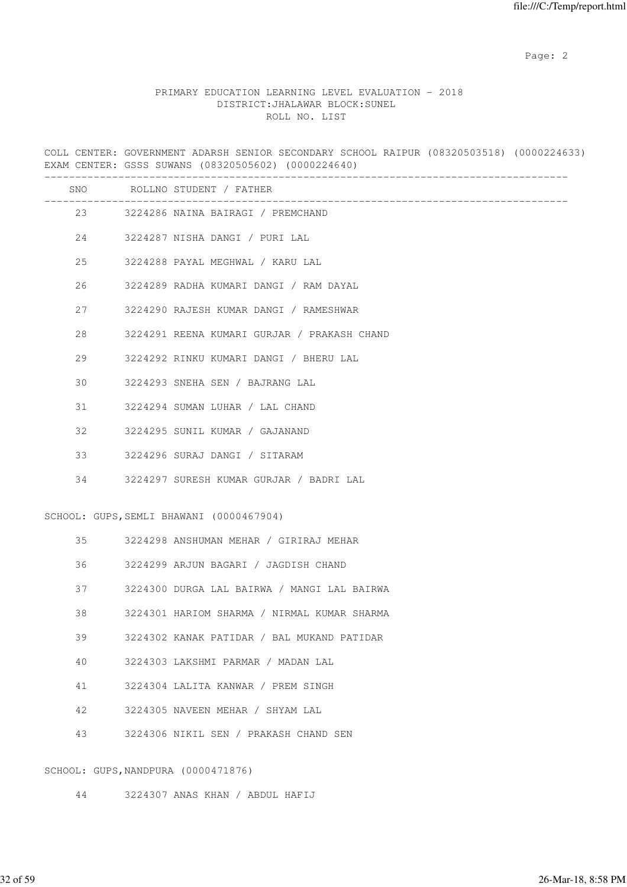# PRIMARY EDUCATION LEARNING LEVEL EVALUATION - 2018 DISTRICT:JHALAWAR BLOCK:SUNEL ROLL NO. LIST

COLL CENTER: GOVERNMENT ADARSH SENIOR SECONDARY SCHOOL RAIPUR (08320503518) (0000224633) EXAM CENTER: GSSS SUWANS (08320505602) (0000224640)

|    | SNO ROLLNO STUDENT / FATHER                          |
|----|------------------------------------------------------|
|    | ------------<br>23 3224286 NAINA BAIRAGI / PREMCHAND |
| 24 | 3224287 NISHA DANGI / PURI LAL                       |
| 25 | 3224288 PAYAL MEGHWAL / KARU LAL                     |
| 26 | 3224289 RADHA KUMARI DANGI / RAM DAYAL               |
| 27 | 3224290 RAJESH KUMAR DANGI / RAMESHWAR               |
| 28 | 3224291 REENA KUMARI GURJAR / PRAKASH CHAND          |
| 29 | 3224292 RINKU KUMARI DANGI / BHERU LAL               |
| 30 | 3224293 SNEHA SEN / BAJRANG LAL                      |
| 31 | 3224294 SUMAN LUHAR / LAL CHAND                      |
| 32 | 3224295 SUNIL KUMAR / GAJANAND                       |
| 33 | 3224296 SURAJ DANGI / SITARAM                        |
| 34 | 3224297 SURESH KUMAR GURJAR / BADRI LAL              |
|    | SCHOOL: GUPS, SEMLI BHAWANI (0000467904)             |
| 35 | 3224298 ANSHUMAN MEHAR / GIRIRAJ MEHAR               |
| 36 | 3224299 ARJUN BAGARI / JAGDISH CHAND                 |
| 37 | 3224300 DURGA LAL BAIRWA / MANGI LAL BAIRWA          |
| 38 | 3224301 HARIOM SHARMA / NIRMAL KUMAR SHARMA          |
| 39 | 3224302 KANAK PATIDAR / BAL MUKAND PATIDAR           |
| 40 | 3224303 LAKSHMI PARMAR / MADAN LAL                   |
| 41 | 3224304 LALITA KANWAR / PREM SINGH                   |
| 42 | 3224305 NAVEEN MEHAR / SHYAM LAL                     |
| 43 | 3224306 NIKIL SEN / PRAKASH CHAND SEN                |
|    | SCHOOL: GUPS, NANDPURA (0000471876)                  |

44 3224307 ANAS KHAN / ABDUL HAFIJ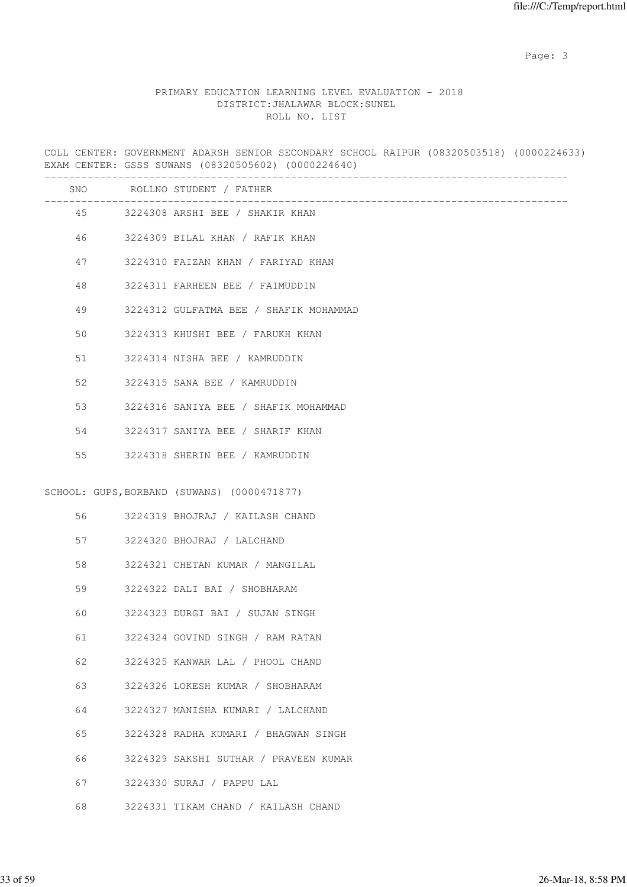# PRIMARY EDUCATION LEARNING LEVEL EVALUATION - 2018 DISTRICT:JHALAWAR BLOCK:SUNEL ROLL NO. LIST

COLL CENTER: GOVERNMENT ADARSH SENIOR SECONDARY SCHOOL RAIPUR (08320503518) (0000224633) EXAM CENTER: GSSS SUWANS (08320505602) (0000224640)

|    | SNO ROLLNO STUDENT / FATHER                 |
|----|---------------------------------------------|
|    | 45 3224308 ARSHI BEE / SHAKIR KHAN          |
|    | 46 3224309 BILAL KHAN / RAFIK KHAN          |
| 47 | 3224310 FAIZAN KHAN / FARIYAD KHAN          |
| 48 | 3224311 FARHEEN BEE / FAIMUDDIN             |
| 49 | 3224312 GULFATMA BEE / SHAFIK MOHAMMAD      |
| 50 | 3224313 KHUSHI BEE / FARUKH KHAN            |
| 51 | 3224314 NISHA BEE / KAMRUDDIN               |
| 52 | 3224315 SANA BEE / KAMRUDDIN                |
| 53 | 3224316 SANIYA BEE / SHAFIK MOHAMMAD        |
| 54 | 3224317 SANIYA BEE / SHARIF KHAN            |
| 55 | 3224318 SHERIN BEE / KAMRUDDIN              |
|    | SCHOOL: GUPS, BORBAND (SUWANS) (0000471877) |
|    |                                             |
| 56 | 3224319 BHOJRAJ / KAILASH CHAND             |
| 57 | 3224320 BHOJRAJ / LALCHAND                  |
| 58 | 3224321 CHETAN KUMAR / MANGILAL             |
| 59 | 3224322 DALI BAI / SHOBHARAM                |
| 60 | 3224323 DURGI BAI / SUJAN SINGH             |
| 61 | 3224324 GOVIND SINGH / RAM RATAN            |
| 62 | 3224325 KANWAR LAL / PHOOL CHAND            |
| 63 | 3224326 LOKESH KUMAR / SHOBHARAM            |
| 64 | 3224327 MANISHA KUMARI / LALCHAND           |
| 65 | 3224328 RADHA KUMARI / BHAGWAN SINGH        |
| 66 | 3224329 SAKSHI SUTHAR / PRAVEEN KUMAR       |
| 67 | 3224330 SURAJ / PAPPU LAL                   |
| 68 | 3224331 TIKAM CHAND / KAILASH CHAND         |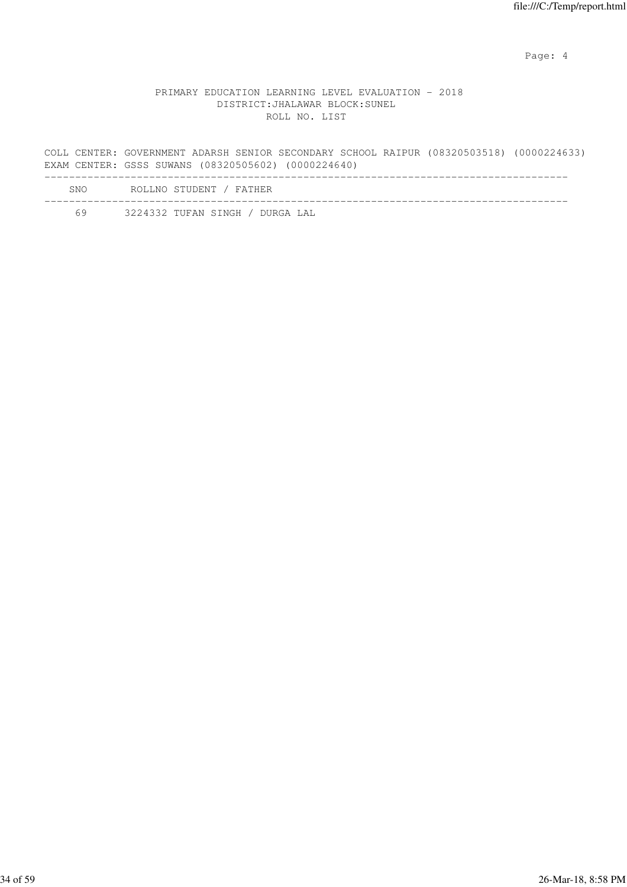Page: 4  $P$ 

# PRIMARY EDUCATION LEARNING LEVEL EVALUATION - 2018 DISTRICT:JHALAWAR BLOCK:SUNEL ROLL NO. LIST

COLL CENTER: GOVERNMENT ADARSH SENIOR SECONDARY SCHOOL RAIPUR (08320503518) (0000224633) EXAM CENTER: GSSS SUWANS (08320505602) (0000224640)

| SNO | ROLLNO STUDENT / FATHER         |
|-----|---------------------------------|
| 69  | 3224332 TUFAN SINGH / DURGA LAL |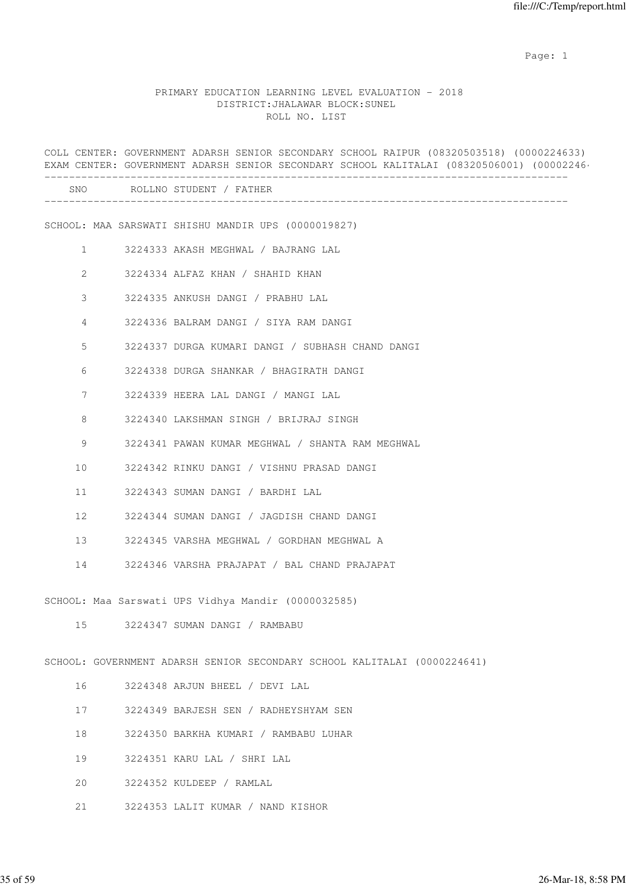example of the state of the state of the state of the state of the state of the state of the state of the state of the state of the state of the state of the state of the state of the state of the state of the state of the

# PRIMARY EDUCATION LEARNING LEVEL EVALUATION - 2018 DISTRICT:JHALAWAR BLOCK:SUNEL ROLL NO. LIST

|              |  | COLL CENTER: GOVERNMENT ADARSH SENIOR SECONDARY SCHOOL RAIPUR (08320503518) (0000224633)<br>EXAM CENTER: GOVERNMENT ADARSH SENIOR SECONDARY SCHOOL KALITALAI (08320506001) (00002246 |
|--------------|--|--------------------------------------------------------------------------------------------------------------------------------------------------------------------------------------|
|              |  | SNO ROLLNO STUDENT / FATHER                                                                                                                                                          |
|              |  | SCHOOL: MAA SARSWATI SHISHU MANDIR UPS (0000019827)                                                                                                                                  |
| $\mathbf{1}$ |  | 3224333 AKASH MEGHWAL / BAJRANG LAL                                                                                                                                                  |
| 2            |  | 3224334 ALFAZ KHAN / SHAHID KHAN                                                                                                                                                     |
| 3            |  | 3224335 ANKUSH DANGI / PRABHU LAL                                                                                                                                                    |
| 4            |  | 3224336 BALRAM DANGI / SIYA RAM DANGI                                                                                                                                                |
| 5            |  | 3224337 DURGA KUMARI DANGI / SUBHASH CHAND DANGI                                                                                                                                     |
| 6            |  | 3224338 DURGA SHANKAR / BHAGIRATH DANGI                                                                                                                                              |
| 7            |  | 3224339 HEERA LAL DANGI / MANGI LAL                                                                                                                                                  |
| 8            |  | 3224340 LAKSHMAN SINGH / BRIJRAJ SINGH                                                                                                                                               |
| 9            |  | 3224341 PAWAN KUMAR MEGHWAL / SHANTA RAM MEGHWAL                                                                                                                                     |
| 10           |  | 3224342 RINKU DANGI / VISHNU PRASAD DANGI                                                                                                                                            |
| 11           |  | 3224343 SUMAN DANGI / BARDHI LAL                                                                                                                                                     |
| 12           |  | 3224344 SUMAN DANGI / JAGDISH CHAND DANGI                                                                                                                                            |
| 13           |  | 3224345 VARSHA MEGHWAL / GORDHAN MEGHWAL A                                                                                                                                           |
| 14           |  | 3224346 VARSHA PRAJAPAT / BAL CHAND PRAJAPAT                                                                                                                                         |
|              |  | SCHOOL: Maa Sarswati UPS Vidhya Mandir (0000032585)                                                                                                                                  |
| 15           |  | 3224347 SUMAN DANGI / RAMBABU                                                                                                                                                        |
|              |  | SCHOOL: GOVERNMENT ADARSH SENIOR SECONDARY SCHOOL KALITALAI (0000224641)                                                                                                             |
| 16           |  | 3224348 ARJUN BHEEL / DEVI LAL                                                                                                                                                       |
| 17           |  | 3224349 BARJESH SEN / RADHEYSHYAM SEN                                                                                                                                                |
| 18           |  | 3224350 BARKHA KUMARI / RAMBABU LUHAR                                                                                                                                                |
| 19           |  | 3224351 KARU LAL / SHRI LAL                                                                                                                                                          |
| 20           |  | 3224352 KULDEEP / RAMLAL                                                                                                                                                             |
| 21           |  | 3224353 LALIT KUMAR / NAND KISHOR                                                                                                                                                    |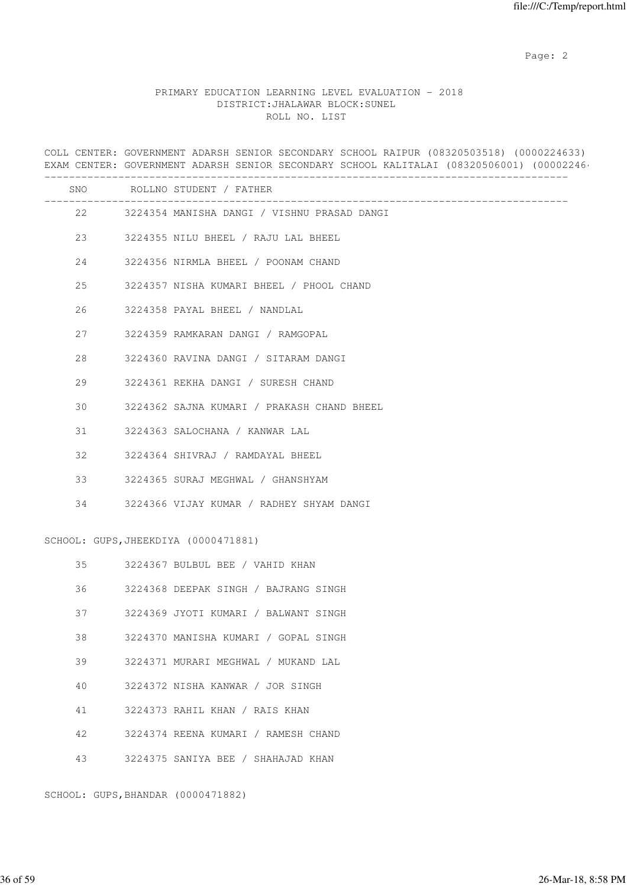# PRIMARY EDUCATION LEARNING LEVEL EVALUATION - 2018 DISTRICT:JHALAWAR BLOCK:SUNEL ROLL NO. LIST

COLL CENTER: GOVERNMENT ADARSH SENIOR SECONDARY SCHOOL RAIPUR (08320503518) (0000224633) EXAM CENTER: GOVERNMENT ADARSH SENIOR SECONDARY SCHOOL KALITALAI (08320506001) (00002246

|    |    | SNO ROLLNO STUDENT / FATHER                    |
|----|----|------------------------------------------------|
|    |    | 22 3224354 MANISHA DANGI / VISHNU PRASAD DANGI |
|    |    | 23 3224355 NILU BHEEL / RAJU LAL BHEEL         |
|    |    | 24 3224356 NIRMLA BHEEL / POONAM CHAND         |
| 25 |    | 3224357 NISHA KUMARI BHEEL / PHOOL CHAND       |
| 26 |    | 3224358 PAYAL BHEEL / NANDLAL                  |
| 27 |    | 3224359 RAMKARAN DANGI / RAMGOPAL              |
| 28 |    | 3224360 RAVINA DANGI / SITARAM DANGI           |
| 29 |    | 3224361 REKHA DANGI / SURESH CHAND             |
| 30 |    | 3224362 SAJNA KUMARI / PRAKASH CHAND BHEEL     |
| 31 |    | 3224363 SALOCHANA / KANWAR LAL                 |
| 32 |    | 3224364 SHIVRAJ / RAMDAYAL BHEEL               |
| 33 |    | 3224365 SURAJ MEGHWAL / GHANSHYAM              |
| 34 |    | 3224366 VIJAY KUMAR / RADHEY SHYAM DANGI       |
|    |    | SCHOOL: GUPS, JHEEKDIYA (0000471881)           |
|    | 35 | 3224367 BULBUL BEE / VAHID KHAN                |
| 36 |    | 3224368 DEEPAK SINGH / BAJRANG SINGH           |
| 37 |    | 3224369 JYOTI KUMARI / BALWANT SINGH           |
| 38 |    | 3224370 MANISHA KUMARI / GOPAL SINGH           |
| 39 |    | 3224371 MURARI MEGHWAL / MUKAND LAL            |
| 40 |    | 3224372 NISHA KANWAR / JOR SINGH               |
| 41 |    | 3224373 RAHIL KHAN / RAIS KHAN                 |
| 42 |    | 3224374 REENA KUMARI / RAMESH CHAND            |
| 43 |    | 3224375 SANIYA BEE / SHAHAJAD KHAN             |

SCHOOL: GUPS,BHANDAR (0000471882)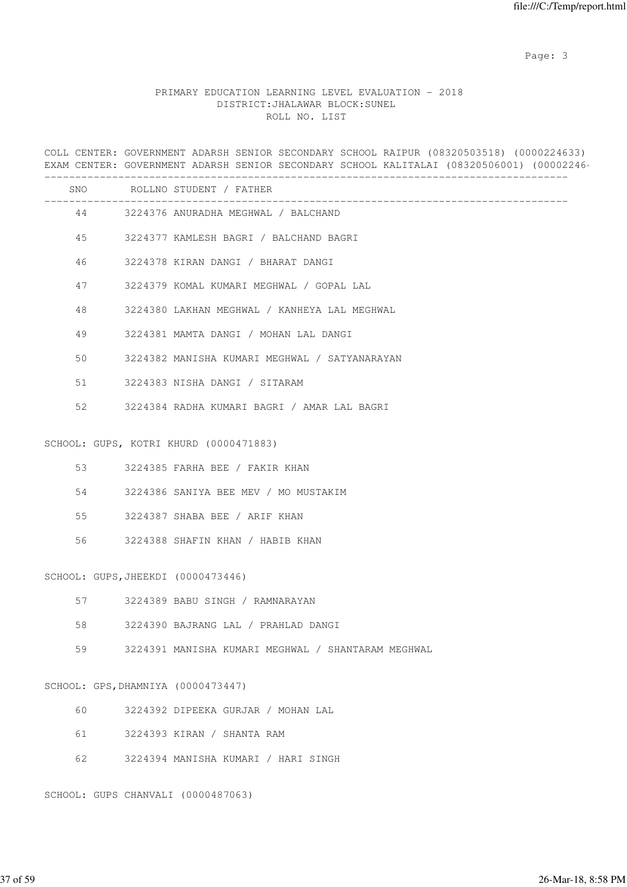# PRIMARY EDUCATION LEARNING LEVEL EVALUATION - 2018 DISTRICT:JHALAWAR BLOCK:SUNEL ROLL NO. LIST

COLL CENTER: GOVERNMENT ADARSH SENIOR SECONDARY SCHOOL RAIPUR (08320503518) (0000224633) EXAM CENTER: GOVERNMENT ADARSH SENIOR SECONDARY SCHOOL KALITALAI (08320506001) (00002246

|    |                                    | SNO ROLLNO STUDENT / FATHER<br>___________________ |
|----|------------------------------------|----------------------------------------------------|
|    |                                    | 44 3224376 ANURADHA MEGHWAL / BALCHAND             |
|    |                                    | 45 3224377 KAMLESH BAGRI / BALCHAND BAGRI          |
| 46 |                                    | 3224378 KIRAN DANGI / BHARAT DANGI                 |
| 47 |                                    | 3224379 KOMAL KUMARI MEGHWAL / GOPAL LAL           |
| 48 |                                    | 3224380 LAKHAN MEGHWAL / KANHEYA LAL MEGHWAL       |
| 49 |                                    | 3224381 MAMTA DANGI / MOHAN LAL DANGI              |
| 50 |                                    | 3224382 MANISHA KUMARI MEGHWAL / SATYANARAYAN      |
| 51 |                                    | 3224383 NISHA DANGI / SITARAM                      |
| 52 |                                    | 3224384 RADHA KUMARI BAGRI / AMAR LAL BAGRI        |
|    |                                    |                                                    |
|    |                                    | SCHOOL: GUPS, KOTRI KHURD (0000471883)             |
| 53 |                                    | 3224385 FARHA BEE / FAKIR KHAN                     |
| 54 |                                    | 3224386 SANIYA BEE MEV / MO MUSTAKIM               |
| 55 |                                    | 3224387 SHABA BEE / ARIF KHAN                      |
| 56 |                                    | 3224388 SHAFIN KHAN / HABIB KHAN                   |
|    |                                    |                                                    |
|    | SCHOOL: GUPS, JHEEKDI (0000473446) |                                                    |
|    |                                    | 57 3224389 BABU SINGH / RAMNARAYAN                 |
| 58 |                                    | 3224390 BAJRANG LAL / PRAHLAD DANGI                |
| 59 |                                    | 3224391 MANISHA KUMARI MEGHWAL / SHANTARAM MEGHWAL |
|    |                                    |                                                    |
|    | SCHOOL: GPS, DHAMNIYA (0000473447) |                                                    |
| 60 |                                    | 3224392 DIPEEKA GURJAR / MOHAN LAL                 |
| 61 |                                    | 3224393 KIRAN / SHANTA RAM                         |
| 62 |                                    | 3224394 MANISHA KUMARI / HARI SINGH                |
|    |                                    |                                                    |

SCHOOL: GUPS CHANVALI (0000487063)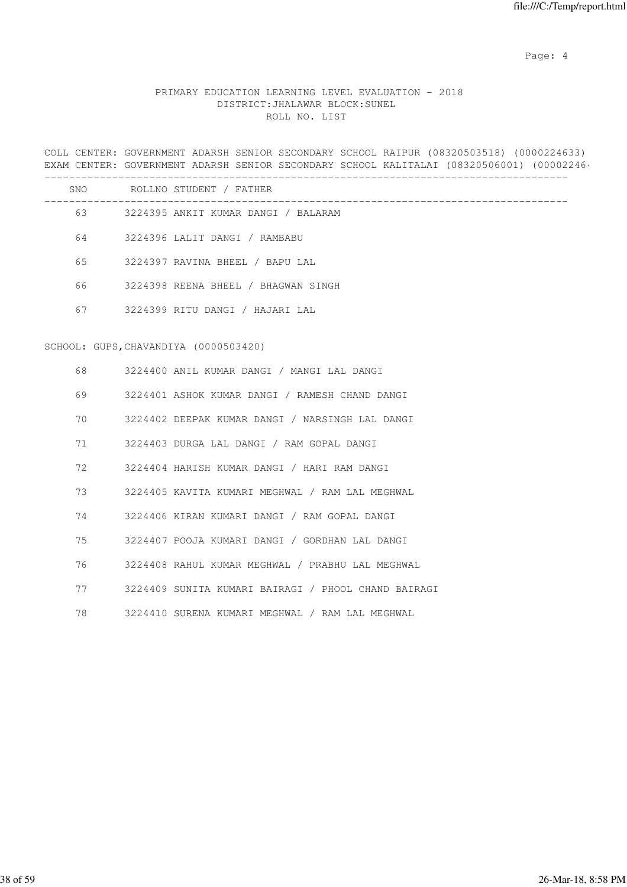Page: 4  $P$ 

# PRIMARY EDUCATION LEARNING LEVEL EVALUATION - 2018 DISTRICT:JHALAWAR BLOCK:SUNEL ROLL NO. LIST

COLL CENTER: GOVERNMENT ADARSH SENIOR SECONDARY SCHOOL RAIPUR (08320503518) (0000224633) EXAM CENTER: GOVERNMENT ADARSH SENIOR SECONDARY SCHOOL KALITALAI (08320506001) (00002246

|    | SNO ROLLNO STUDENT / FATHER                                       |
|----|-------------------------------------------------------------------|
|    | _______________________<br>63 3224395 ANKIT KUMAR DANGI / BALARAM |
| 64 | 3224396 LALIT DANGI / RAMBABU                                     |
| 65 | 3224397 RAVINA BHEEL / BAPU LAL                                   |
| 66 | 3224398 REENA BHEEL / BHAGWAN SINGH                               |
|    | 67 3224399 RITU DANGI / HAJARI LAL                                |
|    |                                                                   |
|    | SCHOOL: GUPS, CHAVANDIYA (0000503420)                             |
| 68 | 3224400 ANIL KUMAR DANGI / MANGI LAL DANGI                        |
| 69 | 3224401 ASHOK KUMAR DANGI / RAMESH CHAND DANGI                    |
| 70 | 3224402 DEEPAK KUMAR DANGI / NARSINGH LAL DANGI                   |
| 71 | 3224403 DURGA LAL DANGI / RAM GOPAL DANGI                         |
| 72 | 3224404 HARISH KUMAR DANGI / HARI RAM DANGI                       |
| 73 | 3224405 KAVITA KUMARI MEGHWAL / RAM LAL MEGHWAL                   |

74 3224406 KIRAN KUMARI DANGI / RAM GOPAL DANGI

75 3224407 POOJA KUMARI DANGI / GORDHAN LAL DANGI

76 3224408 RAHUL KUMAR MEGHWAL / PRABHU LAL MEGHWAL

77 3224409 SUNITA KUMARI BAIRAGI / PHOOL CHAND BAIRAGI

78 3224410 SURENA KUMARI MEGHWAL / RAM LAL MEGHWAL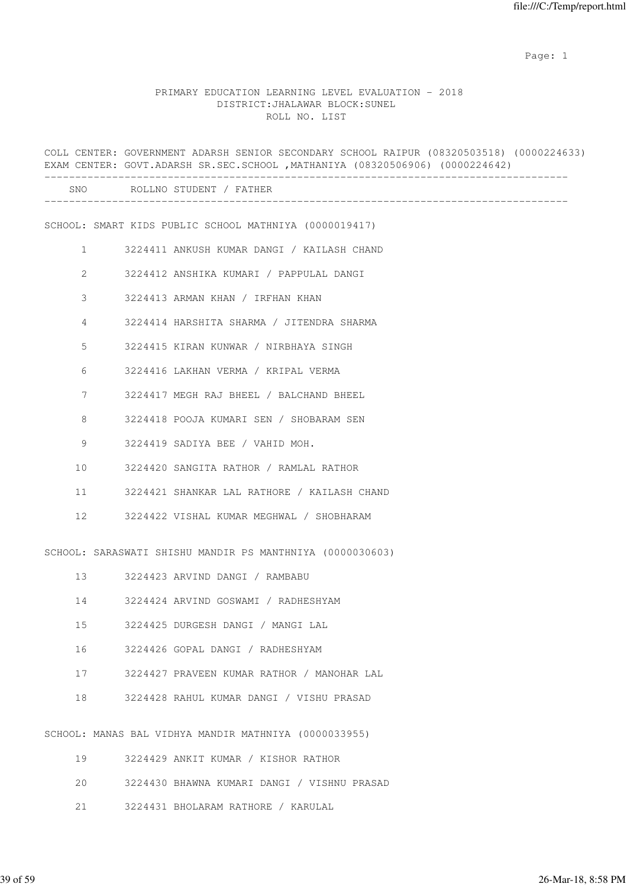example of the state of the state of the state of the state of the state of the state of the state of the state of the state of the state of the state of the state of the state of the state of the state of the state of the

### PRIMARY EDUCATION LEARNING LEVEL EVALUATION - 2018 DISTRICT:JHALAWAR BLOCK:SUNEL ROLL NO. LIST

|                | COLL CENTER: GOVERNMENT ADARSH SENIOR SECONDARY SCHOOL RAIPUR (08320503518) (0000224633)<br>EXAM CENTER: GOVT.ADARSH SR.SEC.SCHOOL , MATHANIYA (08320506906) (0000224642) |
|----------------|---------------------------------------------------------------------------------------------------------------------------------------------------------------------------|
|                | SNO ROLLNO STUDENT / FATHER                                                                                                                                               |
|                | SCHOOL: SMART KIDS PUBLIC SCHOOL MATHNIYA (0000019417)                                                                                                                    |
| $\mathbf{1}$   | 3224411 ANKUSH KUMAR DANGI / KAILASH CHAND                                                                                                                                |
| $\overline{2}$ | 3224412 ANSHIKA KUMARI / PAPPULAL DANGI                                                                                                                                   |
| 3              | 3224413 ARMAN KHAN / IRFHAN KHAN                                                                                                                                          |
| 4              | 3224414 HARSHITA SHARMA / JITENDRA SHARMA                                                                                                                                 |
| 5              | 3224415 KIRAN KUNWAR / NIRBHAYA SINGH                                                                                                                                     |
| 6              | 3224416 LAKHAN VERMA / KRIPAL VERMA                                                                                                                                       |
| 7              | 3224417 MEGH RAJ BHEEL / BALCHAND BHEEL                                                                                                                                   |
| 8              | 3224418 POOJA KUMARI SEN / SHOBARAM SEN                                                                                                                                   |
| 9              | 3224419 SADIYA BEE / VAHID MOH.                                                                                                                                           |
| 10             | 3224420 SANGITA RATHOR / RAMLAL RATHOR                                                                                                                                    |
| 11             | 3224421 SHANKAR LAL RATHORE / KAILASH CHAND                                                                                                                               |
| 12             | 3224422 VISHAL KUMAR MEGHWAL / SHOBHARAM                                                                                                                                  |
|                | SCHOOL: SARASWATI SHISHU MANDIR PS MANTHNIYA (0000030603)                                                                                                                 |
|                | 13 3224423 ARVIND DANGI / RAMBABU                                                                                                                                         |
| 14             | 3224424 ARVIND GOSWAMI / RADHESHYAM                                                                                                                                       |
| 15             | 3224425 DURGESH DANGI / MANGI LAL                                                                                                                                         |
| 16             | 3224426 GOPAL DANGI / RADHESHYAM                                                                                                                                          |
| 17             | 3224427 PRAVEEN KUMAR RATHOR / MANOHAR LAL                                                                                                                                |
| 18             | 3224428 RAHUL KUMAR DANGI / VISHU PRASAD                                                                                                                                  |
|                | SCHOOL: MANAS BAL VIDHYA MANDIR MATHNIYA (0000033955)                                                                                                                     |
| 19             | 3224429 ANKIT KUMAR / KISHOR RATHOR                                                                                                                                       |
| 20             | 3224430 BHAWNA KUMARI DANGI / VISHNU PRASAD                                                                                                                               |
| 21             | 3224431 BHOLARAM RATHORE / KARULAL                                                                                                                                        |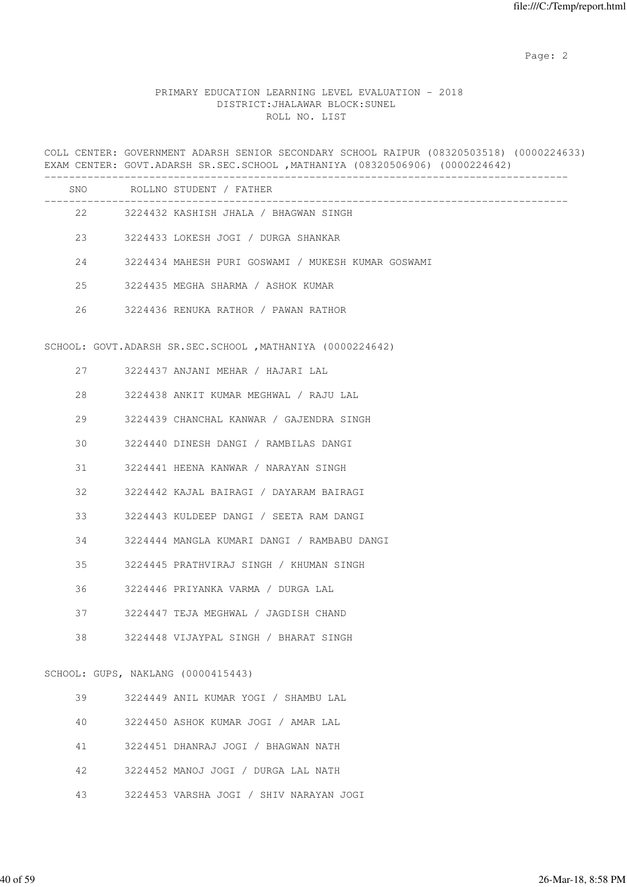# PRIMARY EDUCATION LEARNING LEVEL EVALUATION - 2018 DISTRICT:JHALAWAR BLOCK:SUNEL ROLL NO. LIST

COLL CENTER: GOVERNMENT ADARSH SENIOR SECONDARY SCHOOL RAIPUR (08320503518) (0000224633) EXAM CENTER: GOVT.ADARSH SR.SEC.SCHOOL , MATHANIYA (08320506906) (0000224642)

|    |        | SNO ROLLNO STUDENT / FATHER                                |
|----|--------|------------------------------------------------------------|
|    |        | 22 3224432 KASHISH JHALA / BHAGWAN SINGH                   |
|    |        | 23 3224433 LOKESH JOGI / DURGA SHANKAR                     |
|    |        | 24 3224434 MAHESH PURI GOSWAMI / MUKESH KUMAR GOSWAMI      |
| 25 |        | 3224435 MEGHA SHARMA / ASHOK KUMAR                         |
| 26 |        | 3224436 RENUKA RATHOR / PAWAN RATHOR                       |
|    |        | SCHOOL: GOVT.ADARSH SR.SEC.SCHOOL , MATHANIYA (0000224642) |
|    |        | 27 3224437 ANJANI MEHAR / HAJARI LAL                       |
| 28 |        | 3224438 ANKIT KUMAR MEGHWAL / RAJU LAL                     |
| 29 |        | 3224439 CHANCHAL KANWAR / GAJENDRA SINGH                   |
| 30 |        | 3224440 DINESH DANGI / RAMBILAS DANGI                      |
| 31 |        | 3224441 HEENA KANWAR / NARAYAN SINGH                       |
| 32 |        | 3224442 KAJAL BAIRAGI / DAYARAM BAIRAGI                    |
| 33 |        | 3224443 KULDEEP DANGI / SEETA RAM DANGI                    |
| 34 |        | 3224444 MANGLA KUMARI DANGI / RAMBABU DANGI                |
| 35 |        | 3224445 PRATHVIRAJ SINGH / KHUMAN SINGH                    |
| 36 |        | 3224446 PRIYANKA VARMA / DURGA LAL                         |
|    | 37 — 1 | 3224447 TEJA MEGHWAL / JAGDISH CHAND                       |
| 38 |        | 3224448 VIJAYPAL SINGH / BHARAT SINGH                      |
|    |        | SCHOOL: GUPS, NAKLANG (0000415443)                         |
| 39 |        | 3224449 ANIL KUMAR YOGI / SHAMBU LAL                       |
| 40 |        | 3224450 ASHOK KUMAR JOGI / AMAR LAL                        |
| 41 |        | 3224451 DHANRAJ JOGI / BHAGWAN NATH                        |
| 42 |        | 3224452 MANOJ JOGI / DURGA LAL NATH                        |
| 43 |        | 3224453 VARSHA JOGI / SHIV NARAYAN JOGI                    |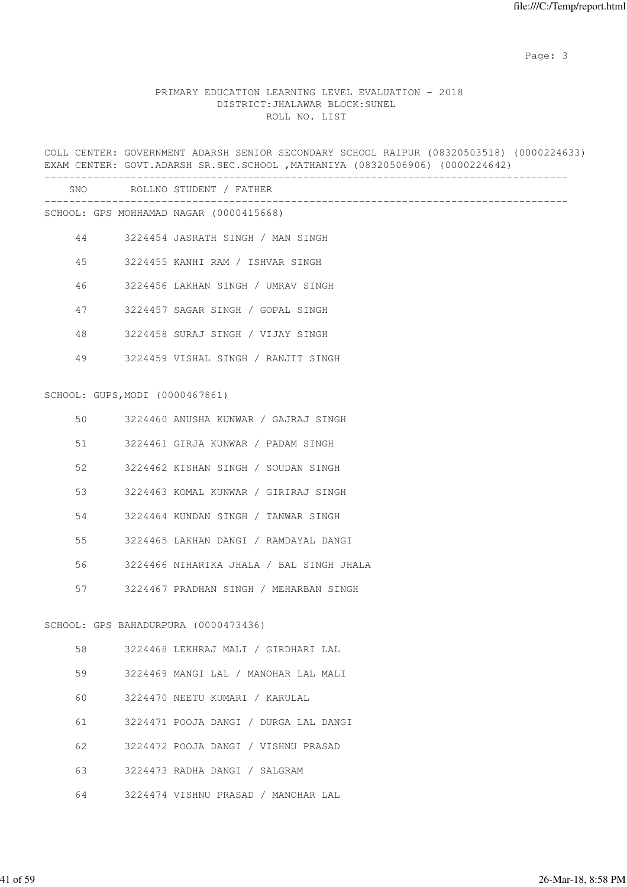# PRIMARY EDUCATION LEARNING LEVEL EVALUATION - 2018 DISTRICT:JHALAWAR BLOCK:SUNEL ROLL NO. LIST

|    |  | COLL CENTER: GOVERNMENT ADARSH SENIOR SECONDARY SCHOOL RAIPUR (08320503518) (0000224633)<br>EXAM CENTER: GOVT.ADARSH SR.SEC.SCHOOL , MATHANIYA (08320506906) (0000224642) |
|----|--|---------------------------------------------------------------------------------------------------------------------------------------------------------------------------|
|    |  | SNO ROLLNO STUDENT / FATHER                                                                                                                                               |
|    |  | SCHOOL: GPS MOHHAMAD NAGAR (0000415668)                                                                                                                                   |
| 44 |  | 3224454 JASRATH SINGH / MAN SINGH                                                                                                                                         |
| 45 |  | 3224455 KANHI RAM / ISHVAR SINGH                                                                                                                                          |
| 46 |  | 3224456 LAKHAN SINGH / UMRAV SINGH                                                                                                                                        |
| 47 |  | 3224457 SAGAR SINGH / GOPAL SINGH                                                                                                                                         |
| 48 |  | 3224458 SURAJ SINGH / VIJAY SINGH                                                                                                                                         |
| 49 |  | 3224459 VISHAL SINGH / RANJIT SINGH                                                                                                                                       |
|    |  | SCHOOL: GUPS, MODI (0000467861)                                                                                                                                           |
| 50 |  | 3224460 ANUSHA KUNWAR / GAJRAJ SINGH                                                                                                                                      |
| 51 |  | 3224461 GIRJA KUNWAR / PADAM SINGH                                                                                                                                        |
| 52 |  | 3224462 KISHAN SINGH / SOUDAN SINGH                                                                                                                                       |
| 53 |  | 3224463 KOMAL KUNWAR / GIRIRAJ SINGH                                                                                                                                      |
| 54 |  | 3224464 KUNDAN SINGH / TANWAR SINGH                                                                                                                                       |
| 55 |  | 3224465 LAKHAN DANGI / RAMDAYAL DANGI                                                                                                                                     |
| 56 |  | 3224466 NIHARIKA JHALA / BAL SINGH JHALA                                                                                                                                  |
| 57 |  | 3224467 PRADHAN SINGH / MEHARBAN SINGH                                                                                                                                    |
|    |  | SCHOOL: GPS BAHADURPURA (0000473436)                                                                                                                                      |
| 58 |  | 3224468 LEKHRAJ MALI / GIRDHARI LAL                                                                                                                                       |
| 59 |  | 3224469 MANGI LAL / MANOHAR LAL MALI                                                                                                                                      |
| 60 |  | 3224470 NEETU KUMARI / KARULAL                                                                                                                                            |
| 61 |  | 3224471 POOJA DANGI / DURGA LAL DANGI                                                                                                                                     |
| 62 |  | 3224472 POOJA DANGI / VISHNU PRASAD                                                                                                                                       |
| 63 |  | 3224473 RADHA DANGI / SALGRAM                                                                                                                                             |
|    |  |                                                                                                                                                                           |

64 3224474 VISHNU PRASAD / MANOHAR LAL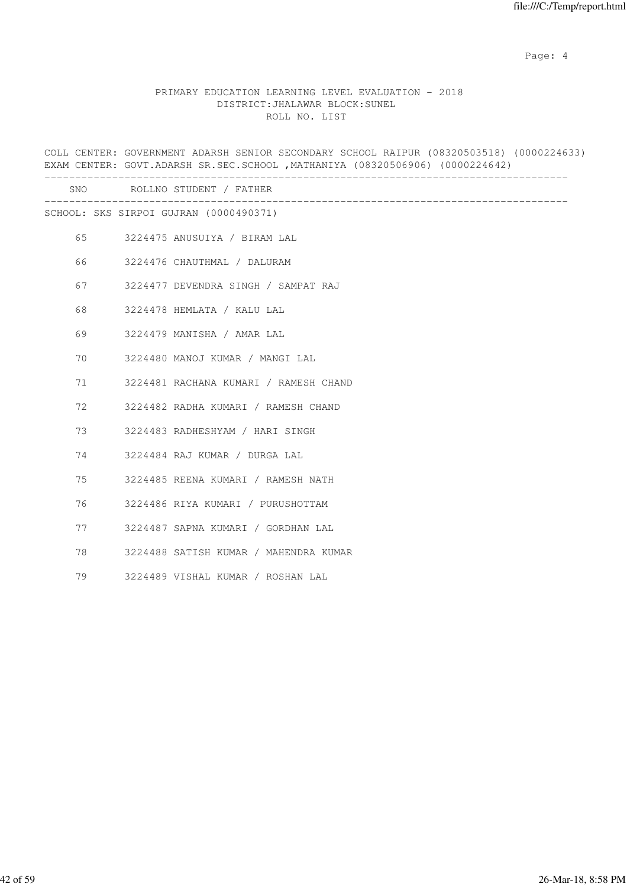Page: 4  $P$ 

### PRIMARY EDUCATION LEARNING LEVEL EVALUATION - 2018 DISTRICT:JHALAWAR BLOCK:SUNEL ROLL NO. LIST

COLL CENTER: GOVERNMENT ADARSH SENIOR SECONDARY SCHOOL RAIPUR (08320503518) (0000224633) EXAM CENTER: GOVT.ADARSH SR.SEC.SCHOOL ,MATHANIYA (08320506906) (0000224642) ------------------------------------------------------------------------------------- SNO ROLLNO STUDENT / FATHER ------------------------------------------------------------------------------------- SCHOOL: SKS SIRPOI GUJRAN (0000490371) 65 3224475 ANUSUIYA / BIRAM LAL 66 3224476 CHAUTHMAL / DALURAM 67 3224477 DEVENDRA SINGH / SAMPAT RAJ 68 3224478 HEMLATA / KALU LAL 69 3224479 MANISHA / AMAR LAL 70 3224480 MANOJ KUMAR / MANGI LAL 71 3224481 RACHANA KUMARI / RAMESH CHAND 72 3224482 RADHA KUMARI / RAMESH CHAND 73 3224483 RADHESHYAM / HARI SINGH 74 3224484 RAJ KUMAR / DURGA LAL 75 3224485 REENA KUMARI / RAMESH NATH 76 3224486 RIYA KUMARI / PURUSHOTTAM 77 3224487 SAPNA KUMARI / GORDHAN LAL 78 3224488 SATISH KUMAR / MAHENDRA KUMAR 79 3224489 VISHAL KUMAR / ROSHAN LAL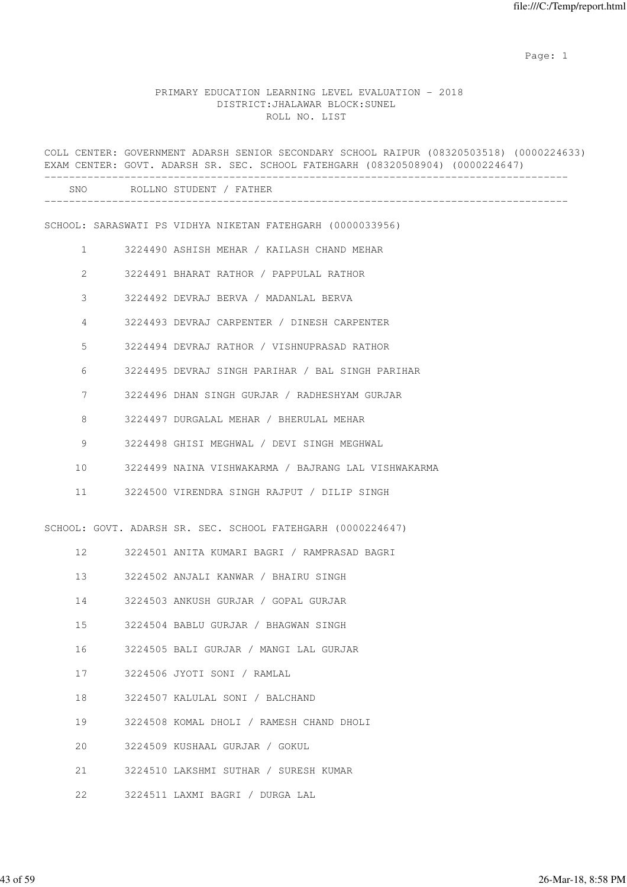example of the state of the state of the state of the state of the state of the state of the state of the state of the state of the state of the state of the state of the state of the state of the state of the state of the

# PRIMARY EDUCATION LEARNING LEVEL EVALUATION - 2018 DISTRICT:JHALAWAR BLOCK:SUNEL ROLL NO. LIST

|                 | COLL CENTER: GOVERNMENT ADARSH SENIOR SECONDARY SCHOOL RAIPUR (08320503518) (0000224633)<br>EXAM CENTER: GOVT. ADARSH SR. SEC. SCHOOL FATEHGARH (08320508904) (0000224647) |
|-----------------|----------------------------------------------------------------------------------------------------------------------------------------------------------------------------|
|                 | SNO ROLLNO STUDENT / FATHER                                                                                                                                                |
|                 | SCHOOL: SARASWATI PS VIDHYA NIKETAN FATEHGARH (0000033956)                                                                                                                 |
| $\mathbf{1}$    | 3224490 ASHISH MEHAR / KAILASH CHAND MEHAR                                                                                                                                 |
| 2               | 3224491 BHARAT RATHOR / PAPPULAL RATHOR                                                                                                                                    |
| 3               | 3224492 DEVRAJ BERVA / MADANLAL BERVA                                                                                                                                      |
| 4               | 3224493 DEVRAJ CARPENTER / DINESH CARPENTER                                                                                                                                |
| 5               | 3224494 DEVRAJ RATHOR / VISHNUPRASAD RATHOR                                                                                                                                |
| 6               | 3224495 DEVRAJ SINGH PARIHAR / BAL SINGH PARIHAR                                                                                                                           |
| 7               | 3224496 DHAN SINGH GURJAR / RADHESHYAM GURJAR                                                                                                                              |
| 8               | 3224497 DURGALAL MEHAR / BHERULAL MEHAR                                                                                                                                    |
| 9               | 3224498 GHISI MEGHWAL / DEVI SINGH MEGHWAL                                                                                                                                 |
| 10              | 3224499 NAINA VISHWAKARMA / BAJRANG LAL VISHWAKARMA                                                                                                                        |
| 11              | 3224500 VIRENDRA SINGH RAJPUT / DILIP SINGH                                                                                                                                |
|                 | SCHOOL: GOVT. ADARSH SR. SEC. SCHOOL FATEHGARH (0000224647)                                                                                                                |
| 12 <sup>2</sup> | 3224501 ANITA KUMARI BAGRI / RAMPRASAD BAGRI                                                                                                                               |
| 13              | 3224502 ANJALI KANWAR / BHAIRU SINGH                                                                                                                                       |
| 14              | 3224503 ANKUSH GURJAR / GOPAL GURJAR                                                                                                                                       |
| 15              | 3224504 BABLU GURJAR / BHAGWAN SINGH                                                                                                                                       |
| 16              | 3224505 BALI GURJAR / MANGI LAL GURJAR                                                                                                                                     |
| 17              | 3224506 JYOTI SONI / RAMLAL                                                                                                                                                |
| 18              | 3224507 KALULAL SONI / BALCHAND                                                                                                                                            |
| 19              | 3224508 KOMAL DHOLI / RAMESH CHAND DHOLI                                                                                                                                   |
| 20              | 3224509 KUSHAAL GURJAR / GOKUL                                                                                                                                             |
| 21              | 3224510 LAKSHMI SUTHAR / SURESH KUMAR                                                                                                                                      |
| 22              | 3224511 LAXMI BAGRI / DURGA LAL                                                                                                                                            |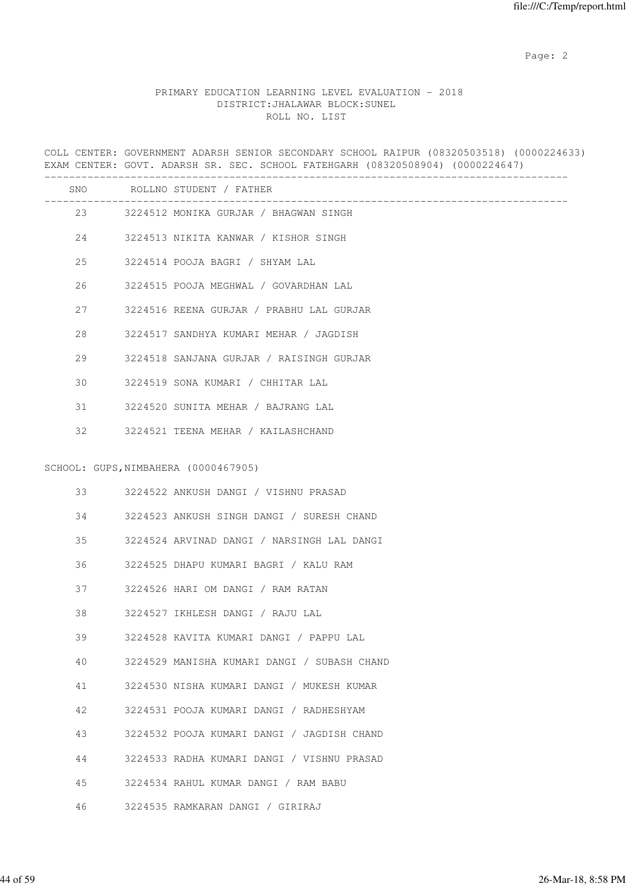# PRIMARY EDUCATION LEARNING LEVEL EVALUATION - 2018 DISTRICT:JHALAWAR BLOCK:SUNEL ROLL NO. LIST

COLL CENTER: GOVERNMENT ADARSH SENIOR SECONDARY SCHOOL RAIPUR (08320503518) (0000224633) EXAM CENTER: GOVT. ADARSH SR. SEC. SCHOOL FATEHGARH (08320508904) (0000224647)

|    | SNO ROLLNO STUDENT / FATHER                 |
|----|---------------------------------------------|
|    | 23 3224512 MONIKA GURJAR / BHAGWAN SINGH    |
|    | 24 3224513 NIKITA KANWAR / KISHOR SINGH     |
| 25 | 3224514 POOJA BAGRI / SHYAM LAL             |
| 26 | 3224515 POOJA MEGHWAL / GOVARDHAN LAL       |
| 27 | 3224516 REENA GURJAR / PRABHU LAL GURJAR    |
| 28 | 3224517 SANDHYA KUMARI MEHAR / JAGDISH      |
| 29 | 3224518 SANJANA GURJAR / RAISINGH GURJAR    |
| 30 | 3224519 SONA KUMARI / CHHITAR LAL           |
| 31 | 3224520 SUNITA MEHAR / BAJRANG LAL          |
| 32 | 3224521 TEENA MEHAR / KAILASHCHAND          |
|    | SCHOOL: GUPS, NIMBAHERA (0000467905)        |
| 33 | 3224522 ANKUSH DANGI / VISHNU PRASAD        |
| 34 | 3224523 ANKUSH SINGH DANGI / SURESH CHAND   |
| 35 | 3224524 ARVINAD DANGI / NARSINGH LAL DANGI  |
| 36 | 3224525 DHAPU KUMARI BAGRI / KALU RAM       |
| 37 | 3224526 HARI OM DANGI / RAM RATAN           |
| 38 | 3224527 IKHLESH DANGI / RAJU LAL            |
| 39 | 3224528 KAVITA KUMARI DANGI / PAPPU LAL     |
| 40 | 3224529 MANISHA KUMARI DANGI / SUBASH CHAND |
| 41 | 3224530 NISHA KUMARI DANGI / MUKESH KUMAR   |
| 42 | 3224531 POOJA KUMARI DANGI / RADHESHYAM     |
| 43 | 3224532 POOJA KUMARI DANGI / JAGDISH CHAND  |
| 44 | 3224533 RADHA KUMARI DANGI / VISHNU PRASAD  |
| 45 | 3224534 RAHUL KUMAR DANGI / RAM BABU        |
| 46 | 3224535 RAMKARAN DANGI / GIRIRAJ            |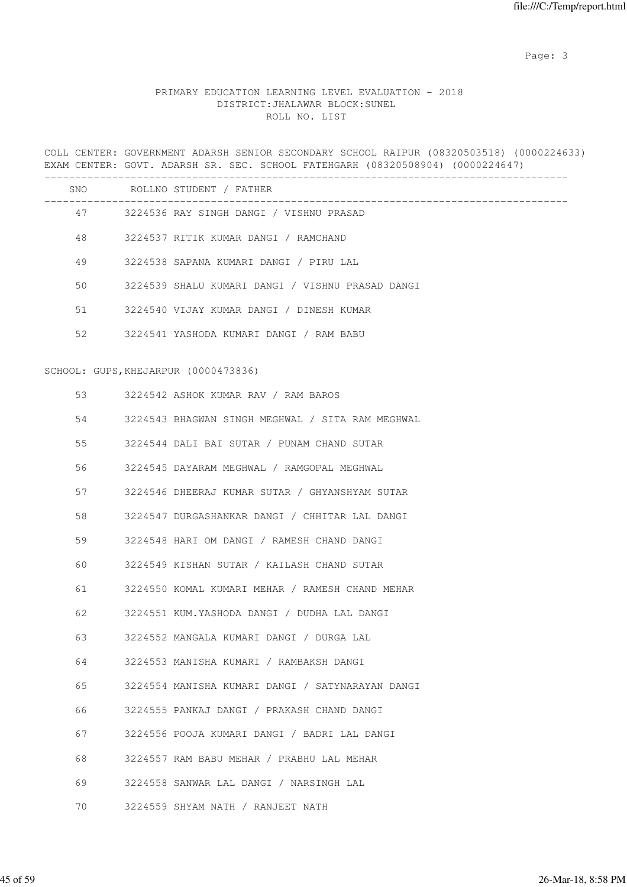# PRIMARY EDUCATION LEARNING LEVEL EVALUATION - 2018 DISTRICT:JHALAWAR BLOCK:SUNEL ROLL NO. LIST

COLL CENTER: GOVERNMENT ADARSH SENIOR SECONDARY SCHOOL RAIPUR (08320503518) (0000224633) EXAM CENTER: GOVT. ADARSH SR. SEC. SCHOOL FATEHGARH (08320508904) (0000224647)

|    | SNO ROLLNO STUDENT / FATHER                      |
|----|--------------------------------------------------|
|    | 47 3224536 RAY SINGH DANGI / VISHNU PRASAD       |
| 48 | 3224537 RITIK KUMAR DANGI / RAMCHAND             |
| 49 | 3224538 SAPANA KUMARI DANGI / PIRU LAL           |
| 50 | 3224539 SHALU KUMARI DANGI / VISHNU PRASAD DANGI |
| 51 | 3224540 VIJAY KUMAR DANGI / DINESH KUMAR         |
| 52 | 3224541 YASHODA KUMARI DANGI / RAM BABU          |
|    | SCHOOL: GUPS, KHEJARPUR (0000473836)             |
| 53 | 3224542 ASHOK KUMAR RAV / RAM BAROS              |
| 54 | 3224543 BHAGWAN SINGH MEGHWAL / SITA RAM MEGHWAL |
| 55 | 3224544 DALI BAI SUTAR / PUNAM CHAND SUTAR       |
| 56 | 3224545 DAYARAM MEGHWAL / RAMGOPAL MEGHWAL       |
| 57 | 3224546 DHEERAJ KUMAR SUTAR / GHYANSHYAM SUTAR   |
| 58 | 3224547 DURGASHANKAR DANGI / CHHITAR LAL DANGI   |
| 59 | 3224548 HARI OM DANGI / RAMESH CHAND DANGI       |
| 60 | 3224549 KISHAN SUTAR / KAILASH CHAND SUTAR       |
| 61 | 3224550 KOMAL KUMARI MEHAR / RAMESH CHAND MEHAR  |
| 62 | 3224551 KUM.YASHODA DANGI / DUDHA LAL DANGI      |
| 63 | 3224552 MANGALA KUMARI DANGI / DURGA LAL         |
| 64 | 3224553 MANISHA KUMARI / RAMBAKSH DANGI          |
| 65 | 3224554 MANISHA KUMARI DANGI / SATYNARAYAN DANGI |
| 66 | 3224555 PANKAJ DANGI / PRAKASH CHAND DANGI       |
| 67 | 3224556 POOJA KUMARI DANGI / BADRI LAL DANGI     |
| 68 | 3224557 RAM BABU MEHAR / PRABHU LAL MEHAR        |
| 69 | 3224558 SANWAR LAL DANGI / NARSINGH LAL          |

70 3224559 SHYAM NATH / RANJEET NATH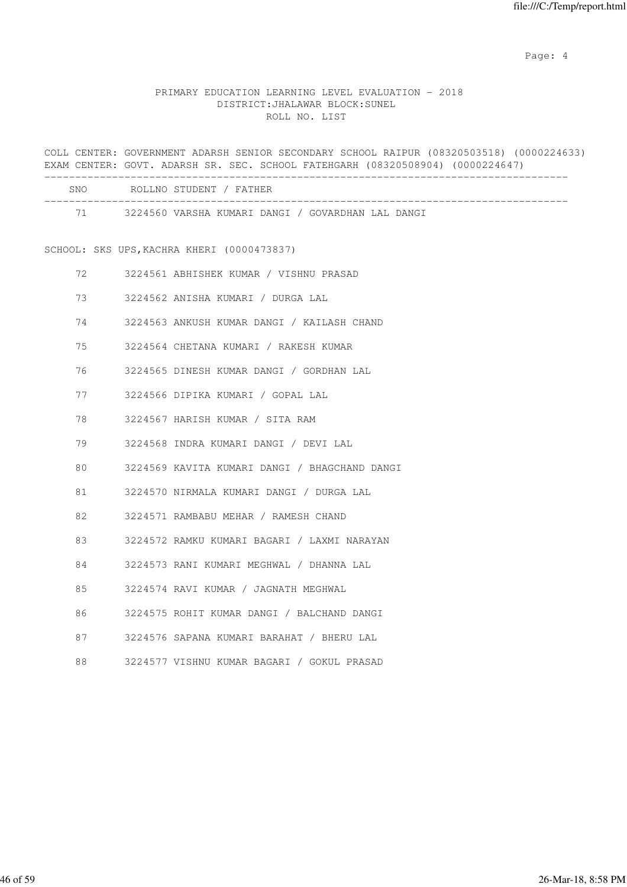Page: 4  $P$ 

## PRIMARY EDUCATION LEARNING LEVEL EVALUATION - 2018 DISTRICT:JHALAWAR BLOCK:SUNEL ROLL NO. LIST

COLL CENTER: GOVERNMENT ADARSH SENIOR SECONDARY SCHOOL RAIPUR (08320503518) (0000224633) EXAM CENTER: GOVT. ADARSH SR. SEC. SCHOOL FATEHGARH (08320508904) (0000224647) ------------------------------------------------------------------------------------- SNO ROLLNO STUDENT / FATHER ------------------------------------------------------------------------------------- 71 3224560 VARSHA KUMARI DANGI / GOVARDHAN LAL DANGI SCHOOL: SKS UPS,KACHRA KHERI (0000473837) 72 3224561 ABHISHEK KUMAR / VISHNU PRASAD 73 3224562 ANISHA KUMARI / DURGA LAL 74 3224563 ANKUSH KUMAR DANGI / KAILASH CHAND 75 3224564 CHETANA KUMARI / RAKESH KUMAR 76 3224565 DINESH KUMAR DANGI / GORDHAN LAL 77 3224566 DIPIKA KUMARI / GOPAL LAL 78 3224567 HARISH KUMAR / SITA RAM 79 3224568 INDRA KUMARI DANGI / DEVI LAL 80 3224569 KAVITA KUMARI DANGI / BHAGCHAND DANGI 81 3224570 NIRMALA KUMARI DANGI / DURGA LAL 82 3224571 RAMBABU MEHAR / RAMESH CHAND 83 3224572 RAMKU KUMARI BAGARI / LAXMI NARAYAN 84 3224573 RANI KUMARI MEGHWAL / DHANNA LAL 85 3224574 RAVI KUMAR / JAGNATH MEGHWAL 86 3224575 ROHIT KUMAR DANGI / BALCHAND DANGI 87 3224576 SAPANA KUMARI BARAHAT / BHERU LAL 88 3224577 VISHNU KUMAR BAGARI / GOKUL PRASAD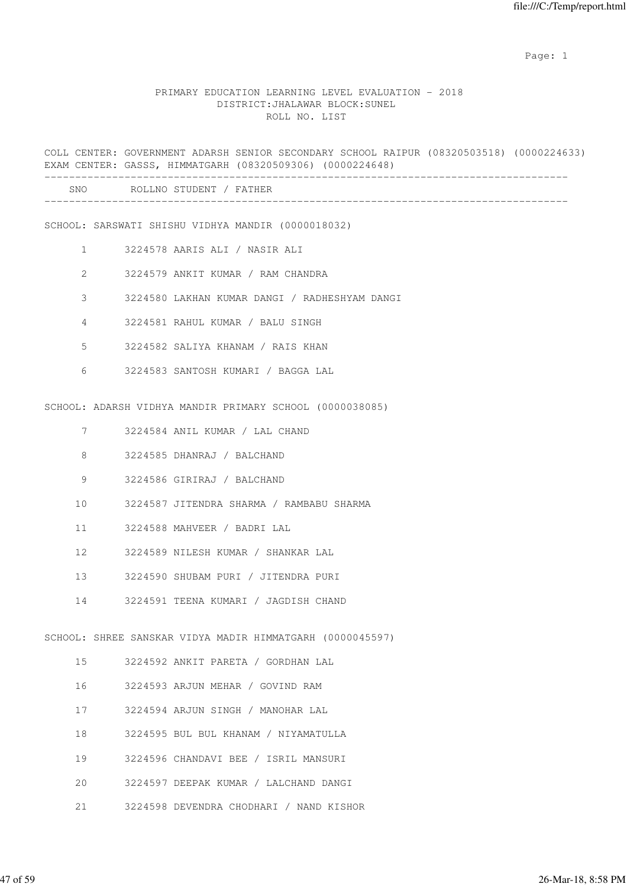expected to the control of the control of the control of the control of the control of the control of the control of the control of the control of the control of the control of the control of the control of the control of

#### PRIMARY EDUCATION LEARNING LEVEL EVALUATION - 2018 DISTRICT:JHALAWAR BLOCK:SUNEL ROLL NO. LIST

COLL CENTER: GOVERNMENT ADARSH SENIOR SECONDARY SCHOOL RAIPUR (08320503518) (0000224633) EXAM CENTER: GASSS, HIMMATGARH (08320509306) (0000224648) ------------------------------------------------------------------------------------- SNO ROLLNO STUDENT / FATHER -------------------------------------------------------------------------------------

SCHOOL: SARSWATI SHISHU VIDHYA MANDIR (0000018032)

- 1 3224578 AARIS ALI / NASIR ALI
- 2 3224579 ANKIT KUMAR / RAM CHANDRA
- 3 3224580 LAKHAN KUMAR DANGI / RADHESHYAM DANGI
- 4 3224581 RAHUL KUMAR / BALU SINGH
- 5 3224582 SALIYA KHANAM / RAIS KHAN
- 6 3224583 SANTOSH KUMARI / BAGGA LAL

SCHOOL: ADARSH VIDHYA MANDIR PRIMARY SCHOOL (0000038085)

- 7 3224584 ANIL KUMAR / LAL CHAND
- 8 3224585 DHANRAJ / BALCHAND
- 9 3224586 GIRIRAJ / BALCHAND
- 10 3224587 JITENDRA SHARMA / RAMBABU SHARMA
- 11 3224588 MAHVEER / BADRI LAL
- 12 3224589 NILESH KUMAR / SHANKAR LAL
- 13 3224590 SHUBAM PURI / JITENDRA PURI
- 14 3224591 TEENA KUMARI / JAGDISH CHAND

SCHOOL: SHREE SANSKAR VIDYA MADIR HIMMATGARH (0000045597)

- 15 3224592 ANKIT PARETA / GORDHAN LAL
- 16 3224593 ARJUN MEHAR / GOVIND RAM
- 17 3224594 ARJUN SINGH / MANOHAR LAL
- 18 3224595 BUL BUL KHANAM / NIYAMATULLA
- 19 3224596 CHANDAVI BEE / ISRIL MANSURI
- 20 3224597 DEEPAK KUMAR / LALCHAND DANGI
- 21 3224598 DEVENDRA CHODHARI / NAND KISHOR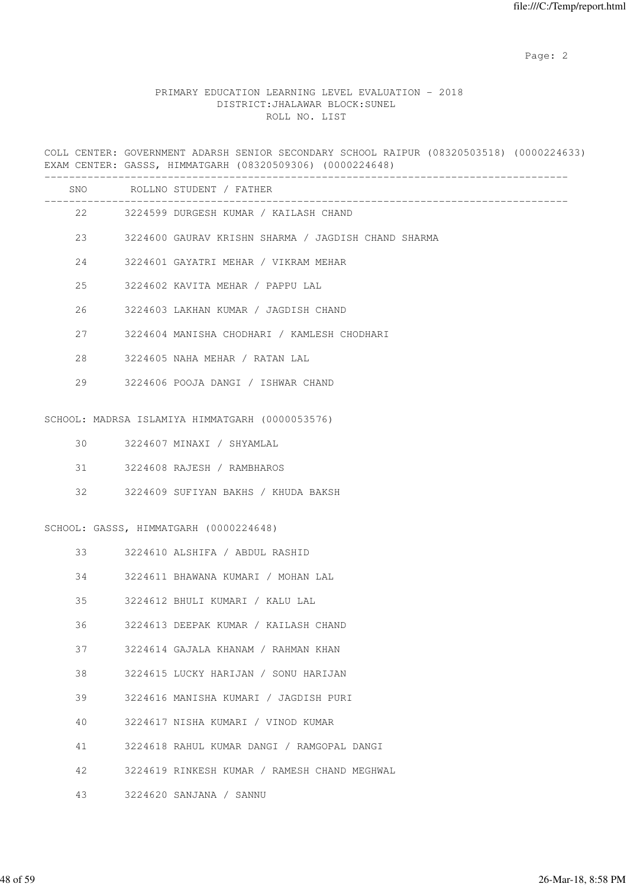# PRIMARY EDUCATION LEARNING LEVEL EVALUATION - 2018 DISTRICT:JHALAWAR BLOCK:SUNEL ROLL NO. LIST

COLL CENTER: GOVERNMENT ADARSH SENIOR SECONDARY SCHOOL RAIPUR (08320503518) (0000224633) EXAM CENTER: GASSS, HIMMATGARH (08320509306) (0000224648)

|    | SNO ROLLNO STUDENT / FATHER                         |
|----|-----------------------------------------------------|
|    | 22 3224599 DURGESH KUMAR / KAILASH CHAND            |
| 23 | 3224600 GAURAV KRISHN SHARMA / JAGDISH CHAND SHARMA |
| 24 | 3224601 GAYATRI MEHAR / VIKRAM MEHAR                |
| 25 | 3224602 KAVITA MEHAR / PAPPU LAL                    |
| 26 | 3224603 LAKHAN KUMAR / JAGDISH CHAND                |
| 27 | 3224604 MANISHA CHODHARI / KAMLESH CHODHARI         |
| 28 | 3224605 NAHA MEHAR / RATAN LAL                      |
| 29 | 3224606 POOJA DANGI / ISHWAR CHAND                  |
|    |                                                     |
|    | SCHOOL: MADRSA ISLAMIYA HIMMATGARH (0000053576)     |
| 30 | 3224607 MINAXI / SHYAMLAL                           |
| 31 | 3224608 RAJESH / RAMBHAROS                          |
| 32 | 3224609 SUFIYAN BAKHS / KHUDA BAKSH                 |
|    | SCHOOL: GASSS, HIMMATGARH (0000224648)              |
| 33 | 3224610 ALSHIFA / ABDUL RASHID                      |
| 34 | 3224611 BHAWANA KUMARI / MOHAN LAL                  |
| 35 | 3224612 BHULI KUMARI / KALU LAL                     |
| 36 | 3224613 DEEPAK KUMAR / KAILASH CHAND                |
| 37 | 3224614 GAJALA KHANAM / RAHMAN KHAN                 |
| 38 | 3224615 LUCKY HARIJAN / SONU HARIJAN                |
| 39 | 3224616 MANISHA KUMARI / JAGDISH PURI               |
| 40 | 3224617 NISHA KUMARI / VINOD KUMAR                  |
| 41 | 3224618 RAHUL KUMAR DANGI / RAMGOPAL DANGI          |
| 42 | 3224619 RINKESH KUMAR / RAMESH CHAND MEGHWAL        |
| 43 | 3224620 SANJANA / SANNU                             |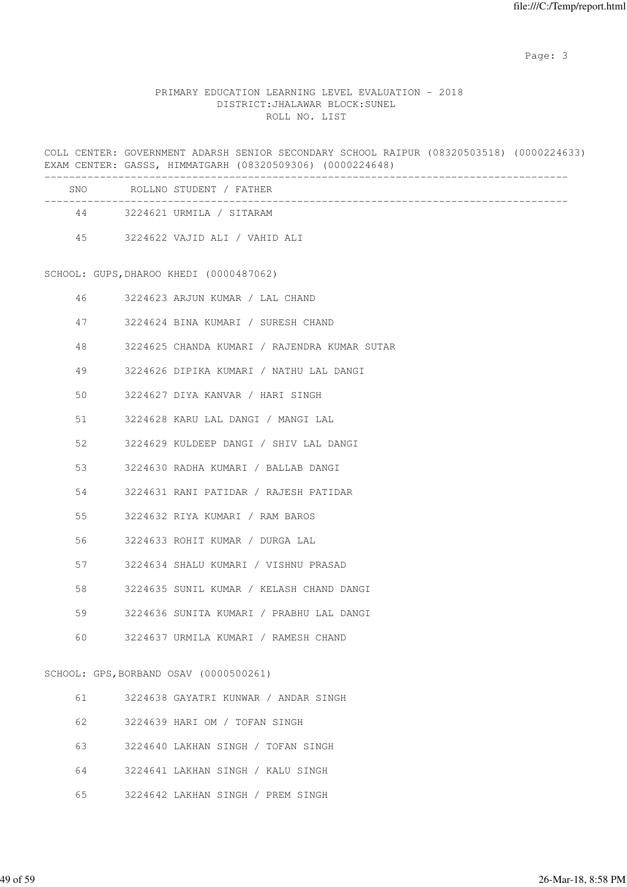# PRIMARY EDUCATION LEARNING LEVEL EVALUATION - 2018 DISTRICT:JHALAWAR BLOCK:SUNEL ROLL NO. LIST

COLL CENTER: GOVERNMENT ADARSH SENIOR SECONDARY SCHOOL RAIPUR (08320503518) (0000224633) EXAM CENTER: GASSS, HIMMATGARH (08320509306) (0000224648)

| <b>SNO</b> | ROLLNO STUDENT / FATHER       |
|------------|-------------------------------|
| 44         | 3224621 URMILA / SITARAM      |
| 45         | 3224622 VAJID ALI / VAHID ALI |

SCHOOL: GUPS,DHAROO KHEDI (0000487062)

| 46 | 3224623 ARJUN KUMAR / LAL CHAND              |
|----|----------------------------------------------|
|    | 47<br>3224624 BINA KUMARI / SURESH CHAND     |
| 48 | 3224625 CHANDA KUMARI / RAJENDRA KUMAR SUTAR |
| 49 | 3224626 DIPIKA KUMARI / NATHU LAL DANGI      |
| 50 | 3224627 DIYA KANVAR / HARI SINGH             |
|    | 51 3224628 KARU LAL DANGI / MANGI LAL        |
| 52 | 3224629 KULDEEP DANGI / SHIV LAL DANGI       |
|    | 3224630 RADHA KUMARI / BALLAB DANGI          |
| 54 | 3224631 RANI PATIDAR / RAJESH PATIDAR        |
|    | 55<br>3224632 RIYA KUMARI / RAM BAROS        |
| 56 | 3224633 ROHIT KUMAR / DURGA LAL              |
| 57 | 3224634 SHALU KUMARI / VISHNU PRASAD         |
| 58 | 3224635 SUNIL KUMAR / KELASH CHAND DANGI     |
| 59 | 3224636 SUNITA KUMARI / PRABHU LAL DANGI     |
| 60 | 3224637 URMILA KUMARI / RAMESH CHAND         |
|    | SCHOOL: GPS, BORBAND OSAV (0000500261)       |

- 61 3224638 GAYATRI KUNWAR / ANDAR SINGH
- 62 3224639 HARI OM / TOFAN SINGH
- 63 3224640 LAKHAN SINGH / TOFAN SINGH
- 64 3224641 LAKHAN SINGH / KALU SINGH
- 65 3224642 LAKHAN SINGH / PREM SINGH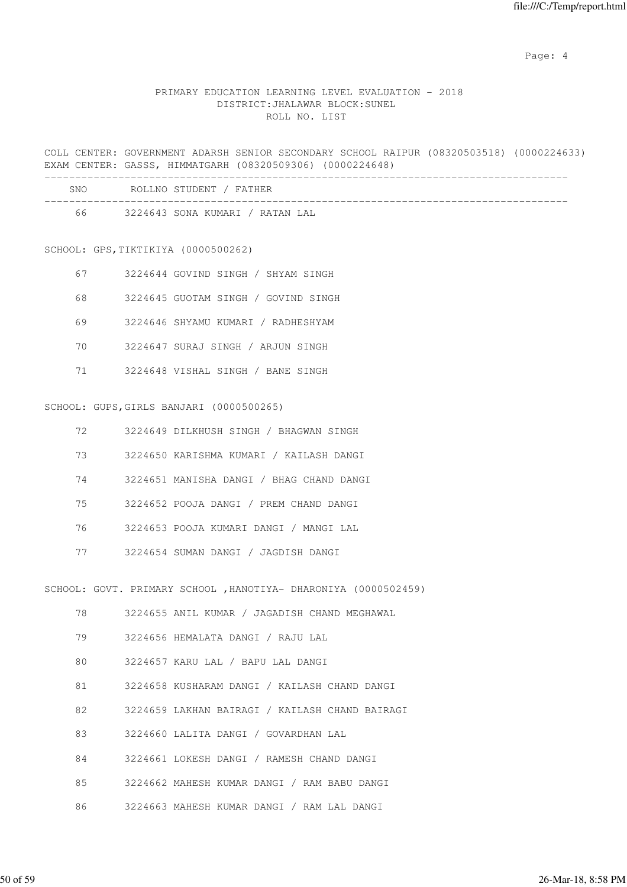Page: 4  $P$ 

# PRIMARY EDUCATION LEARNING LEVEL EVALUATION - 2018 DISTRICT:JHALAWAR BLOCK:SUNEL ROLL NO. LIST

COLL CENTER: GOVERNMENT ADARSH SENIOR SECONDARY SCHOOL RAIPUR (08320503518) (0000224633) EXAM CENTER: GASSS, HIMMATGARH (08320509306) (0000224648)

| <b>SNO</b> | ROLLNO STUDENT / FATHER         |
|------------|---------------------------------|
| 66         | 3224643 SONA KUMARI / RATAN LAL |

SCHOOL: GPS,TIKTIKIYA (0000500262)

| 67 | 3224644 GOVIND SINGH / SHYAM SINGH  |
|----|-------------------------------------|
| 68 | 3224645 GUOTAM SINGH / GOVIND SINGH |
| 69 | 3224646 SHYAMU KUMARI / RADHESHYAM  |
| 70 | 3224647 SURAJ SINGH / ARJUN SINGH   |
|    | 3224648 VISHAL SINGH / BANE SINGH   |

SCHOOL: GUPS,GIRLS BANJARI (0000500265)

| 72. | 3224649 DILKHUSH SINGH / BHAGWAN SINGH   |
|-----|------------------------------------------|
| 73  | 3224650 KARISHMA KUMARI / KAILASH DANGI  |
| 74  | 3224651 MANISHA DANGI / BHAG CHAND DANGI |
| 75  | 3224652 POOJA DANGI / PREM CHAND DANGI   |
| 76  | 3224653 POOJA KUMARI DANGI / MANGI LAL   |

77 3224654 SUMAN DANGI / JAGDISH DANGI

|                                         | SCHOOL: GOVT. PRIMARY SCHOOL , HANOTIYA- DHARONIYA (000050245 |
|-----------------------------------------|---------------------------------------------------------------|
|                                         | 78 3224655 ANIL KUMAR / JAGADISH CHAND MEGHAWAL               |
| 79<br>3224656 HEMALATA DANGI / RAJU LAL |                                                               |
| 80                                      | 3224657 KARU LAL / BAPU LAL DANGI                             |
| 81 — 10                                 | 3224658 KUSHARAM DANGI / KAILASH CHAND DANGI                  |
| 82                                      | 3224659 LAKHAN BAIRAGI / KAILASH CHAND BAIRAGI                |
| 83                                      | 3224660 LALITA DANGI / GOVARDHAN LAL                          |
| 84                                      | 3224661 LOKESH DANGI / RAMESH CHAND DANGI                     |
| 85                                      | 3224662 MAHESH KUMAR DANGI / RAM BABU DANGI                   |
| 86                                      |                                                               |
|                                         |                                                               |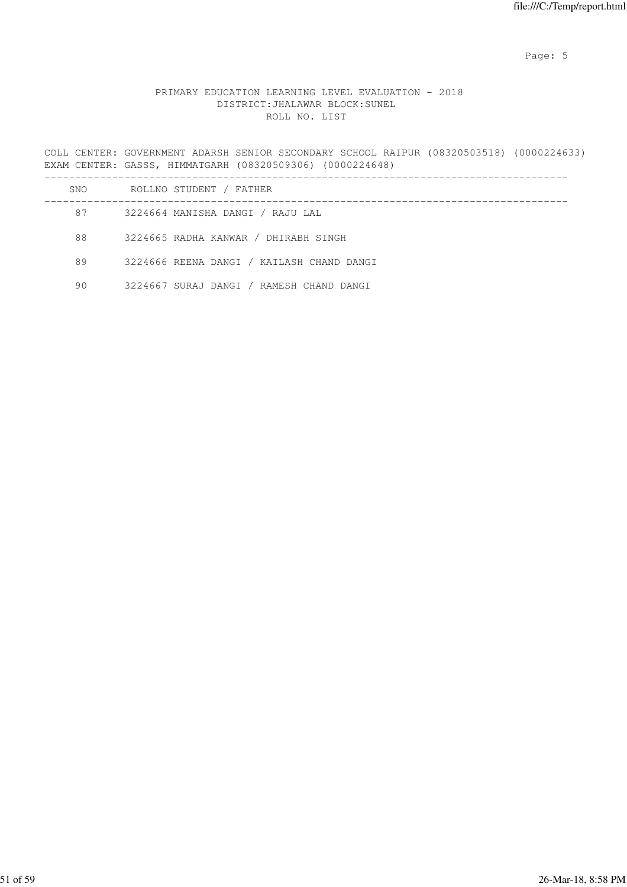Page: 5  $P$  and  $P$  and  $P$  and  $P$  and  $P$  and  $P$  and  $P$  and  $P$  and  $P$  and  $P$  and  $P$  and  $P$  and  $P$  and  $P$  and  $P$  and  $P$  and  $P$  and  $P$  and  $P$  and  $P$  and  $P$  and  $P$  and  $P$  and  $P$  and  $P$  and  $P$  and  $P$  an

# PRIMARY EDUCATION LEARNING LEVEL EVALUATION - 2018 DISTRICT:JHALAWAR BLOCK:SUNEL ROLL NO. LIST

COLL CENTER: GOVERNMENT ADARSH SENIOR SECONDARY SCHOOL RAIPUR (08320503518) (0000224633) EXAM CENTER: GASSS, HIMMATGARH (08320509306) (0000224648)

| SNO. | ROLLNO STUDENT / FATHER                   |  |
|------|-------------------------------------------|--|
| 87   | 3224664 MANISHA DANGI / RAJU LAL          |  |
| 88   | 3224665 RADHA KANWAR / DHIRABH SINGH      |  |
| 89   | 3224666 REENA DANGI / KAILASH CHAND DANGI |  |
| 90   | 3224667 SURAJ DANGI / RAMESH CHAND DANGI  |  |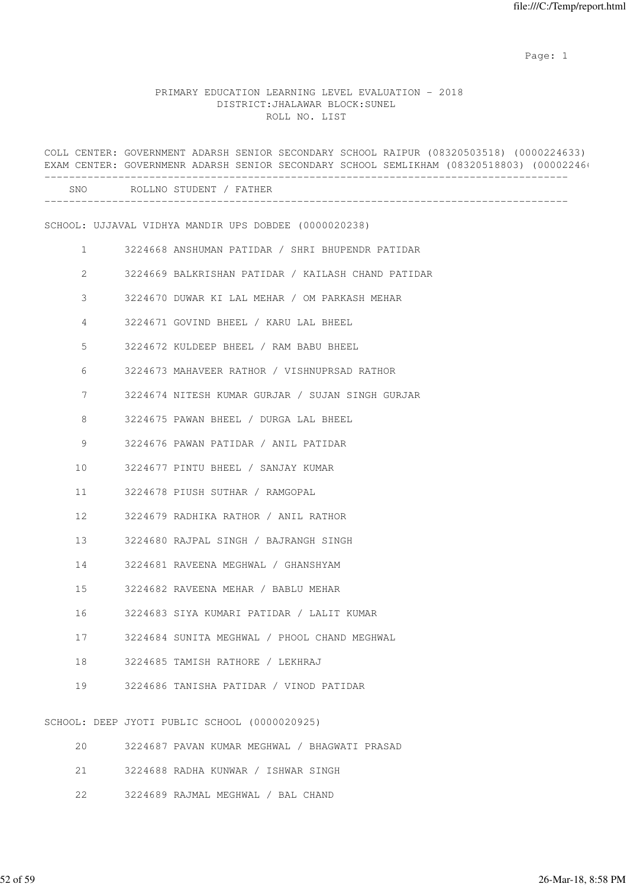expected to the control of the control of the control of the control of the control of the control of the control of the control of the control of the control of the control of the control of the control of the control of

# PRIMARY EDUCATION LEARNING LEVEL EVALUATION - 2018 DISTRICT:JHALAWAR BLOCK:SUNEL ROLL NO. LIST

|                | COLL CENTER: GOVERNMENT ADARSH SENIOR SECONDARY SCHOOL RAIPUR (08320503518) (0000224633)<br>EXAM CENTER: GOVERNMENR ADARSH SENIOR SECONDARY SCHOOL SEMLIKHAM (08320518803) (00002246) |
|----------------|---------------------------------------------------------------------------------------------------------------------------------------------------------------------------------------|
|                | SNO ROLLNO STUDENT / FATHER                                                                                                                                                           |
|                | SCHOOL: UJJAVAL VIDHYA MANDIR UPS DOBDEE (0000020238)                                                                                                                                 |
| $\mathbf{1}$   | 3224668 ANSHUMAN PATIDAR / SHRI BHUPENDR PATIDAR                                                                                                                                      |
| $\overline{2}$ | 3224669 BALKRISHAN PATIDAR / KAILASH CHAND PATIDAR                                                                                                                                    |
| 3              | 3224670 DUWAR KI LAL MEHAR / OM PARKASH MEHAR                                                                                                                                         |
| $\overline{4}$ | 3224671 GOVIND BHEEL / KARU LAL BHEEL                                                                                                                                                 |
| 5              | 3224672 KULDEEP BHEEL / RAM BABU BHEEL                                                                                                                                                |
| 6              | 3224673 MAHAVEER RATHOR / VISHNUPRSAD RATHOR                                                                                                                                          |
| 7              | 3224674 NITESH KUMAR GURJAR / SUJAN SINGH GURJAR                                                                                                                                      |
| 8              | 3224675 PAWAN BHEEL / DURGA LAL BHEEL                                                                                                                                                 |
| 9              | 3224676 PAWAN PATIDAR / ANIL PATIDAR                                                                                                                                                  |
| 10             | 3224677 PINTU BHEEL / SANJAY KUMAR                                                                                                                                                    |
| 11             | 3224678 PIUSH SUTHAR / RAMGOPAL                                                                                                                                                       |
| 12             | 3224679 RADHIKA RATHOR / ANIL RATHOR                                                                                                                                                  |
| 13             | 3224680 RAJPAL SINGH / BAJRANGH SINGH                                                                                                                                                 |
| 14             | 3224681 RAVEENA MEGHWAL / GHANSHYAM                                                                                                                                                   |
| 15             | 3224682 RAVEENA MEHAR / BABLU MEHAR                                                                                                                                                   |
| 16             | 3224683 SIYA KUMARI PATIDAR / LALIT KUMAR                                                                                                                                             |
| 17             | 3224684 SUNITA MEGHWAL / PHOOL CHAND MEGHWAL                                                                                                                                          |
| 18             | 3224685 TAMISH RATHORE / LEKHRAJ                                                                                                                                                      |
| 19             | 3224686 TANISHA PATIDAR / VINOD PATIDAR                                                                                                                                               |
|                | SCHOOL: DEEP JYOTI PUBLIC SCHOOL (0000020925)                                                                                                                                         |
| 20             | 3224687 PAVAN KUMAR MEGHWAL / BHAGWATI PRASAD                                                                                                                                         |

|  |  | 21 3224688 RADHA KUNWAR / ISHWAR SINGH |  |  |
|--|--|----------------------------------------|--|--|
|  |  | 22 3224689 RAJMAL MEGHWAL / BAL CHAND  |  |  |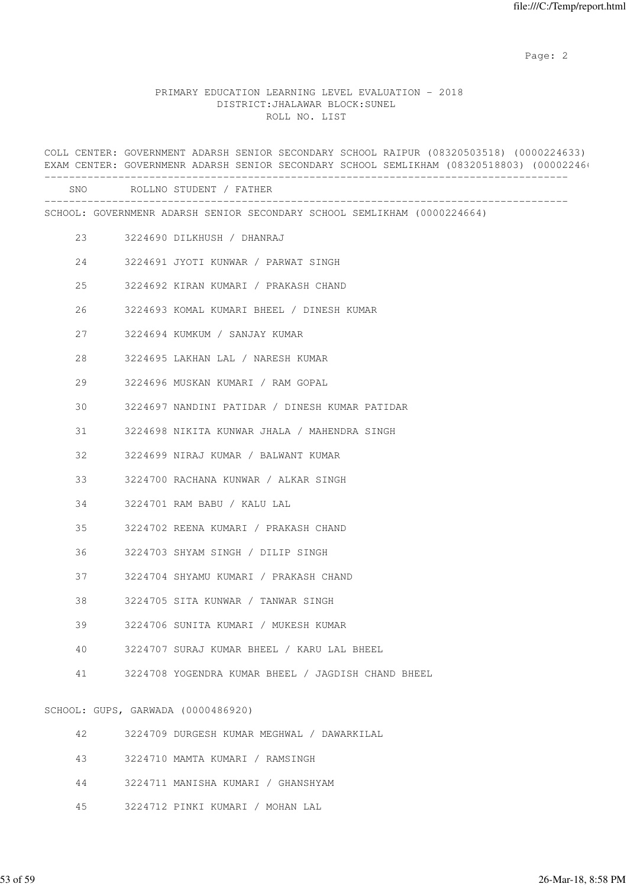#### PRIMARY EDUCATION LEARNING LEVEL EVALUATION - 2018 DISTRICT:JHALAWAR BLOCK:SUNEL ROLL NO. LIST

COLL CENTER: GOVERNMENT ADARSH SENIOR SECONDARY SCHOOL RAIPUR (08320503518) (0000224633) EXAM CENTER: GOVERNMENR ADARSH SENIOR SECONDARY SCHOOL SEMLIKHAM (08320518803) (00002246) ------------------------------------------------------------------------------------- SNO ROLLNO STUDENT / FATHER ------------------------------------------------------------------------------------- SCHOOL: GOVERNMENR ADARSH SENIOR SECONDARY SCHOOL SEMLIKHAM (0000224664) 23 3224690 DILKHUSH / DHANRAJ 24 3224691 JYOTI KUNWAR / PARWAT SINGH 25 3224692 KIRAN KUMARI / PRAKASH CHAND 26 3224693 KOMAL KUMARI BHEEL / DINESH KUMAR 27 3224694 KUMKUM / SANJAY KUMAR 28 3224695 LAKHAN LAL / NARESH KUMAR 29 3224696 MUSKAN KUMARI / RAM GOPAL 30 3224697 NANDINI PATIDAR / DINESH KUMAR PATIDAR 31 3224698 NIKITA KUNWAR JHALA / MAHENDRA SINGH 32 3224699 NIRAJ KUMAR / BALWANT KUMAR 33 3224700 RACHANA KUNWAR / ALKAR SINGH 34 3224701 RAM BABU / KALU LAL 35 3224702 REENA KUMARI / PRAKASH CHAND 36 3224703 SHYAM SINGH / DILIP SINGH 37 3224704 SHYAMU KUMARI / PRAKASH CHAND 38 3224705 SITA KUNWAR / TANWAR SINGH 39 3224706 SUNITA KUMARI / MUKESH KUMAR 40 3224707 SURAJ KUMAR BHEEL / KARU LAL BHEEL 41 3224708 YOGENDRA KUMAR BHEEL / JAGDISH CHAND BHEEL SCHOOL: GUPS, GARWADA (0000486920)

42 3224709 DURGESH KUMAR MEGHWAL / DAWARKILAL

- 43 3224710 MAMTA KUMARI / RAMSINGH
- 44 3224711 MANISHA KUMARI / GHANSHYAM
- 45 3224712 PINKI KUMARI / MOHAN LAL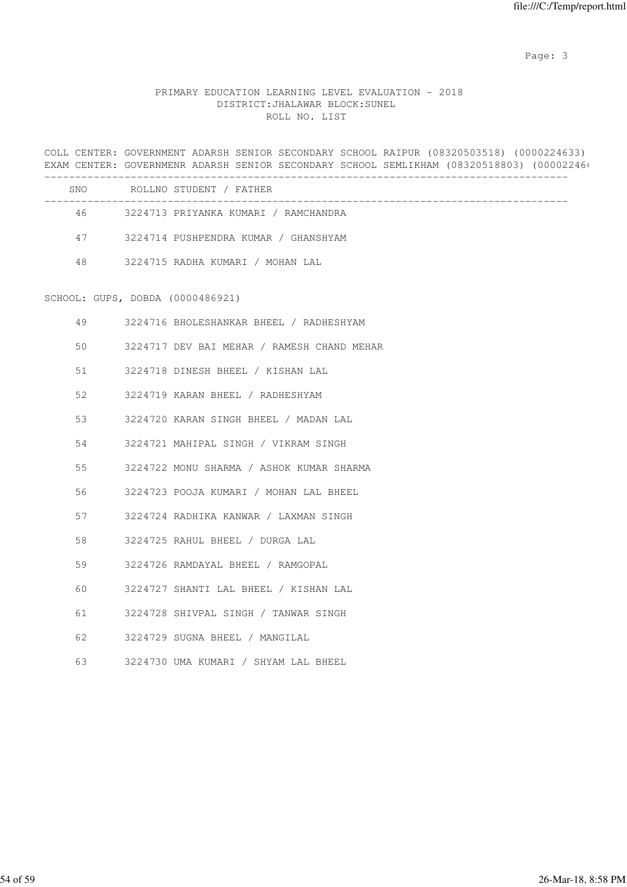# PRIMARY EDUCATION LEARNING LEVEL EVALUATION - 2018 DISTRICT:JHALAWAR BLOCK:SUNEL ROLL NO. LIST

COLL CENTER: GOVERNMENT ADARSH SENIOR SECONDARY SCHOOL RAIPUR (08320503518) (0000224633) EXAM CENTER: GOVERNMENR ADARSH SENIOR SECONDARY SCHOOL SEMLIKHAM (08320518803) (00002246)

| <b>SNO</b> | ROLLNO STUDENT / FATHER              |
|------------|--------------------------------------|
| 46         | 3224713 PRIYANKA KUMARI / RAMCHANDRA |
| 47         | 3224714 PUSHPENDRA KUMAR / GHANSHYAM |
| 48         | 3224715 RADHA KUMARI / MOHAN LAL     |

#### SCHOOL: GUPS, DOBDA (0000486921)

| 49 | 3224716 BHOLESHANKAR BHEEL / RADHESHYAM     |
|----|---------------------------------------------|
| 50 | 3224717 DEV BAI MEHAR / RAMESH CHAND MEHAR  |
|    | 51 3224718 DINESH BHEEL / KISHAN LAL        |
|    | 52 3224719 KARAN BHEEL / RADHESHYAM         |
| 53 | 3224720 KARAN SINGH BHEEL / MADAN LAL       |
|    | 54 3224721 MAHIPAL SINGH / VIKRAM SINGH     |
|    | 55 3224722 MONU SHARMA / ASHOK KUMAR SHARMA |
| 56 | 3224723 POOJA KUMARI / MOHAN LAL BHEEL      |
|    | 57 3224724 RADHIKA KANWAR / LAXMAN SINGH    |
| 58 | 3224725 RAHUL BHEEL / DURGA LAL             |
| 59 | 3224726 RAMDAYAL BHEEL / RAMGOPAL           |
| 60 | 3224727 SHANTI LAL BHEEL / KISHAN LAL       |
|    | 61 3224728 SHIVPAL SINGH / TANWAR SINGH     |
| 62 | 3224729 SUGNA BHEEL / MANGILAL              |
| 63 | 3224730 UMA KUMARI / SHYAM LAL BHEEL        |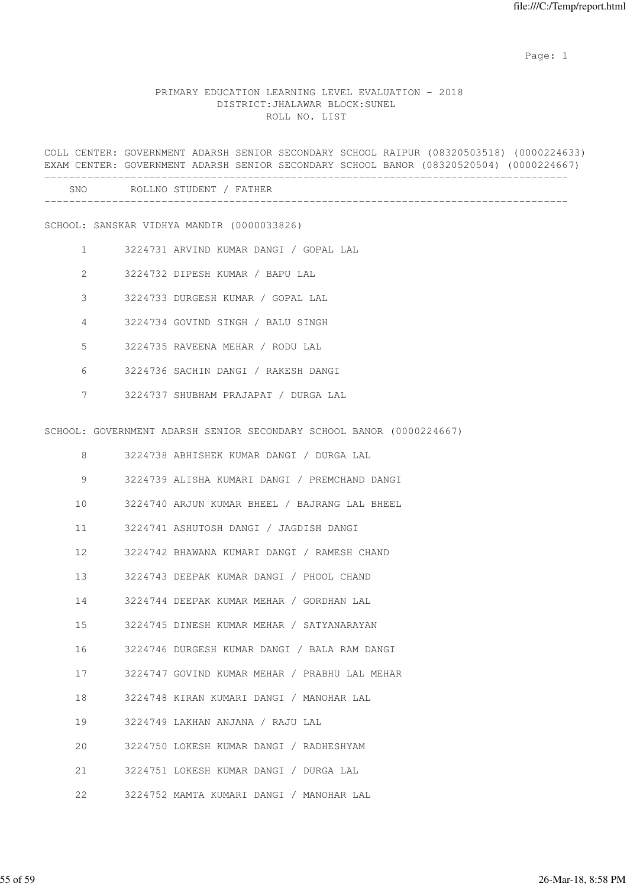expected to the control of the control of the control of the control of the control of the control of the control of the control of the control of the control of the control of the control of the control of the control of

### PRIMARY EDUCATION LEARNING LEVEL EVALUATION - 2018 DISTRICT:JHALAWAR BLOCK:SUNEL ROLL NO. LIST

COLL CENTER: GOVERNMENT ADARSH SENIOR SECONDARY SCHOOL RAIPUR (08320503518) (0000224633) EXAM CENTER: GOVERNMENT ADARSH SENIOR SECONDARY SCHOOL BANOR (08320520504) (0000224667) ------------------------------------------------------------------------------------- SNO ROLLNO STUDENT / FATHER -------------------------------------------------------------------------------------

SCHOOL: SANSKAR VIDHYA MANDIR (0000033826)

- 1 3224731 ARVIND KUMAR DANGI / GOPAL LAL
- 2 3224732 DIPESH KUMAR / BAPU LAL
- 3 3224733 DURGESH KUMAR / GOPAL LAL
- 4 3224734 GOVIND SINGH / BALU SINGH
- 5 3224735 RAVEENA MEHAR / RODU LAL
- 6 3224736 SACHIN DANGI / RAKESH DANGI
- 7 3224737 SHUBHAM PRAJAPAT / DURGA LAL

SCHOOL: GOVERNMENT ADARSH SENIOR SECONDARY SCHOOL BANOR (0000224667)

| 8  | 3224738 ABHISHEK KUMAR DANGI / DURGA LAL      |
|----|-----------------------------------------------|
| 9  | 3224739 ALISHA KUMARI DANGI / PREMCHAND DANGI |
| 10 | 3224740 ARJUN KUMAR BHEEL / BAJRANG LAL BHEEL |
| 11 | 3224741 ASHUTOSH DANGI / JAGDISH DANGI        |
| 12 | 3224742 BHAWANA KUMARI DANGI / RAMESH CHAND   |
|    | 13 3224743 DEEPAK KUMAR DANGI / PHOOL CHAND   |
| 14 | 3224744 DEEPAK KUMAR MEHAR / GORDHAN LAL      |
| 15 | 3224745 DINESH KUMAR MEHAR / SATYANARAYAN     |
| 16 | 3224746 DURGESH KUMAR DANGI / BALA RAM DANGI  |
| 17 | 3224747 GOVIND KUMAR MEHAR / PRABHU LAL MEHAR |
| 18 | 3224748 KIRAN KUMARI DANGI / MANOHAR LAL      |
| 19 | 3224749 LAKHAN ANJANA / RAJU LAL              |
| 20 | 3224750 LOKESH KUMAR DANGI / RADHESHYAM       |
| 21 | 3224751 LOKESH KUMAR DANGI / DURGA LAL        |
| 22 | 3224752 MAMTA KUMARI DANGI / MANOHAR LAL      |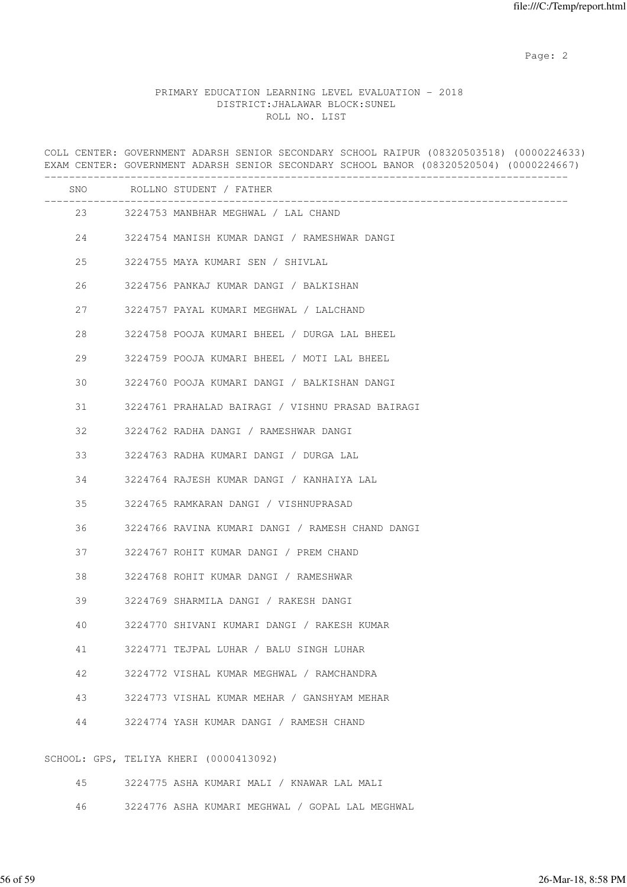# PRIMARY EDUCATION LEARNING LEVEL EVALUATION - 2018 DISTRICT:JHALAWAR BLOCK:SUNEL ROLL NO. LIST

COLL CENTER: GOVERNMENT ADARSH SENIOR SECONDARY SCHOOL RAIPUR (08320503518) (0000224633) EXAM CENTER: GOVERNMENT ADARSH SENIOR SECONDARY SCHOOL BANOR (08320520504) (0000224667) ------------------------------------------------------------------------------------- SNO ROLLNO STUDENT / FATHER ------------------------------------------------------------------------------------- 23 3224753 MANBHAR MEGHWAL / LAL CHAND 24 3224754 MANISH KUMAR DANGI / RAMESHWAR DANGI 25 3224755 MAYA KUMARI SEN / SHIVLAL 26 3224756 PANKAJ KUMAR DANGI / BALKISHAN 27 3224757 PAYAL KUMARI MEGHWAL / LALCHAND 28 3224758 POOJA KUMARI BHEEL / DURGA LAL BHEEL 29 3224759 POOJA KUMARI BHEEL / MOTI LAL BHEEL 30 3224760 POOJA KUMARI DANGI / BALKISHAN DANGI 31 3224761 PRAHALAD BAIRAGI / VISHNU PRASAD BAIRAGI 32 3224762 RADHA DANGI / RAMESHWAR DANGI 33 3224763 RADHA KUMARI DANGI / DURGA LAL 34 3224764 RAJESH KUMAR DANGI / KANHAIYA LAL 35 3224765 RAMKARAN DANGI / VISHNUPRASAD 36 3224766 RAVINA KUMARI DANGI / RAMESH CHAND DANGI 37 3224767 ROHIT KUMAR DANGI / PREM CHAND 38 3224768 ROHIT KUMAR DANGI / RAMESHWAR 39 3224769 SHARMILA DANGI / RAKESH DANGI 40 3224770 SHIVANI KUMARI DANGI / RAKESH KUMAR 41 3224771 TEJPAL LUHAR / BALU SINGH LUHAR 42 3224772 VISHAL KUMAR MEGHWAL / RAMCHANDRA 43 3224773 VISHAL KUMAR MEHAR / GANSHYAM MEHAR 44 3224774 YASH KUMAR DANGI / RAMESH CHAND SCHOOL: GPS, TELIYA KHERI (0000413092) 45 3224775 ASHA KUMARI MALI / KNAWAR LAL MALI

46 3224776 ASHA KUMARI MEGHWAL / GOPAL LAL MEGHWAL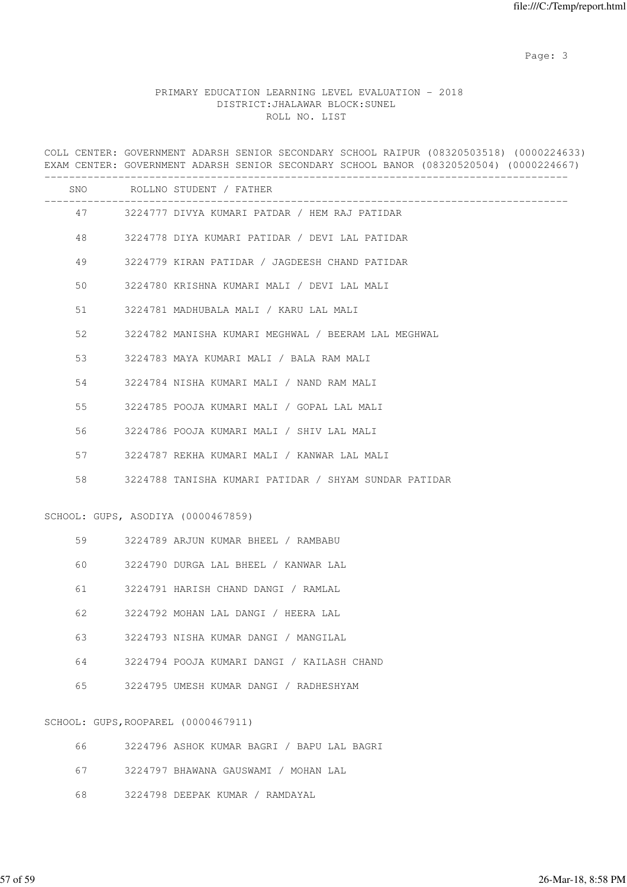## PRIMARY EDUCATION LEARNING LEVEL EVALUATION - 2018 DISTRICT:JHALAWAR BLOCK:SUNEL ROLL NO. LIST

COLL CENTER: GOVERNMENT ADARSH SENIOR SECONDARY SCHOOL RAIPUR (08320503518) (0000224633) EXAM CENTER: GOVERNMENT ADARSH SENIOR SECONDARY SCHOOL BANOR (08320520504) (0000224667) ------------------------------------------------------------------------------------- SNO ROLLNO STUDENT / FATHER ------------------------------------------------------------------------------------- 47 3224777 DIVYA KUMARI PATDAR / HEM RAJ PATIDAR 48 3224778 DIYA KUMARI PATIDAR / DEVI LAL PATIDAR 49 3224779 KIRAN PATIDAR / JAGDEESH CHAND PATIDAR 50 3224780 KRISHNA KUMARI MALI / DEVI LAL MALI 51 3224781 MADHUBALA MALI / KARU LAL MALI 52 3224782 MANISHA KUMARI MEGHWAL / BEERAM LAL MEGHWAL 53 3224783 MAYA KUMARI MALI / BALA RAM MALI 54 3224784 NISHA KUMARI MALI / NAND RAM MALI 55 3224785 POOJA KUMARI MALI / GOPAL LAL MALI 56 3224786 POOJA KUMARI MALI / SHIV LAL MALI 57 3224787 REKHA KUMARI MALI / KANWAR LAL MALI 58 3224788 TANISHA KUMARI PATIDAR / SHYAM SUNDAR PATIDAR SCHOOL: GUPS, ASODIYA (0000467859) 59 3224789 ARJUN KUMAR BHEEL / RAMBABU 60 3224790 DURGA LAL BHEEL / KANWAR LAL 61 3224791 HARISH CHAND DANGI / RAMLAL 62 3224792 MOHAN LAL DANGI / HEERA LAL 63 3224793 NISHA KUMAR DANGI / MANGILAL 64 3224794 POOJA KUMARI DANGI / KAILASH CHAND 65 3224795 UMESH KUMAR DANGI / RADHESHYAM SCHOOL: GUPS,ROOPAREL (0000467911) 66 3224796 ASHOK KUMAR BAGRI / BAPU LAL BAGRI 67 3224797 BHAWANA GAUSWAMI / MOHAN LAL

68 3224798 DEEPAK KUMAR / RAMDAYAL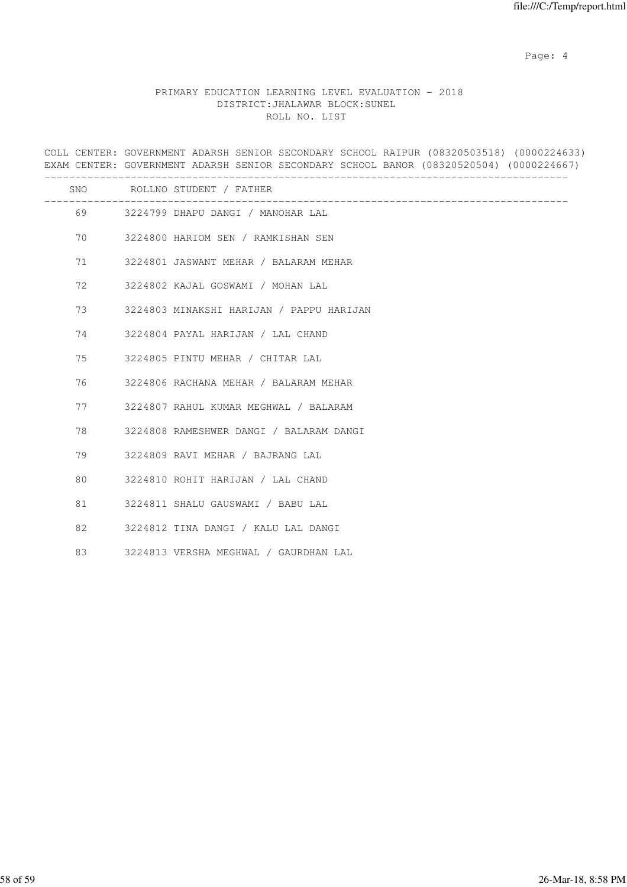Page: 4  $P$ 

# PRIMARY EDUCATION LEARNING LEVEL EVALUATION - 2018 DISTRICT:JHALAWAR BLOCK:SUNEL ROLL NO. LIST

COLL CENTER: GOVERNMENT ADARSH SENIOR SECONDARY SCHOOL RAIPUR (08320503518) (0000224633) EXAM CENTER: GOVERNMENT ADARSH SENIOR SECONDARY SCHOOL BANOR (08320520504) (0000224667) ------------------------------------------------------------------------------------- SNO ROLLNO STUDENT / FATHER ------------------------------------------------------------------------------------- 69 3224799 DHAPU DANGI / MANOHAR LAL 70 3224800 HARIOM SEN / RAMKISHAN SEN 71 3224801 JASWANT MEHAR / BALARAM MEHAR 72 3224802 KAJAL GOSWAMI / MOHAN LAL 73 3224803 MINAKSHI HARIJAN / PAPPU HARIJAN 74 3224804 PAYAL HARIJAN / LAL CHAND 75 3224805 PINTU MEHAR / CHITAR LAL 76 3224806 RACHANA MEHAR / BALARAM MEHAR 77 3224807 RAHUL KUMAR MEGHWAL / BALARAM 78 3224808 RAMESHWER DANGI / BALARAM DANGI 79 3224809 RAVI MEHAR / BAJRANG LAL 80 3224810 ROHIT HARIJAN / LAL CHAND 81 3224811 SHALU GAUSWAMI / BABU LAL 82 3224812 TINA DANGI / KALU LAL DANGI 83 3224813 VERSHA MEGHWAL / GAURDHAN LAL